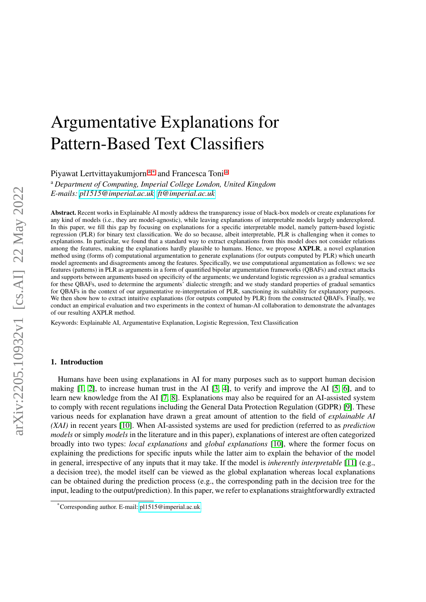# Argumentative Explanations for Pattern-Based Text Classifiers

<span id="page-0-0"></span>Piy[a](#page-0-0)wat Lertvittayakumjorn<sup>a,[∗](#page-0-1)</sup> and Francesca Toni<sup>a</sup>

<sup>a</sup> *Department of Computing, Imperial College London, United Kingdom E-mails: [pl1515@imperial.ac.uk,](mailto:pl1515@imperial.ac.uk) [ft@imperial.ac.uk](mailto:ft@imperial.ac.uk)*

Abstract. Recent works in Explainable AI mostly address the transparency issue of black-box models or create explanations for any kind of models (i.e., they are model-agnostic), while leaving explanations of interpretable models largely underexplored. In this paper, we fill this gap by focusing on explanations for a specific interpretable model, namely pattern-based logistic regression (PLR) for binary text classification. We do so because, albeit interpretable, PLR is challenging when it comes to explanations. In particular, we found that a standard way to extract explanations from this model does not consider relations among the features, making the explanations hardly plausible to humans. Hence, we propose AXPLR, a novel explanation method using (forms of) computational argumentation to generate explanations (for outputs computed by PLR) which unearth model agreements and disagreements among the features. Specifically, we use computational argumentation as follows: we see features (patterns) in PLR as arguments in a form of quantified bipolar argumentation frameworks (QBAFs) and extract attacks and supports between arguments based on specificity of the arguments; we understand logistic regression as a gradual semantics for these QBAFs, used to determine the arguments' dialectic strength; and we study standard properties of gradual semantics for QBAFs in the context of our argumentative re-interpretation of PLR, sanctioning its suitability for explanatory purposes. We then show how to extract intuitive explanations (for outputs computed by PLR) from the constructed QBAFs. Finally, we conduct an empirical evaluation and two experiments in the context of human-AI collaboration to demonstrate the advantages of our resulting AXPLR method.

Keywords: Explainable AI, Argumentative Explanation, Logistic Regression, Text Classification

#### 1. Introduction

Humans have been using explanations in AI for many purposes such as to support human decision making  $[1, 2]$  $[1, 2]$ , to increase human trust in the AI  $[3, 4]$  $[3, 4]$ , to verify and improve the AI  $[5, 6]$  $[5, 6]$ , and to learn new knowledge from the AI [\[7,](#page-52-3) [8\]](#page-52-4). Explanations may also be required for an AI-assisted system to comply with recent regulations including the General Data Protection Regulation (GDPR) [\[9\]](#page-52-5). These various needs for explanation have drawn a great amount of attention to the field of *explainable AI (XAI)* in recent years [\[10\]](#page-52-6). When AI-assisted systems are used for prediction (referred to as *prediction models* or simply *models* in the literature and in this paper), explanations of interest are often categorized broadly into two types: *local explanations* and *global explanations* [\[10\]](#page-52-6), where the former focus on explaining the predictions for specific inputs while the latter aim to explain the behavior of the model in general, irrespective of any inputs that it may take. If the model is *inherently interpretable* [\[11\]](#page-52-7) (e.g., a decision tree), the model itself can be viewed as the global explanation whereas local explanations can be obtained during the prediction process (e.g., the corresponding path in the decision tree for the input, leading to the output/prediction). In this paper, we refer to explanations straightforwardly extracted

<span id="page-0-1"></span><sup>\*</sup>Corresponding author. E-mail: [pl1515@imperial.ac.uk.](mailto:pl1515@imperial.ac.uk)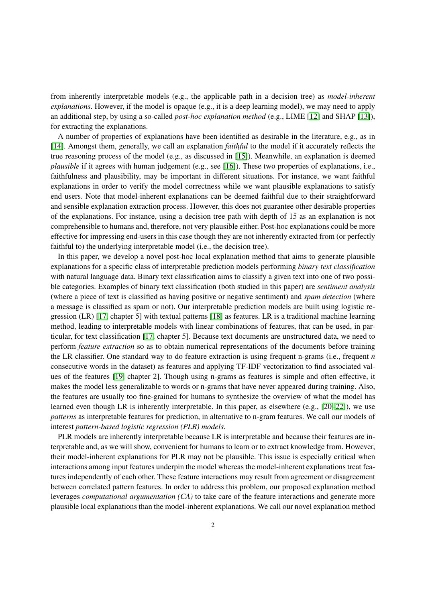from inherently interpretable models (e.g., the applicable path in a decision tree) as *model-inherent explanations*. However, if the model is opaque (e.g., it is a deep learning model), we may need to apply an additional step, by using a so-called *post-hoc explanation method* (e.g., LIME [\[12\]](#page-52-8) and SHAP [\[13\]](#page-52-9)), for extracting the explanations.

A number of properties of explanations have been identified as desirable in the literature, e.g., as in [\[14\]](#page-52-10). Amongst them, generally, we call an explanation *faithful* to the model if it accurately reflects the true reasoning process of the model (e.g., as discussed in [\[15\]](#page-52-11)). Meanwhile, an explanation is deemed *plausible* if it agrees with human judgement (e.g., see [\[16\]](#page-52-12)). These two properties of explanations, i.e., faithfulness and plausibility, may be important in different situations. For instance, we want faithful explanations in order to verify the model correctness while we want plausible explanations to satisfy end users. Note that model-inherent explanations can be deemed faithful due to their straightforward and sensible explanation extraction process. However, this does not guarantee other desirable properties of the explanations. For instance, using a decision tree path with depth of 15 as an explanation is not comprehensible to humans and, therefore, not very plausible either. Post-hoc explanations could be more effective for impressing end-users in this case though they are not inherently extracted from (or perfectly faithful to) the underlying interpretable model (i.e., the decision tree).

In this paper, we develop a novel post-hoc local explanation method that aims to generate plausible explanations for a specific class of interpretable prediction models performing *binary text classification* with natural language data. Binary text classification aims to classify a given text into one of two possible categories. Examples of binary text classification (both studied in this paper) are *sentiment analysis* (where a piece of text is classified as having positive or negative sentiment) and *spam detection* (where a message is classified as spam or not). Our interpretable prediction models are built using logistic regression (LR) [\[17,](#page-52-13) chapter 5] with textual patterns [\[18\]](#page-52-14) as features. LR is a traditional machine learning method, leading to interpretable models with linear combinations of features, that can be used, in particular, for text classification [\[17,](#page-52-13) chapter 5]. Because text documents are unstructured data, we need to perform *feature extraction* so as to obtain numerical representations of the documents before training the LR classifier. One standard way to do feature extraction is using frequent n-grams (i.e., frequent *n* consecutive words in the dataset) as features and applying TF-IDF vectorization to find associated values of the features [\[19,](#page-52-15) chapter 2]. Though using n-grams as features is simple and often effective, it makes the model less generalizable to words or n-grams that have never appeared during training. Also, the features are usually too fine-grained for humans to synthesize the overview of what the model has learned even though LR is inherently interpretable. In this paper, as elsewhere (e.g., [\[20–](#page-52-16)[22\]](#page-52-17)), we use *patterns* as interpretable features for prediction, in alternative to n-gram features. We call our models of interest *pattern-based logistic regression (PLR) models*.

PLR models are inherently interpretable because LR is interpretable and because their features are interpretable and, as we will show, convenient for humans to learn or to extract knowledge from. However, their model-inherent explanations for PLR may not be plausible. This issue is especially critical when interactions among input features underpin the model whereas the model-inherent explanations treat features independently of each other. These feature interactions may result from agreement or disagreement between correlated pattern features. In order to address this problem, our proposed explanation method leverages *computational argumentation (CA)* to take care of the feature interactions and generate more plausible local explanations than the model-inherent explanations. We call our novel explanation method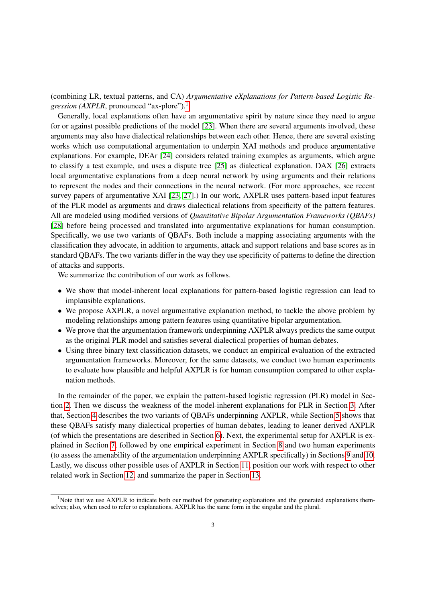(combining LR, textual patterns, and CA) *Argumentative eXplanations for Pattern-based Logistic Regression (AXPLR, pronounced "ax-plore").*<sup>[1](#page-2-0)</sup>

Generally, local explanations often have an argumentative spirit by nature since they need to argue for or against possible predictions of the model [\[23\]](#page-52-18). When there are several arguments involved, these arguments may also have dialectical relationships between each other. Hence, there are several existing works which use computational argumentation to underpin XAI methods and produce argumentative explanations. For example, DEAr [\[24\]](#page-52-19) considers related training examples as arguments, which argue to classify a test example, and uses a dispute tree [\[25\]](#page-52-20) as dialectical explanation. DAX [\[26\]](#page-52-21) extracts local argumentative explanations from a deep neural network by using arguments and their relations to represent the nodes and their connections in the neural network. (For more approaches, see recent survey papers of argumentative XAI [\[23,](#page-52-18) [27\]](#page-52-22).) In our work, AXPLR uses pattern-based input features of the PLR model as arguments and draws dialectical relations from specificity of the pattern features. All are modeled using modified versions of *Quantitative Bipolar Argumentation Frameworks (QBAFs)* [\[28\]](#page-53-0) before being processed and translated into argumentative explanations for human consumption. Specifically, we use two variants of QBAFs. Both include a mapping associating arguments with the classification they advocate, in addition to arguments, attack and support relations and base scores as in standard QBAFs. The two variants differ in the way they use specificity of patterns to define the direction of attacks and supports.

We summarize the contribution of our work as follows.

- We show that model-inherent local explanations for pattern-based logistic regression can lead to implausible explanations.
- We propose AXPLR, a novel argumentative explanation method, to tackle the above problem by modeling relationships among pattern features using quantitative bipolar argumentation.
- We prove that the argumentation framework underpinning AXPLR always predicts the same output as the original PLR model and satisfies several dialectical properties of human debates.
- Using three binary text classification datasets, we conduct an empirical evaluation of the extracted argumentation frameworks. Moreover, for the same datasets, we conduct two human experiments to evaluate how plausible and helpful AXPLR is for human consumption compared to other explanation methods.

In the remainder of the paper, we explain the pattern-based logistic regression (PLR) model in Section [2.](#page-3-0) Then we discuss the weakness of the model-inherent explanations for PLR in Section [3.](#page-5-0) After that, Section [4](#page-6-0) describes the two variants of QBAFs underpinning AXPLR, while Section [5](#page-14-0) shows that these QBAFs satisfy many dialectical properties of human debates, leading to leaner derived AXPLR (of which the presentations are described in Section [6\)](#page-16-0). Next, the experimental setup for AXPLR is explained in Section [7,](#page-17-0) followed by one empirical experiment in Section [8](#page-19-0) and two human experiments (to assess the amenability of the argumentation underpinning AXPLR specifically) in Sections [9](#page-26-0) and [10.](#page-29-0) Lastly, we discuss other possible uses of AXPLR in Section [11,](#page-34-0) position our work with respect to other related work in Section [12,](#page-35-0) and summarize the paper in Section [13.](#page-36-0)

<span id="page-2-0"></span><sup>&</sup>lt;sup>1</sup>Note that we use AXPLR to indicate both our method for generating explanations and the generated explanations themselves; also, when used to refer to explanations, AXPLR has the same form in the singular and the plural.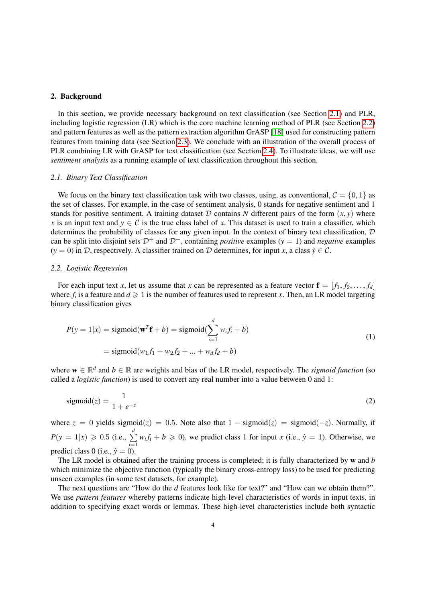#### <span id="page-3-0"></span>2. Background

In this section, we provide necessary background on text classification (see Section [2.1\)](#page-3-1) and PLR, including logistic regression (LR) which is the core machine learning method of PLR (see Section [2.2\)](#page-3-2) and pattern features as well as the pattern extraction algorithm GrASP [\[18\]](#page-52-14) used for constructing pattern features from training data (see Section [2.3\)](#page-4-0). We conclude with an illustration of the overall process of PLR combining LR with GrASP for text classification (see Section [2.4\)](#page-4-1). To illustrate ideas, we will use *sentiment analysis* as a running example of text classification throughout this section.

# <span id="page-3-1"></span>*2.1. Binary Text Classification*

We focus on the binary text classification task with two classes, using, as conventional,  $C = \{0, 1\}$  as the set of classes. For example, in the case of sentiment analysis, 0 stands for negative sentiment and 1 stands for positive sentiment. A training dataset  $D$  contains  $N$  different pairs of the form  $(x, y)$  where *x* is an input text and  $y \in C$  is the true class label of *x*. This dataset is used to train a classifier, which determines the probability of classes for any given input. In the context of binary text classification,  $D$ can be split into disjoint sets  $\mathcal{D}^+$  and  $\mathcal{D}^-$ , containing *positive* examples ( $y = 1$ ) and *negative* examples  $(y = 0)$  in  $\mathcal{D}$ , respectively. A classifier trained on  $\mathcal{D}$  determines, for input *x*, a class  $\hat{y} \in \mathcal{C}$ .

### <span id="page-3-2"></span>*2.2. Logistic Regression*

For each input text *x*, let us assume that *x* can be represented as a feature vector  $\mathbf{f} = [f_1, f_2, \dots, f_d]$ where  $f_i$  is a feature and  $d \geq 1$  is the number of features used to represent *x*. Then, an LR model targeting binary classification gives

<span id="page-3-3"></span>
$$
P(y = 1|x) = \text{sigmoid}(\mathbf{w}^T \mathbf{f} + b) = \text{sigmoid}(\sum_{i=1}^d w_i f_i + b)
$$
  
= 
$$
\text{sigmoid}(w_1 f_1 + w_2 f_2 + \dots + w_d f_d + b)
$$
 (1)

where  $w \in \mathbb{R}^d$  and  $b \in \mathbb{R}$  are weights and bias of the LR model, respectively. The *sigmoid function* (so called a *logistic function*) is used to convert any real number into a value between 0 and 1:

$$
sigmoid(z) = \frac{1}{1 + e^{-z}}
$$
 (2)

where  $z = 0$  yields sigmoid( $z$ ) = 0.5. Note also that  $1 -$  sigmoid( $z$ ) = sigmoid( $-z$ ). Normally, if  $P(y = 1|x) \ge 0.5$  (i.e.,  $\sum_{i=1}^{d}$ *i*=1  $w_i f_i + b \ge 0$ , we predict class 1 for input *x* (i.e.,  $\hat{y} = 1$ ). Otherwise, we predict class 0 (i.e.,  $\hat{v} = 0$ ).

The LR model is obtained after the training process is completed; it is fully characterized by w and *b* which minimize the objective function (typically the binary cross-entropy loss) to be used for predicting unseen examples (in some test datasets, for example).

The next questions are "How do the *d* features look like for text?" and "How can we obtain them?". We use *pattern features* whereby patterns indicate high-level characteristics of words in input texts, in addition to specifying exact words or lemmas. These high-level characteristics include both syntactic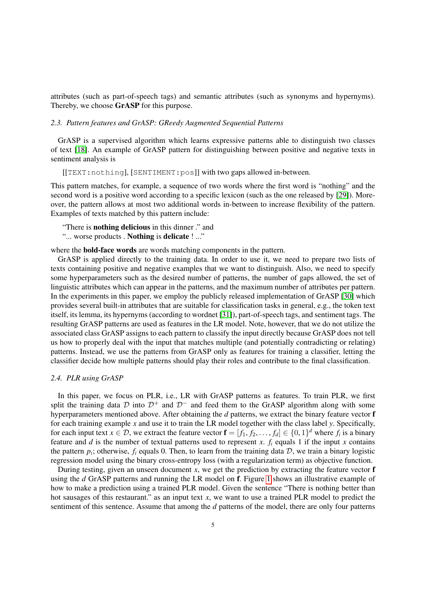attributes (such as part-of-speech tags) and semantic attributes (such as synonyms and hypernyms). Thereby, we choose GrASP for this purpose.

# <span id="page-4-0"></span>*2.3. Pattern features and GrASP: GReedy Augmented Sequential Patterns*

GrASP is a supervised algorithm which learns expressive patterns able to distinguish two classes of text [\[18\]](#page-52-14). An example of GrASP pattern for distinguishing between positive and negative texts in sentiment analysis is

[[TEXT:nothing], [SENTIMENT:pos]] with two gaps allowed in-between.

This pattern matches, for example, a sequence of two words where the first word is "nothing" and the second word is a positive word according to a specific lexicon (such as the one released by [\[29\]](#page-53-1)). Moreover, the pattern allows at most two additional words in-between to increase flexibility of the pattern. Examples of texts matched by this pattern include:

# "There is nothing delicious in this dinner ." and

"... worse products . Nothing is delicate ! ..."

where the **bold-face words** are words matching components in the pattern.

GrASP is applied directly to the training data. In order to use it, we need to prepare two lists of texts containing positive and negative examples that we want to distinguish. Also, we need to specify some hyperparameters such as the desired number of patterns, the number of gaps allowed, the set of linguistic attributes which can appear in the patterns, and the maximum number of attributes per pattern. In the experiments in this paper, we employ the publicly released implementation of GrASP [\[30\]](#page-53-2) which provides several built-in attributes that are suitable for classification tasks in general, e.g., the token text itself, its lemma, its hypernyms (according to wordnet [\[31\]](#page-53-3)), part-of-speech tags, and sentiment tags. The resulting GrASP patterns are used as features in the LR model. Note, however, that we do not utilize the associated class GrASP assigns to each pattern to classify the input directly because GrASP does not tell us how to properly deal with the input that matches multiple (and potentially contradicting or relating) patterns. Instead, we use the patterns from GrASP only as features for training a classifier, letting the classifier decide how multiple patterns should play their roles and contribute to the final classification.

# <span id="page-4-1"></span>*2.4. PLR using GrASP*

In this paper, we focus on PLR, i.e., LR with GrASP patterns as features. To train PLR, we first split the training data D into  $\mathcal{D}^+$  and  $\mathcal{D}^-$  and feed them to the GrASP algorithm along with some hyperparameters mentioned above. After obtaining the *d* patterns, we extract the binary feature vector f for each training example *x* and use it to train the LR model together with the class label *y*. Specifically, for each input text  $x \in \mathcal{D}$ , we extract the feature vector  $\mathbf{f} = [f_1, f_2, \dots, f_d] \in \{0, 1\}^d$  where  $f_i$  is a binary feature and *d* is the number of textual patterns used to represent  $x$ ,  $f_i$  equals 1 if the inpu feature and *d* is the number of textual patterns used to represent *x*.  $f_i$  equals 1 if the input *x* contains the pattern  $p_i$ ; otherwise,  $f_i$  equals 0. Then, to learn from the training data  $D$ , we train a binary logistic regression model using the binary cross-entropy loss (with a regularization term) as objective function.

During testing, given an unseen document  $x$ , we get the prediction by extracting the feature vector  $f$ using the *d* GrASP patterns and running the LR model on f. Figure [1](#page-5-1) shows an illustrative example of how to make a prediction using a trained PLR model. Given the sentence "There is nothing better than hot sausages of this restaurant." as an input text *x*, we want to use a trained PLR model to predict the sentiment of this sentence. Assume that among the *d* patterns of the model, there are only four patterns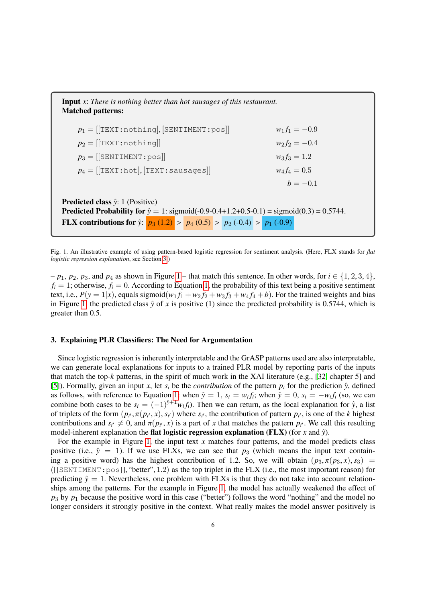Input *x*: *There is nothing better than hot sausages of this restaurant.* Matched patterns:  $p_1 = [[\texttt{TEST:nothing},[\texttt{SENTIMENT:pos}]]$   $w_1 f_1 = -0.9$ <br>  $p_2 = [[\texttt{TEXT:nothing}]]$   $w_2 f_2 = -0.4$  $p_2 = [[\text{TEXT:nothing}]]$   $w_2 f_2 = -0$ <br>  $p_3 = [[\text{SENTIMENT:pos}]]$   $w_3 f_3 = 1.2$  $p_3 = [[\text{SENTIMENT:pos}]]$   $w_3 f_3 = 1.2$ <br> $p_4 = [[\text{TEXT:hot}].[\text{TEXT:sausages}]]$   $w_4 f_4 = 0.5$  $p_4 = [[\texttt{TEXT:hot}],[\texttt{TEXT:sausages}]]$  $b = -0.1$ Predicted class  $\hat{y}$ : 1 (Positive) **Predicted Probability for**  $\hat{y} = 1$ : sigmoid(-0.9-0.4+1.2+0.5-0.1) = sigmoid(0.3) = 0.5744. **FLX contributions for**  $\hat{y}$ :  $p_3 (1.2) > p_4 (0.5) > p_2 (-0.4) > p_1 (-0.9)$ 

<span id="page-5-1"></span>Fig. 1. An illustrative example of using pattern-based logistic regression for sentiment analysis. (Here, FLX stands for *flat logistic regression explanation*, see Section [3.](#page-5-0))

 $-p_1, p_2, p_3$ , and  $p_4$  as shown in Figure [1](#page-5-1) – that match this sentence. In other words, for  $i \in \{1, 2, 3, 4\}$ ,  $f_i = 1$ ; otherwise,  $f_i = 0$ . According to Equation [1,](#page-3-3) the probability of this text being a positive sentiment text, i.e.,  $P(y = 1|x)$ , equals sigmoid $(w_1 f_1 + w_2 f_2 + w_3 f_3 + w_4 f_4 + b)$ . For the trained weights and bias in Figure [1,](#page-5-1) the predicted class  $\hat{y}$  of *x* is positive (1) since the predicted probability is 0.5744, which is greater than 0.5.

# <span id="page-5-0"></span>3. Explaining PLR Classifiers: The Need for Argumentation

Since logistic regression is inherently interpretable and the GrASP patterns used are also interpretable, we can generate local explanations for inputs to a trained PLR model by reporting parts of the inputs that match the top-*k* patterns, in the spirit of much work in the XAI literature (e.g., [\[32,](#page-53-4) chapter 5] and [\[5\]](#page-52-1)). Formally, given an input *x*, let  $s_i$  be the *contribution* of the pattern  $p_i$  for the prediction  $\hat{y}$ , defined as follows, with reference to Equation [1:](#page-3-3) when  $\hat{y} = 1$ ,  $s_i = w_i f_i$ ; when  $\hat{y} = 0$ ,  $s_i = -w_i f_i$  (so, we can combine both cases to be  $s_i = (-1)^{\hat{y}+1} w_i f_i$ . Then we can return, as the local explanation for  $\hat{y}$ , a list of triplets of the form  $(p_{i'}, \pi(p_{i'}, x), s_{i'})$  where  $s_{i'}$ , the contribution of pattern  $p_{i'}$ , is one of the *k* highest<br>contributions and  $s_{i'} \neq 0$  and  $\pi(p_{i'}; x)$  is a part of *x* that matches the pattern  $p_{i'}$ . We cal contributions and  $s_{i'} \neq 0$ , and  $\pi(p_{i'}, x)$  is a part of *x* that matches the pattern  $p_{i'}$ . We call this resulting model-inherent explanation the **flat logistic regression explanation** (**FLX**) (for *x* and  $\hat{v}$ ) model-inherent explanation the **flat logistic regression explanation (FLX)** (for  $x$  and  $\hat{y}$ ).

For the example in Figure [1,](#page-5-1) the input text *x* matches four patterns, and the model predicts class positive (i.e.,  $\hat{y} = 1$ ). If we use FLXs, we can see that  $p_3$  (which means the input text containing a positive word) has the highest contribution of 1.2. So, we will obtain  $(p_3, \pi(p_3, x), s_3)$ ([[SENTIMENT:pos]], "better", <sup>1</sup>.2) as the top triplet in the FLX (i.e., the most important reason) for predicting  $\hat{y} = 1$ . Nevertheless, one problem with FLXs is that they do not take into account relationships among the patterns. For the example in Figure [1,](#page-5-1) the model has actually weakened the effect of  $p_3$  by  $p_1$  because the positive word in this case ("better") follows the word "nothing" and the model no longer considers it strongly positive in the context. What really makes the model answer positively is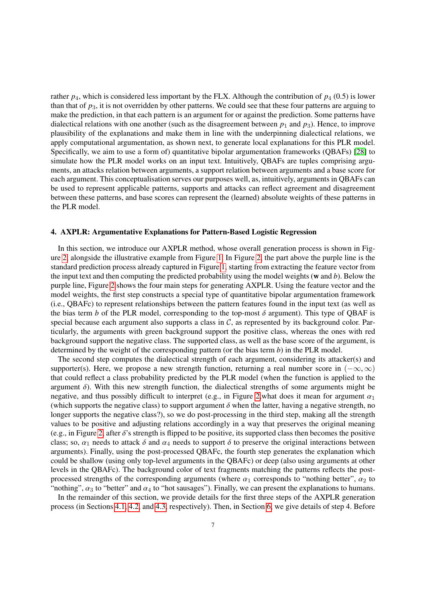rather  $p_4$ , which is considered less important by the FLX. Although the contribution of  $p_4$  (0.5) is lower than that of *p*3, it is not overridden by other patterns. We could see that these four patterns are arguing to make the prediction, in that each pattern is an argument for or against the prediction. Some patterns have dialectical relations with one another (such as the disagreement between  $p_1$  and  $p_3$ ). Hence, to improve plausibility of the explanations and make them in line with the underpinning dialectical relations, we apply computational argumentation, as shown next, to generate local explanations for this PLR model. Specifically, we aim to use a form of) quantitative bipolar argumentation frameworks (QBAFs) [\[28\]](#page-53-0) to simulate how the PLR model works on an input text. Intuitively, QBAFs are tuples comprising arguments, an attacks relation between arguments, a support relation between arguments and a base score for each argument. This conceptualisation serves our purposes well, as, intuitively, arguments in QBAFs can be used to represent applicable patterns, supports and attacks can reflect agreement and disagreement between these patterns, and base scores can represent the (learned) absolute weights of these patterns in the PLR model.

# <span id="page-6-0"></span>4. AXPLR: Argumentative Explanations for Pattern-Based Logistic Regression

In this section, we introduce our AXPLR method, whose overall generation process is shown in Figure [2,](#page-7-0) alongside the illustrative example from Figure [1.](#page-5-1) In Figure [2,](#page-7-0) the part above the purple line is the standard prediction process already captured in Figure [1,](#page-5-1) starting from extracting the feature vector from the input text and then computing the predicted probability using the model weights (w and *b*). Below the purple line, Figure [2](#page-7-0) shows the four main steps for generating AXPLR. Using the feature vector and the model weights, the first step constructs a special type of quantitative bipolar argumentation framework (i.e., QBAFc) to represent relationships between the pattern features found in the input text (as well as the bias term *b* of the PLR model, corresponding to the top-most  $\delta$  argument). This type of OBAF is special because each argument also supports a class in  $C$ , as represented by its background color. Particularly, the arguments with green background support the positive class, whereas the ones with red background support the negative class. The supported class, as well as the base score of the argument, is determined by the weight of the corresponding pattern (or the bias term *b*) in the PLR model.

The second step computes the dialectical strength of each argument, considering its attacker(s) and supporter(s). Here, we propose a new strength function, returning a real number score in  $(-\infty, \infty)$ that could reflect a class probability predicted by the PLR model (when the function is applied to the argument  $\delta$ ). With this new strength function, the dialectical strengths of some arguments might be negative, and thus possibly difficult to interpret (e.g., in Figure [2,](#page-7-0) what does it mean for argument  $\alpha_1$ (which supports the negative class) to support argument  $\delta$  when the latter, having a negative strength, no longer supports the negative class?), so we do post-processing in the third step, making all the strength values to be positive and adjusting relations accordingly in a way that preserves the original meaning (e.g., in Figure [2,](#page-7-0) after δ's strength is flipped to be positive, its supported class then becomes the positive class; so,  $\alpha_1$  needs to attack  $\delta$  and  $\alpha_4$  needs to support  $\delta$  to preserve the original interactions between arguments). Finally, using the post-processed QBAFc, the fourth step generates the explanation which could be shallow (using only top-level arguments in the QBAFc) or deep (also using arguments at other levels in the QBAFc). The background color of text fragments matching the patterns reflects the postprocessed strengths of the corresponding arguments (where  $\alpha_1$  corresponds to "nothing better",  $\alpha_2$  to "nothing",  $\alpha_3$  to "better" and  $\alpha_4$  to "hot sausages"). Finally, we can present the explanations to humans.

In the remainder of this section, we provide details for the first three steps of the AXPLR generation process (in Sections [4.1,](#page-8-0) [4.2,](#page-11-0) and [4.3,](#page-13-0) respectively). Then, in Section [6,](#page-16-0) we give details of step 4. Before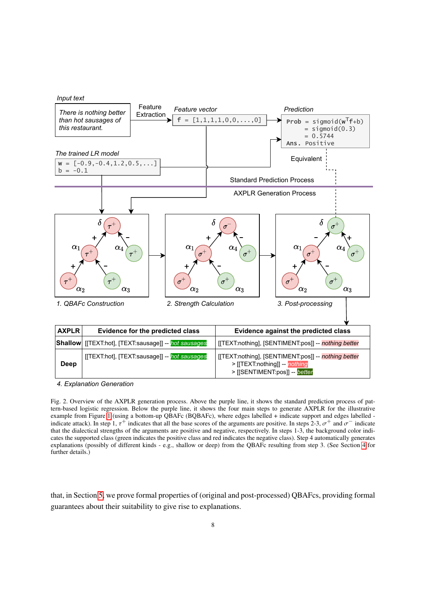

*<sup>4.</sup> Explanation Generation*

<span id="page-7-0"></span>Fig. 2. Overview of the AXPLR generation process. Above the purple line, it shows the standard prediction process of pattern-based logistic regression. Below the purple line, it shows the four main steps to generate AXPLR for the illustrative example from Figure [1](#page-5-1) (using a bottom-up QBAFc (BQBAFc), where edges labelled + indicate support and edges labelled indicate attack). In step 1,  $\tau^+$  indicates that all the base scores of the arguments are positive. In steps 2-3,  $\sigma^+$  and  $\sigma^-$  indicate that the dialectical strengths of the arguments are positive and negative respe that the dialectical strengths of the arguments are positive and negative, respectively. In steps 1-3, the background color indicates the supported class (green indicates the positive class and red indicates the negative class). Step 4 automatically generates explanations (possibly of different kinds - e.g., shallow or deep) from the QBAFc resulting from step 3. (See Section [4](#page-6-0) for further details.)

that, in Section [5,](#page-14-0) we prove formal properties of (original and post-processed) QBAFcs, providing formal guarantees about their suitability to give rise to explanations.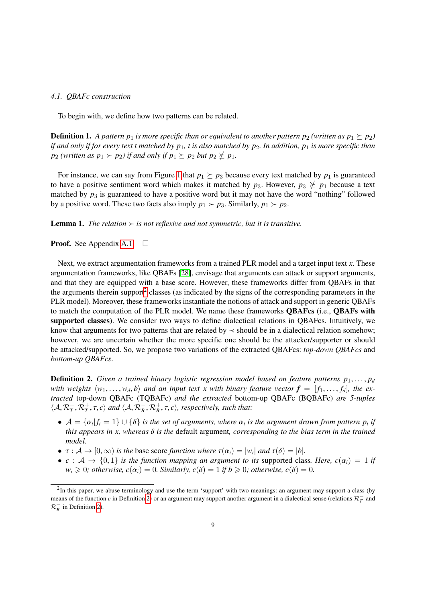#### <span id="page-8-0"></span>*4.1. QBAFc construction*

To begin with, we define how two patterns can be related.

<span id="page-8-4"></span>**Definition 1.** A pattern  $p_1$  is more specific than or equivalent to another pattern  $p_2$  (written as  $p_1 \succeq p_2$ ) *if and only if for every text t matched by p*1*, t is also matched by p*2*. In addition, p*<sup>1</sup> *is more specific than p*<sub>2</sub> (written as  $p_1 \succ p_2$ ) if and only if  $p_1 \succeq p_2$  but  $p_2 \not\leq p_1$ .

For instance, we can say from Figure [1](#page-5-1) that  $p_1 \succeq p_3$  because every text matched by  $p_1$  is guaranteed to have a positive sentiment word which makes it matched by  $p_3$ . However,  $p_3 \not\leq p_1$  because a text matched by  $p_3$  is guaranteed to have a positive word but it may not have the word "nothing" followed by a positive word. These two facts also imply  $p_1 \succ p_3$ . Similarly,  $p_1 \succ p_2$ .

<span id="page-8-3"></span>**Lemma 1.** The relation  $\succ$  is not reflexive and not symmetric, but it is transitive.

**Proof.** See Appendix [A.1.](#page-37-0)  $\Box$ 

Next, we extract argumentation frameworks from a trained PLR model and a target input text *x*. These argumentation frameworks, like QBAFs [\[28\]](#page-53-0), envisage that arguments can attack or support arguments, and that they are equipped with a base score. However, these frameworks differ from QBAFs in that the arguments therein support<sup>[2](#page-8-1)</sup> classes (as indicated by the signs of the corresponding parameters in the PLR model). Moreover, these frameworks instantiate the notions of attack and support in generic QBAFs to match the computation of the PLR model. We name these frameworks QBAFcs (i.e., QBAFs with supported classes). We consider two ways to define dialectical relations in QBAFcs. Intuitively, we know that arguments for two patterns that are related by  $\prec$  should be in a dialectical relation somehow; however, we are uncertain whether the more specific one should be the attacker/supporter or should be attacked/supported. So, we propose two variations of the extracted QBAFcs: *top-down QBAFcs* and *bottom-up QBAFcs*.

<span id="page-8-2"></span>**Definition 2.** Given a trained binary logistic regression model based on feature patterns  $p_1, \ldots, p_d$ *with weights*  $\langle w_1, \ldots, w_d, b \rangle$  and an input text x with binary feature vector  $f = [f_1, \ldots, f_d]$ , the ex*tracted* top-down QBAFc (TQBAFc) *and the extracted* bottom-up QBAFc (BQBAFc) *are 5-tuples*  $\langle A, \mathcal{R}_T^-, \mathcal{R}_T^+, \tau, c \rangle$  and  $\langle A, \mathcal{R}_B^-, \mathcal{R}_B^+, \tau, c \rangle$ , respectively, such that:

- $\mathcal{A} = \{\alpha_i | f_i = 1\} \cup \{\delta\}$  *is the set of arguments, where*  $\alpha_i$  *is the argument drawn from pattern p<sub>i</sub> <i>if this annears in x whereos*  $\delta$  *is the default argument corresponding to the bias term in the trained this appears in x, whereas* δ *is the* default argument*, corresponding to the bias term in the trained model.*
- $\tau : \mathcal{A} \to [0, \infty)$  *is the base score function where*  $\tau(\alpha_i) = |w_i|$  *and*  $\tau(\delta) = |b|$ .<br>•  $c : A \to [0, 1]$  *is the function manning an argument to its supported class*
- $c : A \rightarrow \{0,1\}$  *is the function mapping an argument to its supported class. Here,*  $c(\alpha_i) = 1$  *if*  $w_i \geq 0$ ; otherwise,  $c(\alpha_i) = 0$ . Similarly,  $c(\delta) = 1$  if  $b \geq 0$ ; otherwise,  $c(\delta) = 0$ .

<span id="page-8-1"></span> $2$ In this paper, we abuse terminology and use the term 'support' with two meanings: an argument may support a class (by means of the function *c* in Definition [2\)](#page-8-2) or an argument may support another argument in a dialectical sense (relations  $\mathcal{R}_T^-$  and  $\mathcal{R}_B^-$  in Definition [2\)](#page-8-2).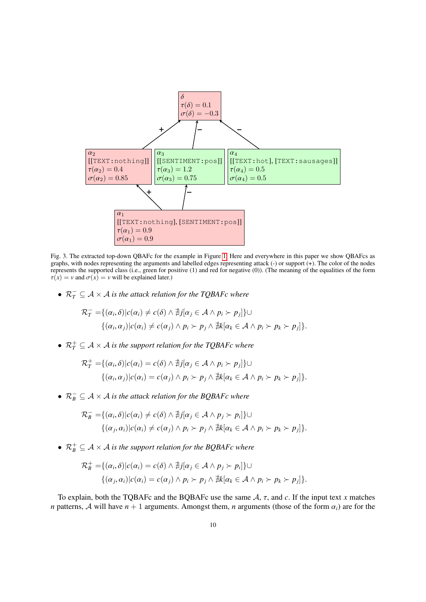

<span id="page-9-0"></span>Fig. 3. The extracted top-down QBAFc for the example in Figure [1.](#page-5-1) Here and everywhere in this paper we show QBAFcs as graphs, with nodes representing the arguments and labelled edges representing attack (-) or support (+). The color of the nodes represents the supported class (i.e., green for positive (1) and red for negative (0)). (The meaning of the equalities of the form  $\tau(x) = v$  and  $\sigma(x) = v$  will be explained later.)

•  $\mathcal{R}_T^- \subseteq \mathcal{A} \times \mathcal{A}$  *is the attack relation for the TQBAFc where* 

$$
\mathcal{R}_T^- = \{(\alpha_i, \delta) | c(\alpha_i) \neq c(\delta) \land \nexists j [\alpha_j \in \mathcal{A} \land p_i \succ p_j] \} \cup \{(\alpha_i, \alpha_j) | c(\alpha_i) \neq c(\alpha_j) \land p_i \succ p_j \land \nexists k [\alpha_k \in \mathcal{A} \land p_i \succ p_k \succ p_j] \}.
$$

•  $\mathcal{R}_T^+ \subseteq \mathcal{A} \times \mathcal{A}$  is the support relation for the TQBAFc where

$$
\mathcal{R}_T^+ = \{(\alpha_i, \delta) | c(\alpha_i) = c(\delta) \land \nexists j [\alpha_j \in \mathcal{A} \land p_i \succ p_j] \} \cup \n\{(\alpha_i, \alpha_j) | c(\alpha_i) = c(\alpha_j) \land p_i \succ p_j \land \nexists k [\alpha_k \in \mathcal{A} \land p_i \succ p_k \succ p_j] \}.
$$

•  $\mathcal{R}_{B}^{-} \subseteq A \times A$  *is the attack relation for the BQBAFc where* 

$$
\mathcal{R}_B^- = \{(\alpha_i, \delta) | c(\alpha_i) \neq c(\delta) \land \nexists j [\alpha_j \in \mathcal{A} \land p_j \succ p_i] \} \cup \{(\alpha_j, \alpha_i) | c(\alpha_i) \neq c(\alpha_j) \land p_i \succ p_j \land \nexists k [\alpha_k \in \mathcal{A} \land p_i \succ p_k \succ p_j] \}.
$$

•  $\mathcal{R}_B^+ \subseteq \mathcal{A} \times \mathcal{A}$  is the support relation for the BQBAFc where

$$
\mathcal{R}_{B}^{+} = \{(\alpha_{i}, \delta) | c(\alpha_{i}) = c(\delta) \land \nexists j [\alpha_{j} \in \mathcal{A} \land p_{j} \succ p_{i}] \} \cup \n\{(\alpha_{j}, \alpha_{i}) | c(\alpha_{i}) = c(\alpha_{j}) \land p_{i} \succ p_{j} \land \nexists k [\alpha_{k} \in \mathcal{A} \land p_{i} \succ p_{k} \succ p_{j}]\}.
$$

To explain, both the TQBAFc and the BQBAFc use the same <sup>A</sup>, τ, and *<sup>c</sup>*. If the input text *<sup>x</sup>* matches *n* patterns, A will have  $n + 1$  arguments. Amongst them, *n* arguments (those of the form  $\alpha_i$ ) are for the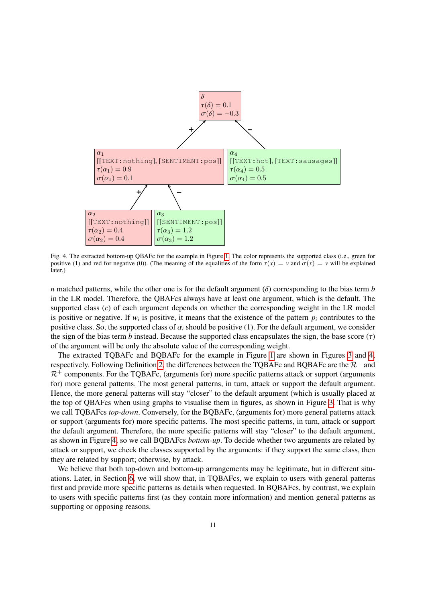

<span id="page-10-0"></span>Fig. 4. The extracted bottom-up QBAFc for the example in Figure [1.](#page-5-1) The color represents the supported class (i.e., green for positive (1) and red for negative (0)). (The meaning of the equalities of the form  $\tau(x) = v$  and  $\sigma(x) = v$  will be explained later.)

*n* matched patterns, while the other one is for the default argument  $(\delta)$  corresponding to the bias term *b* in the LR model. Therefore, the QBAFcs always have at least one argument, which is the default. The supported class (*c*) of each argument depends on whether the corresponding weight in the LR model is positive or negative. If  $w_i$  is positive, it means that the existence of the pattern  $p_i$  contributes to the positive class. So, the supported class of  $\alpha_i$  should be positive (1). For the default argument, we consider the sign of the bias term *b* instead. Because the supported class encapsulates the sign, the base score  $(τ)$ of the argument will be only the absolute value of the corresponding weight.

The extracted TQBAFc and BQBAFc for the example in Figure [1](#page-5-1) are shown in Figures [3](#page-9-0) and [4,](#page-10-0) respectively. Following Definition [2,](#page-8-2) the differences between the TOBAFc and BOBAFc are the  $\mathcal{R}^-$  and  $\mathcal{R}^+$  components. For the TOBAFc, (arguments for) more specific patterns attack or support (arguments for) more general patterns. The most general patterns, in turn, attack or support the default argument. Hence, the more general patterns will stay "closer" to the default argument (which is usually placed at the top of QBAFcs when using graphs to visualise them in figures, as shown in Figure [3.](#page-9-0) That is why we call TQBAFcs *top-down*. Conversely, for the BQBAFc, (arguments for) more general patterns attack or support (arguments for) more specific patterns. The most specific patterns, in turn, attack or support the default argument. Therefore, the more specific patterns will stay "closer" to the default argument, as shown in Figure [4,](#page-10-0) so we call BQBAFcs *bottom-up*. To decide whether two arguments are related by attack or support, we check the classes supported by the arguments: if they support the same class, then they are related by support; otherwise, by attack.

We believe that both top-down and bottom-up arrangements may be legitimate, but in different situations. Later, in Section [6,](#page-16-0) we will show that, in TQBAFcs, we explain to users with general patterns first and provide more specific patterns as details when requested. In BQBAFcs, by contrast, we explain to users with specific patterns first (as they contain more information) and mention general patterns as supporting or opposing reasons.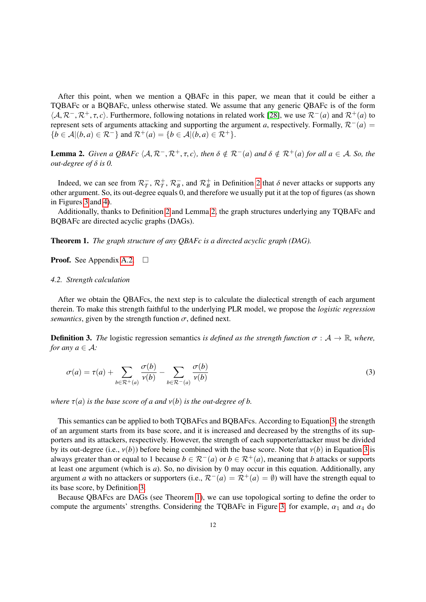After this point, when we mention a QBAFc in this paper, we mean that it could be either a TQBAFc or a BQBAFc, unless otherwise stated. We assume that any generic QBAFc is of the form  $\mathcal{A}, \mathcal{R}^-, \mathcal{R}^+, \tau, c$ . Furthermore, following notations in related work [\[28\]](#page-53-0), we use  $\mathcal{R}^-(a)$  and  $\mathcal{R}^+(a)$  to represent sets of arguments attacking and supporting the argument *a*, respectively. Formally,  $\mathcal{R}^{-}(a)$  =  ${b \in A | (b, a) \in \mathcal{R}^-}$  and  $\mathcal{R}^+(a) = {b \in A | (b, a) \in \mathcal{R}^+}.$ 

<span id="page-11-1"></span>**Lemma 2.** *Given a QBAFc*  $\langle A, \mathcal{R}^-, \mathcal{R}^+, \tau, c \rangle$ , then  $\delta \notin \mathcal{R}^-(a)$  and  $\delta \notin \mathcal{R}^+(a)$  for all  $a \in \mathcal{A}$ . So, the *out-degree of* δ *is 0.*

Indeed, we can see from  $\mathcal{R}_T^-$ ,  $\mathcal{R}_T^+$ ,  $\mathcal{R}_B^-$ , and  $\mathcal{R}_B^+$  in Definition [2](#page-8-2) that  $\delta$  never attacks or supports any her argument. So, its out-degree equals 0, and therefore we usually put it at the top of other argument. So, its out-degree equals 0, and therefore we usually put it at the top of figures (as shown in Figures [3](#page-9-0) and [4\)](#page-10-0).

Additionally, thanks to Definition [2](#page-8-2) and Lemma [2,](#page-11-1) the graph structures underlying any TQBAFc and BQBAFc are directed acyclic graphs (DAGs).

<span id="page-11-4"></span>Theorem 1. *The graph structure of any QBAFc is a directed acyclic graph (DAG).*

**Proof.** See Appendix [A.2.](#page-37-1)  $\Box$ 

# <span id="page-11-0"></span>*4.2. Strength calculation*

After we obtain the QBAFcs, the next step is to calculate the dialectical strength of each argument therein. To make this strength faithful to the underlying PLR model, we propose the *logistic regression semantics*, given by the strength function  $\sigma$ , defined next.

<span id="page-11-3"></span>**Definition 3.** *The* logistic regression semantics *is defined as the strength function*  $\sigma : A \to \mathbb{R}$ *, where, for any*  $a \in \mathcal{A}$ *:* 

<span id="page-11-2"></span>
$$
\sigma(a) = \tau(a) + \sum_{b \in \mathcal{R}^+(a)} \frac{\sigma(b)}{\nu(b)} - \sum_{b \in \mathcal{R}^-(a)} \frac{\sigma(b)}{\nu(b)}
$$
(3)

*where*  $\tau(a)$  *is the base score of a and*  $\nu(b)$  *is the out-degree of b.* 

This semantics can be applied to both TQBAFcs and BQBAFcs. According to Equation [3,](#page-11-2) the strength of an argument starts from its base score, and it is increased and decreased by the strengths of its supporters and its attackers, respectively. However, the strength of each supporter/attacker must be divided by its out-degree (i.e.,  $v(b)$ ) before being combined with the base score. Note that  $v(b)$  in Equation [3](#page-11-2) is always greater than or equal to 1 because  $b \in \mathcal{R}^-(a)$  or  $b \in \mathcal{R}^+(a)$ , meaning that *b* attacks or supports at least one argument (which is *a*). So, no division by 0 may occur in this equation. Additionally, any argument *a* with no attackers or supporters (i.e.,  $\mathcal{R}^{-}(a) = \mathcal{R}^{+}(a) = \emptyset$ ) will have the strength equal to its base score, by Definition [3.](#page-11-3)

Because QBAFcs are DAGs (see Theorem [1\)](#page-11-4), we can use topological sorting to define the order to compute the arguments' strengths. Considering the TQBAFc in Figure [3,](#page-9-0) for example,  $\alpha_1$  and  $\alpha_4$  do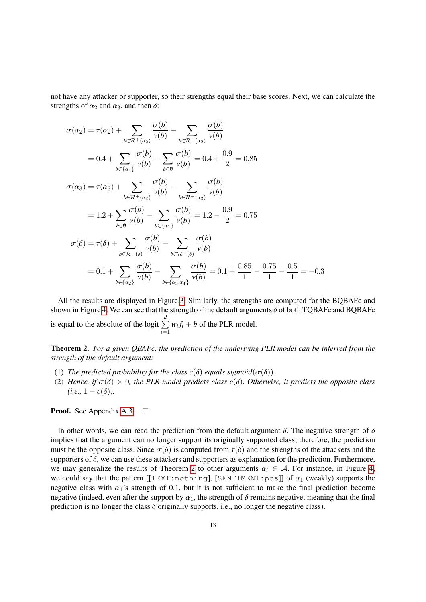not have any attacker or supporter, so their strengths equal their base scores. Next, we can calculate the strengths of  $\alpha_2$  and  $\alpha_3$ , and then  $\delta$ :

$$
\sigma(\alpha_2) = \tau(\alpha_2) + \sum_{b \in \mathcal{R}^+( \alpha_2)} \frac{\sigma(b)}{\nu(b)} - \sum_{b \in \mathcal{R}^-( \alpha_2)} \frac{\sigma(b)}{\nu(b)}
$$
  
\n= 0.4 +  $\sum_{b \in \{\alpha_1\}} \frac{\sigma(b)}{\nu(b)} - \sum_{b \in \emptyset} \frac{\sigma(b)}{\nu(b)} = 0.4 + \frac{0.9}{2} = 0.85$   
\n
$$
\sigma(\alpha_3) = \tau(\alpha_3) + \sum_{b \in \mathcal{R}^+( \alpha_3)} \frac{\sigma(b)}{\nu(b)} - \sum_{b \in \mathcal{R}^-( \alpha_3)} \frac{\sigma(b)}{\nu(b)}
$$
  
\n= 1.2 +  $\sum_{b \in \emptyset} \frac{\sigma(b)}{\nu(b)} - \sum_{b \in \{\alpha_1\}} \frac{\sigma(b)}{\nu(b)} = 1.2 - \frac{0.9}{2} = 0.75$   
\n
$$
\sigma(\delta) = \tau(\delta) + \sum_{b \in \mathcal{R}^+( \delta)} \frac{\sigma(b)}{\nu(b)} - \sum_{b \in \mathcal{R}^-( \delta)} \frac{\sigma(b)}{\nu(b)}
$$
  
\n= 0.1 +  $\sum_{b \in \{\alpha_2\}} \frac{\sigma(b)}{\nu(b)} - \sum_{b \in \{\alpha_3, \alpha_4\}} \frac{\sigma(b)}{\nu(b)} = 0.1 + \frac{0.85}{1} - \frac{0.75}{1} - \frac{0.5}{1} = -0.3$ 

All the results are displayed in Figure [3.](#page-9-0) Similarly, the strengths are computed for the BQBAFc and shown in Figure [4.](#page-10-0) We can see that the strength of the default arguments  $\delta$  of both TQBAFc and BQBAFc is equal to the absolute of the logit  $\sum_{n=1}^{d}$ *i*=1  $w_i f_i + b$  of the PLR model.

<span id="page-12-0"></span>Theorem 2. *For a given QBAFc, the prediction of the underlying PLR model can be inferred from the strength of the default argument:*

- (1) *The predicted probability for the class*  $c(\delta)$  *equals sigmoid* $(\sigma(\delta))$ *.*
- (2) *Hence, if*  $\sigma(\delta) > 0$ *, the PLR model predicts class c(* $\delta$ *). Otherwise, it predicts the opposite class*  $(i.e., 1 - c(\delta)).$

**Proof.** See Appendix [A.3.](#page-38-0)  $\Box$ 

In other words, we can read the prediction from the default argument  $\delta$ . The negative strength of  $\delta$ implies that the argument can no longer support its originally supported class; therefore, the prediction must be the opposite class. Since  $\sigma(\delta)$  is computed from  $\tau(\delta)$  and the strengths of the attackers and the supporters of  $\delta$ , we can use these attackers and supporters as explanation for the prediction. Furthermore, we may generalize the results of Theorem [2](#page-12-0) to other arguments  $\alpha_i \in A$ . For instance, in Figure [4,](#page-10-0) we could say that the pattern [[TEXT:nothing], [SENTIMENT:pos]] of  $\alpha_1$  (weakly) supports the negative class with  $\alpha_1$ 's strength of 0.1, but it is not sufficient to make the final prediction become negative (indeed, even after the support by  $\alpha_1$ , the strength of  $\delta$  remains negative, meaning that the final prediction is no longer the class  $\delta$  originally supports, i.e., no longer the negative class).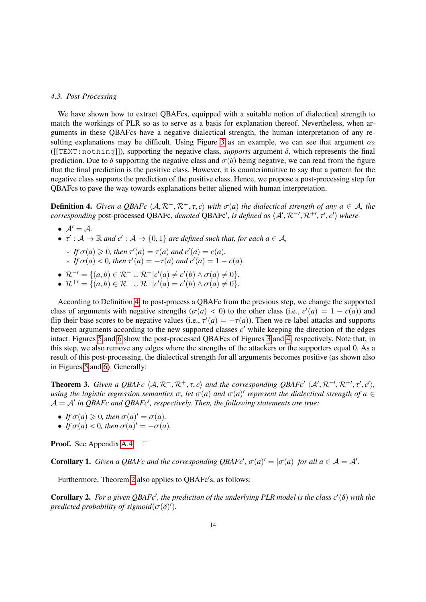#### <span id="page-13-0"></span>*4.3. Post-Processing*

We have shown how to extract QBAFcs, equipped with a suitable notion of dialectical strength to match the workings of PLR so as to serve as a basis for explanation thereof. Nevertheless, when arguments in these QBAFcs have a negative dialectical strength, the human interpretation of any re-sulting explanations may be difficult. Using Figure [3](#page-9-0) as an example, we can see that argument  $\alpha_2$ ( $[[TEXT:nothing]]$ ), supporting the negative class, *supports* argument  $\delta$ , which represents the final prediction. Due to  $\delta$  supporting the negative class and  $\sigma(\delta)$  being negative, we can read from the figure that the final prediction is the positive class. However, it is counterintuitive to say that a pattern for the negative class supports the prediction of the positive class. Hence, we propose a post-processing step for QBAFcs to pave the way towards explanations better aligned with human interpretation.

<span id="page-13-1"></span>**Definition 4.** *Given a QBAFc*  $\langle A, \mathcal{R}^-, \mathcal{R}^+, \tau, c \rangle$  *with*  $\sigma(a)$  *the dialectical strength of any*  $a \in \mathcal{A}$ *, the*  $corresponding$  post-processed QBAFc, *denoted* QBAFc', *is defined as*  $\langle A', \mathcal{R}^{-1}, \mathcal{R}^{+1}, \tau', c' \rangle$  where

- $A' = A$ .
- $\tau' : A \to \mathbb{R}$  *and*  $c' : A \to \{0,1\}$  *are defined such that, for each*  $a \in A$ *,* 
	- *\* If*  $\sigma(a) \ge 0$ *, then*  $\tau'(a) = \tau(a)$  *and*  $c'(a) = c(a)$ *.*<br>*\* If*  $\sigma(a) < 0$  *then*  $\tau'(a) = -\tau(a)$  *and*  $c'(a) = 1 \tau(a)$
	- *\* If*  $\sigma$ (*a*) < 0*, then*  $\tau'$ (*a*) =  $-\tau$ (*a*) *and*  $c'(a) = 1 c(a)$ *.*
- $\mathcal{R}^{-1} = \{ (a, b) \in \mathcal{R}^{-} \cup \mathcal{R}^{+} | c'(a) \neq c'(b) \land \sigma(a) \neq 0 \}.$ <br>•  $\mathcal{R}^{+1} \{ (a, b) \in \mathcal{R}^{-} \cup \mathcal{R}^{+} | c'(a) c'(b) \land \sigma(a) \neq 0 \}.$
- $\mathcal{R}^{+}{}' = \{(a,b) \in \mathcal{R}^- \cup \mathcal{R}^+ | c'(a) = c'(b) \wedge \sigma(a) \neq 0\}.$

According to Definition [4,](#page-13-1) to post-process a QBAFc from the previous step, we change the supported class of arguments with negative strengths ( $\sigma(a) < 0$ ) to the other class (i.e.,  $c'(a) = 1 - c(a)$ ) and flin their hase scores to be negative values (i.e.  $\tau'(a) = -\tau(a)$ ). Then we re-label attacks and supports flip their base scores to be negative values (i.e.,  $\tau'(a) = -\tau(a)$ ). Then we re-label attacks and supports between arouments according to the new supported classes  $c'$  while keeping the direction of the edges between arguments according to the new supported classes  $c'$  while keeping the direction of the edges intact. Figures [5](#page-14-1) and [6](#page-15-0) show the post-processed QBAFcs of Figures [3](#page-9-0) and [4,](#page-10-0) respectively. Note that, in this step, we also remove any edges where the strengths of the attackers or the supporters equal 0. As a result of this post-processing, the dialectical strength for all arguments becomes positive (as shown also in Figures [5](#page-14-1) and [6\)](#page-15-0). Generally:

<span id="page-13-4"></span>**Theorem 3.** *Given a QBAFc*  $\langle A, \mathcal{R}^-, \mathcal{R}^+, \tau, c \rangle$  *and the corresponding QBAFc<sup>1</sup>*  $\langle A', \mathcal{R}^{-}, \mathcal{R}^{+,} \tau', c' \rangle$ , *csing the logistic regression semantics*  $\sigma$ , *let*  $\sigma(a)$  *and*  $\sigma(a)'$  *represent the dialectic using the logistic regression semantics*  $\sigma$ , *let*  $\sigma$ (*a*) *and*  $\sigma$ (*a*)' represent the dialectical strength of a  $\in$   $\Delta - \Delta'$  in OBAFc and OBAFc' respectively. Then the following statements are true:  $A = A'$  in QBAFc and QBAFc', respectively. Then, the following statements are true:

- *If*  $\sigma(a) \ge 0$ *, then*  $\sigma(a)' = \sigma(a)$ .<br>• *If*  $\sigma(a) < 0$  *then*  $\sigma(a)' = -\sigma(a)$
- If  $\sigma(a) < 0$ , then  $\sigma(a)' = -\sigma(a)$ .

**Proof.** See Appendix [A.4.](#page-41-0)  $\Box$ 

<span id="page-13-2"></span>**Corollary 1.** *Given a QBAFc and the corresponding QBAFc',*  $\sigma(a)' = |\sigma(a)|$  *for all*  $a \in A = A'$ .

Furthermore, Theorem [2](#page-12-0) also applies to QBAFc's, as follows:

<span id="page-13-3"></span>**Corollary 2.** For a given QBAFc', the prediction of the underlying PLR model is the class  $c'(\delta)$  with the predicted probability of sigmoid( $\sigma(\delta)'$ )  $predicted \ probability \ of \ sigmoid(\sigma(\delta)').$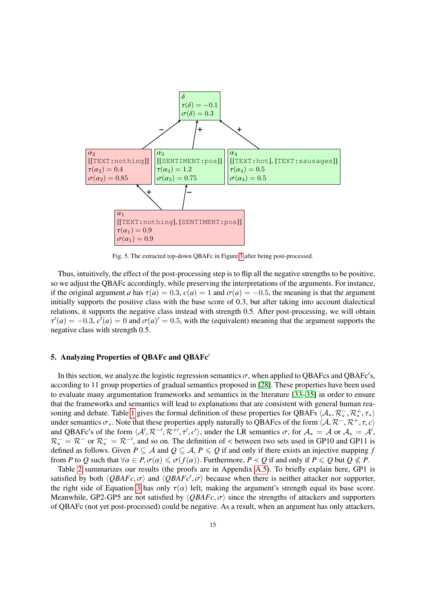

<span id="page-14-1"></span>Fig. 5. The extracted top-down QBAFc in Figure [3](#page-9-0) after being post-processed.

Thus, intuitively, the effect of the post-processing step is to flip all the negative strengths to be positive, so we adjust the QBAFc accordingly, while preserving the interpretations of the arguments. For instance, if the original argument *a* has  $\tau(a) = 0.3$ ,  $c(a) = 1$  and  $\sigma(a) = -0.5$ , the meaning is that the argument initially supports the positive class with the base score of 0.3, but after taking into account dialectical relations, it supports the negative class instead with strength 0.5. After post-processing, we will obtain  $\frac{1}{2}$  negative class with strength 0.5.  $\sigma'(a) = -0.3$ ,  $c'(a) = 0$  and  $\sigma(a)' = 0.5$ , with the (equivalent) meaning that the argument supports the equivalent) of  $\sigma'(a)$ 

# <span id="page-14-0"></span>5. Analyzing Properties of QBAFc and QBAFc'

In this section, we analyze the logistic regression semantics  $\sigma$ , when applied to QBAFcs and QBAFc's, cording to 11 group properties of gradual semantics proposed in [28]. These properties have been used according to 11 group properties of gradual semantics proposed in [\[28\]](#page-53-0). These properties have been used to evaluate many argumentation frameworks and semantics in the literature [\[33](#page-53-5)[–35\]](#page-53-6) in order to ensure that the frameworks and semantics will lead to explanations that are consistent with general human rea-soning and debate. Table [1](#page-15-1) gives the formal definition of these properties for QBAFs  $\langle A_*, \mathcal{R}_*, \mathcal{R}_*, \tau_* \rangle$ <br>under semantics  $\sigma$ . Note that these properties apply naturally to QBAFcs of the form  $\langle A, \mathcal{R}^-, \mathcal{R}^+, \$ under semantics  $\sigma_*$ . Note that these properties apply naturally to QBAFcs of the form  $\langle A, \mathcal{R}^-, \mathcal{R}^+, \tau, c \rangle$ and QBAFc's of the form  $\langle A', \mathcal{R}^{-1}, \mathcal{R}^{+1}, \tau', c' \rangle$ , under the LR semantics  $\sigma$ , for  $A_* = A$  or  $A_* = A'$ ,<br> $\mathcal{R}^- - \mathcal{R}^-$  or  $\mathcal{R}^- - \mathcal{R}^-$  and so on The definition of  $\epsilon$  between two sets used in GP10 and GP11  $\mathcal{R}_{+}^{-} = \mathcal{R}^{-}$  or  $\mathcal{R}_{+}^{-} = \mathcal{R}^{-}$ , and so on. The definition of < between two sets used in GP10 and GP11 is defined as follows. Given  $P \subset A$  and  $Q \subset A$ ,  $P \leq Q$  if and only if there exists an injective mannin defined as follows. Given  $P \subseteq A$  and  $Q \subseteq A$ ,  $P \leq Q$  if and only if there exists an injective mapping f from *P* to *Q* such that  $\forall \alpha \in P, \sigma(\alpha) \leq \sigma(f(\alpha))$ . Furthermore,  $P < Q$  if and only if  $P \leq Q$  but  $Q \leq P$ .

Table [2](#page-15-2) summarizes our results (the proofs are in Appendix [A.5\)](#page-44-0). To briefly explain here, GP1 is satisfied by both  $\langle QBAFc, \sigma \rangle$  and  $\langle QBAFc', \sigma \rangle$  because when there is neither attacker nor supporter,<br>the right side of Equation 3 has only  $\tau(\alpha)$  left, making the argument's strength equal its hase score the right side of Equation [3](#page-11-2) has only  $\tau(\alpha)$  left, making the argument's strength equal its base score. Meanwhile, GP2-GP5 are not satisfied by  $\langle OBAFc, \sigma \rangle$  since the strengths of attackers and supporters of QBAFc (not yet post-processed) could be negative. As a result, when an argument has only attackers,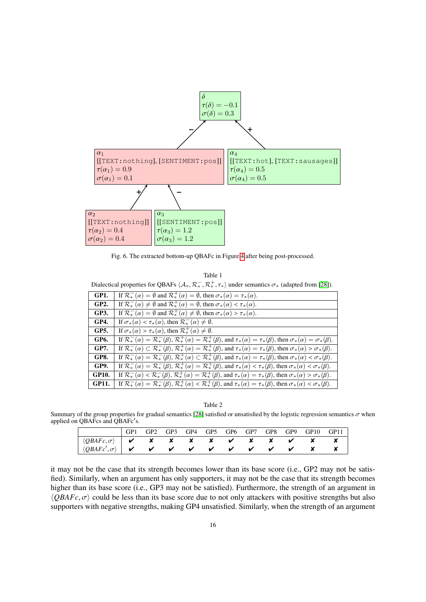

<span id="page-15-0"></span>Fig. 6. The extracted bottom-up QBAFc in Figure [4](#page-10-0) after being post-processed.

<span id="page-15-1"></span>

|  |  | Table 1 |  |                                                                                                                                              |  |
|--|--|---------|--|----------------------------------------------------------------------------------------------------------------------------------------------|--|
|  |  |         |  | Dialectical properties for QBAFs $\langle A_*, \mathcal{R}_*, \mathcal{R}_*, \tau_* \rangle$ under semantics $\sigma_*$ (adapted from [28]). |  |
|  |  |         |  |                                                                                                                                              |  |

| <b>GP1.</b>  | If $\mathcal{R}_{*}^{-}(\alpha) = \emptyset$ and $\mathcal{R}_{*}^{+}(\alpha) = \emptyset$ , then $\sigma_{*}(\alpha) = \tau_{*}(\alpha)$ .                                                                                                       |
|--------------|---------------------------------------------------------------------------------------------------------------------------------------------------------------------------------------------------------------------------------------------------|
| <b>GP2.</b>  | If $\mathcal{R}_{*}^{-}(\alpha) \neq \emptyset$ and $\mathcal{R}_{*}^{+}(\alpha) = \emptyset$ , then $\sigma_{*}(\alpha) < \tau_{*}(\alpha)$ .                                                                                                    |
| <b>GP3.</b>  | If $\mathcal{R}_{*}^{-}(\alpha) = \emptyset$ and $\mathcal{R}_{*}^{+}(\alpha) \neq \emptyset$ , then $\sigma_{*}(\alpha) > \tau_{*}(\alpha)$ .                                                                                                    |
| <b>GP4.</b>  | If $\sigma_*(\alpha) < \tau_*(\alpha)$ , then $\mathcal{R}^-_*(\alpha) \neq \emptyset$ .                                                                                                                                                          |
| <b>GP5.</b>  | If $\sigma_*(\alpha) > \tau_*(\alpha)$ , then $\mathcal{R}^+(\alpha) \neq \emptyset$ .                                                                                                                                                            |
| GP6.         | If $\mathcal{R}_{*}^-(\alpha) = \mathcal{R}_{*}^-(\beta)$ , $\mathcal{R}_{*}^+(\alpha) = \mathcal{R}_{*}^+(\beta)$ , and $\tau_*(\alpha) = \tau_*(\beta)$ , then $\sigma_*(\alpha) = \sigma_*(\beta)$ .                                           |
| <b>GP7.</b>  | If $\mathcal{R}_{*}^-(\alpha) \subset \mathcal{R}_{*}^-(\beta)$ , $\mathcal{R}_{*}^+(\alpha) = \mathcal{R}_{*}^+(\beta)$ , and $\tau_*(\alpha) = \tau_*(\beta)$ , then $\sigma_*(\alpha) > \sigma_*(\beta)$ .                                     |
| <b>GP8.</b>  | If $\overline{\mathcal{R}_*^-(\alpha)} = \overline{\mathcal{R}_*^-(\beta)}$ , $\overline{\mathcal{R}_*^+(\alpha)} \subset \overline{\mathcal{R}_*^+(\beta)}$ , and $\tau_*(\alpha) = \tau_*(\beta)$ , then $\sigma_*(\alpha) < \sigma_*(\beta)$ . |
| <b>GP9.</b>  | If $\mathcal{R}_{*}^{-}(\alpha) = \mathcal{R}_{*}^{-}(\beta), \mathcal{R}_{*}^{+}(\alpha) = \mathcal{R}_{*}^{+}(\beta)$ , and $\tau_{*}(\alpha) < \tau_{*}(\beta)$ , then $\sigma_{*}(\alpha) < \sigma_{*}(\beta)$ .                              |
| <b>GP10.</b> | If $\mathcal{R}_{*}^{-}(\alpha) < \mathcal{R}_{*}^{-}(\beta)$ , $\mathcal{R}_{*}^{+}(\alpha) = \mathcal{R}_{*}^{+}(\beta)$ , and $\tau_{*}(\alpha) = \tau_{*}(\beta)$ , then $\sigma_{*}(\alpha) > \sigma_{*}(\beta)$ .                           |
| GP11.        | If $\mathcal{R}_{*}^{-}(\alpha) = \mathcal{R}_{*}^{-}(\beta)$ , $\mathcal{R}_{*}^{+}(\alpha) < \mathcal{R}_{*}^{+}(\beta)$ , and $\tau_{*}(\alpha) = \tau_{*}(\beta)$ , then $\sigma_{*}(\alpha) < \sigma_{*}(\beta)$ .                           |

Table 2

<span id="page-15-2"></span>Summary of the group properties for gradual semantics [\[28\]](#page-53-0) satisfied or unsatisfied by the logistic regression semantics  $\sigma$  when applied on QBAFcs and QBAFc's.

|                                                                                                                                                                                                                                                                                                                                                                                                                                                                                                                |  |  |  | GP1 GP2 GP3 GP4 GP5 GP6 GP7 GP8 GP9 GP10 GP11 |  |
|----------------------------------------------------------------------------------------------------------------------------------------------------------------------------------------------------------------------------------------------------------------------------------------------------------------------------------------------------------------------------------------------------------------------------------------------------------------------------------------------------------------|--|--|--|-----------------------------------------------|--|
| $\begin{array}{c ccccccccc}\n\hline\n\langle \text{QBAFc}, \sigma \rangle & \boldsymbol{V} & \mathbf{X} & \mathbf{X} & \mathbf{X} & \mathbf{X} & \mathbf{Y} & \mathbf{X} & \mathbf{X} & \mathbf{X} & \mathbf{X} & \mathbf{X} & \mathbf{X} & \mathbf{X} & \mathbf{X} & \mathbf{X} & \mathbf{X} & \mathbf{X} & \mathbf{X} & \mathbf{X} & \mathbf{X} & \mathbf{X} & \mathbf{X} & \mathbf{X} & \mathbf{X} & \mathbf{X} & \mathbf{X} & \mathbf{X} &$                                                                |  |  |  |                                               |  |
| $\big \!\!\big\langle \mathcal{Q}\mathit{BAFc}',\sigma \rangle\!\!\big \bigvee\!\!\big \!\bigvee\!\!\bigvee\!\!\bigvee\!\!\bigvee\!\!\bigvee\!\!\bigvee\!\!\bigvee\!\!\bigvee\!\!\bigvee\!\!\bigvee\!\!\bigvee\!\!\bigvee\!\!\bigvee\!\!\bigvee\!\!\bigvee\!\!\bigvee\!\!\bigvee\!\!\bigvee\!\!\bigvee\!\!\bigvee\!\!\bigtriangle\!\!\bigvee\!\!\bigtriangle\!\!\bigtriangleup\!\!\bigtriangleup\!\!\bigtriangleup\!\!\bigtriangleup\!\!\bigtriangleup\!\!\bigtriangleup\!\!\bigtriangleup\!\!\bigtriangleup\$ |  |  |  |                                               |  |

it may not be the case that its strength becomes lower than its base score (i.e., GP2 may not be satisfied). Similarly, when an argument has only supporters, it may not be the case that its strength becomes higher than its base score (i.e., GP3 may not be satisfied). Furthermore, the strength of an argument in  $\langle OBAFc, \sigma \rangle$  could be less than its base score due to not only attackers with positive strengths but also supporters with negative strengths, making GP4 unsatisfied. Similarly, when the strength of an argument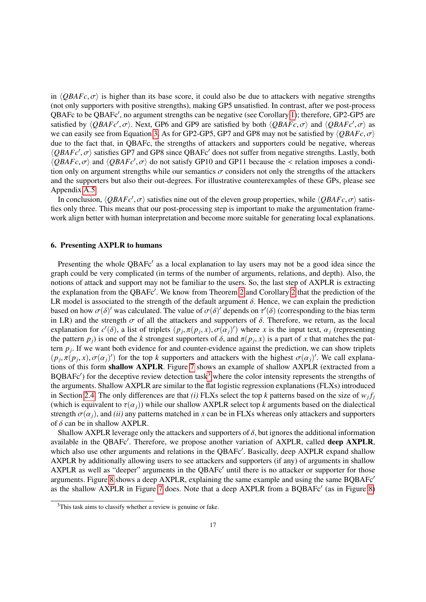in  $\langle OBAFc, \sigma \rangle$  is higher than its base score, it could also be due to attackers with negative strengths (not only supporters with positive strengths), making GP5 unsatisfied. In contrast, after we post-process QBAFc to be QBAFc', no argument strengths can be negative (see Corollary [1\)](#page-13-2); therefore, GP2-GP5 are satisfied by  $\langle QBAFc', \sigma \rangle$ . Next, GP6 and GP9 are satisfied by both  $\langle QBAFc, \sigma \rangle$  and  $\langle QBAFc', \sigma \rangle$  as<br>we can easily see from Equation 3, As for GP2-GP5, GP7 and GP8 may not be satisfied by *(OBAFc*,  $\sigma$ ) we can easily see from Equation [3.](#page-11-2) As for GP2-GP5, GP7 and GP8 may not be satisfied by  $\langle OBAFc, \sigma \rangle$ due to the fact that, in QBAFc, the strengths of attackers and supporters could be negative, whereas  $\langle QBAFc', \sigma \rangle$  satisfies GP7 and GP8 since QBAFc<sup>'</sup> does not suffer from negative strengths. Lastly, both  $\langle OBAFc', \sigma \rangle$  and  $\langle OBAFc', \sigma \rangle$  do not satisfy GP10 and GP11 because the  $\leq$  relation imposes a condi- $\langle QBAFc, \sigma \rangle$  and  $\langle QBAFc', \sigma \rangle$  do not satisfy GP10 and GP11 because the < relation imposes a condition only on argument strengths while our semantics  $\sigma$  considers not only the strengths of the attackers tion only on argument strengths while our semantics  $\sigma$  considers not only the strengths of the attackers and the supporters but also their out-degrees. For illustrative counterexamples of these GPs, please see Appendix [A.5.](#page-44-0)

In conclusion,  $\langle QBAFc', \sigma \rangle$  satisfies nine out of the eleven group properties, while  $\langle QBAFc, \sigma \rangle$  satis-<br>s only three. This means that our post-processing step is important to make the argumentation framefies only three. This means that our post-processing step is important to make the argumentation framework align better with human interpretation and become more suitable for generating local explanations.

### <span id="page-16-0"></span>6. Presenting AXPLR to humans

Presenting the whole QBAFc' as a local explanation to lay users may not be a good idea since the graph could be very complicated (in terms of the number of arguments, relations, and depth). Also, the notions of attack and support may not be familiar to the users. So, the last step of AXPLR is extracting the explanation from the QBAFc'. We know from Theorem [2](#page-13-3) and Corollary 2 that the prediction of the LR model is associated to the strength of the default argument  $\delta$ . Hence, we can explain the prediction based on how  $\sigma(\delta)$ ' was calculated. The value of  $\sigma(\delta)$ ' depends on  $\tau'(\delta)$  (corresponding to the bias term<br>in LR) and the strength  $\sigma$  of all the attackers and supporters of  $\delta$ . Therefore, we return as the local in LR) and the strength  $\sigma$  of all the attackers and supporters of  $\delta$ . Therefore, we return, as the local explanation for  $c'(\delta)$ , a list of triplets  $(p_j, \pi(p_j, x), \sigma(\alpha_j)')$  where *x* is the input text,  $\alpha_j$  (representing<br>the pattern *n*) is one of the *k* strongest supporters of  $\delta$  and  $\pi(n, x)$  is a part of *x* that matches t the pattern  $p_j$ ) is one of the *k* strongest supporters of  $\delta$ , and  $\pi(p_j, x)$  is a part of *x* that matches the pat-<br>term *n*. If we want both evidence for and counter-evidence against the prediction, we can show triple tern  $p_j$ . If we want both evidence for and counter-evidence against the prediction, we can show triplets  $(p_j, \pi(p_j, x), \sigma(\alpha_j)')$  for the top *k* supporters and attackers with the highest  $\sigma(\alpha_j)'$ . We call explana-<br>tions of this form **shallow AXPLR** Figure 7 shows an example of shallow AXPLR (extracted from a tions of this form shallow AXPLR. Figure [7](#page-17-1) shows an example of shallow AXPLR (extracted from a  $BQBAFc'$ ) for the deceptive review detection task<sup>[3](#page-16-1)</sup> where the color intensity represents the strengths of the arguments. Shallow AXPLR are similar to the flat logistic regression explanations (FLXs) introduced in Section [2.4.](#page-4-1) The only differences are that *(i)* FLXs select the top *k* patterns based on the size of  $w_j f_j$ (which is equivalent to  $\tau(\alpha_i)$ ) while our shallow AXPLR select top *k* arguments based on the dialectical strength  $\sigma(\alpha_i)$ , and *(ii)* any patterns matched in *x* can be in FLXs whereas only attackers and supporters of  $\delta$  can be in shallow AXPLR.

Shallow AXPLR leverage only the attackers and supporters of  $\delta$ , but ignores the additional information available in the QBAFc'. Therefore, we propose another variation of AXPLR, called deep AXPLR, which also use other arguments and relations in the QBAFc'. Basically, deep AXPLR expand shallow AXPLR by additionally allowing users to see attackers and supporters (if any) of arguments in shallow AXPLR as well as "deeper" arguments in the QBAFc' until there is no attacker or supporter for those arguments. Figure [8](#page-18-0) shows a deep AXPLR, explaining the same example and using the same BQBAFc' as the shallow AXPLR in Figure [7](#page-17-1) does. Note that a deep AXPLR from a BQBAFc' (as in Figure [8\)](#page-18-0)

<span id="page-16-1"></span><sup>3</sup>This task aims to classify whether a review is genuine or fake.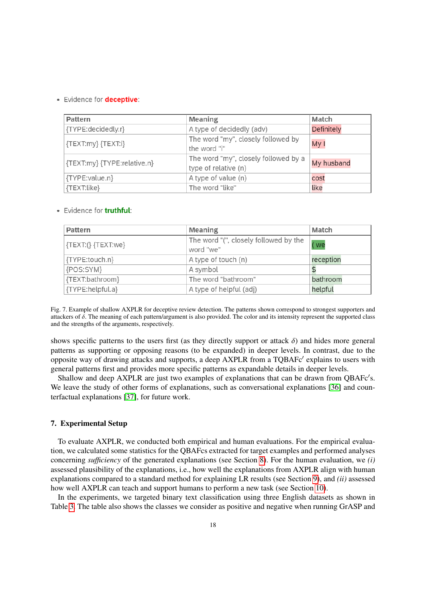# · Evidence for deceptive:

| Pattern                     | <b>Meaning</b>                       | Match             |  |
|-----------------------------|--------------------------------------|-------------------|--|
| {TYPE:decidedly.r}          | A type of decidedly (adv)            | <b>Definitely</b> |  |
| ${TEXT:my} {TEXT: i}$       | The word "my", closely followed by   | My I              |  |
|                             | the word "i"                         |                   |  |
| {TEXT:my} {TYPE:relative.n} | The word "my", closely followed by a | My husband        |  |
|                             | type of relative (n)                 |                   |  |
| {TYPE:value.n}              | A type of value (n)                  | cost              |  |
| {TEXT:like}                 | The word "like"                      | like              |  |

# · Evidence for truthful:

| Pattern               | <b>Meaning</b>                                     | Match     |
|-----------------------|----------------------------------------------------|-----------|
| $\{TEXT:\}$ {TEXT:we} | The word "(", closely followed by the<br>word "we" | we        |
| {TYPE:touch.n}        | A type of touch (n)                                | reception |
| {POS:SYM}             | A symbol                                           |           |
| {TEXT:bathroom}       | The word "bathroom"                                | bathroom  |
| {TYPE:helpful.a}      | A type of helpful (adj)                            | helpful   |

<span id="page-17-1"></span>Fig. 7. Example of shallow AXPLR for deceptive review detection. The patterns shown correspond to strongest supporters and attackers of  $\delta$ . The meaning of each pattern/argument is also provided. The color and its intensity represent the supported class and the strengths of the arguments, respectively.

shows specific patterns to the users first (as they directly support or attack  $\delta$ ) and hides more general patterns as supporting or opposing reasons (to be expanded) in deeper levels. In contrast, due to the opposite way of drawing attacks and supports, a deep AXPLR from a TQBAFc' explains to users with general patterns first and provides more specific patterns as expandable details in deeper levels.

Shallow and deep AXPLR are just two examples of explanations that can be drawn from QBAFc's. We leave the study of other forms of explanations, such as conversational explanations [\[36\]](#page-53-7) and counterfactual explanations [\[37\]](#page-53-8), for future work.

# <span id="page-17-0"></span>7. Experimental Setup

To evaluate AXPLR, we conducted both empirical and human evaluations. For the empirical evaluation, we calculated some statistics for the QBAFcs extracted for target examples and performed analyses concerning *sufficiency* of the generated explanations (see Section [8\)](#page-19-0). For the human evaluation, we *(i)* assessed plausibility of the explanations, i.e., how well the explanations from AXPLR align with human explanations compared to a standard method for explaining LR results (see Section [9\)](#page-26-0), and *(ii)* assessed how well AXPLR can teach and support humans to perform a new task (see Section [10\)](#page-29-0).

In the experiments, we targeted binary text classification using three English datasets as shown in Table [3.](#page-18-1) The table also shows the classes we consider as positive and negative when running GrASP and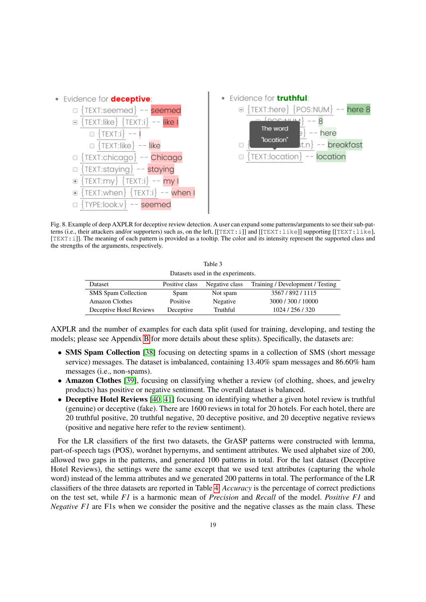



<span id="page-18-0"></span>Fig. 8. Example of deep AXPLR for deceptive review detection. A user can expand some patterns/arguments to see their sub-patterns (i.e., their attackers and/or supporters) such as, on the left, [[TEXT:i]] and [[TEXT:like]] supporting [[TEXT:like], [TEXT:i]]. The meaning of each pattern is provided as a tooltip. The color and its intensity represent the supported class and the strengths of the arguments, respectively.

<span id="page-18-1"></span>

| Datasets used in the experiments. |                |                |                                  |  |  |
|-----------------------------------|----------------|----------------|----------------------------------|--|--|
| Dataset                           | Positive class | Negative class | Training / Development / Testing |  |  |
| <b>SMS</b> Spam Collection        | Spam           | Not spam       | 3567/892/1115                    |  |  |
| <b>Amazon Clothes</b>             | Positive       | Negative       | 3000 / 300 / 10000               |  |  |
| Deceptive Hotel Reviews           | Deceptive      | Truthful       | 1024 / 256 / 320                 |  |  |

AXPLR and the number of examples for each data split (used for training, developing, and testing the models; please see Appendix [B](#page-50-0) for more details about these splits). Specifically, the datasets are:

- SMS Spam Collection [\[38\]](#page-53-9) focusing on detecting spams in a collection of SMS (short message service) messages. The dataset is imbalanced, containing 13.40% spam messages and 86.60% ham messages (i.e., non-spams).
- Amazon Clothes [\[39\]](#page-53-10), focusing on classifying whether a review (of clothing, shoes, and jewelry products) has positive or negative sentiment. The overall dataset is balanced.
- Deceptive Hotel Reviews [\[40,](#page-53-11) [41\]](#page-53-12) focusing on identifying whether a given hotel review is truthful (genuine) or deceptive (fake). There are 1600 reviews in total for 20 hotels. For each hotel, there are 20 truthful positive, 20 truthful negative, 20 deceptive positive, and 20 deceptive negative reviews (positive and negative here refer to the review sentiment).

For the LR classifiers of the first two datasets, the GrASP patterns were constructed with lemma, part-of-speech tags (POS), wordnet hypernyms, and sentiment attributes. We used alphabet size of 200, allowed two gaps in the patterns, and generated 100 patterns in total. For the last dataset (Deceptive Hotel Reviews), the settings were the same except that we used text attributes (capturing the whole word) instead of the lemma attributes and we generated 200 patterns in total. The performance of the LR classifiers of the three datasets are reported in Table [4.](#page-19-1) *Accuracy* is the percentage of correct predictions on the test set, while *F1* is a harmonic mean of *Precision* and *Recall* of the model. *Positive F1* and *Negative F1* are F1s when we consider the positive and the negative classes as the main class. These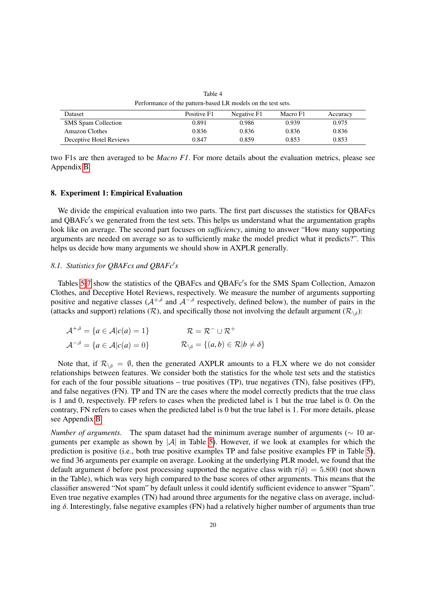<span id="page-19-1"></span>

| Performance of the pattern-based LR models on the test sets. |  |
|--------------------------------------------------------------|--|
| Table 4                                                      |  |
|                                                              |  |

| Dataset                    | Positive F1 | Negative F1 | Macro F1 | Accuracy |
|----------------------------|-------------|-------------|----------|----------|
| <b>SMS</b> Spam Collection | 0.891       | 0.986       | 0.939    | 0.975    |
| Amazon Clothes             | 0.836       | 0.836       | 0.836    | 0.836    |
| Deceptive Hotel Reviews    | 0.847       | 0.859       | 0.853    | 0.853    |

two F1s are then averaged to be *Macro F1*. For more details about the evaluation metrics, please see Appendix [B.](#page-50-0)

# <span id="page-19-0"></span>8. Experiment 1: Empirical Evaluation

We divide the empirical evaluation into two parts. The first part discusses the statistics for QBAFcs and QBAFc's we generated from the test sets. This helps us understand what the argumentation graphs look like on average. The second part focuses on *sufficiency*, aiming to answer "How many supporting arguments are needed on average so as to sufficiently make the model predict what it predicts?". This helps us decide how many arguments we should show in AXPLR generally.

# 8.1. Statistics for QBAFcs and QBAFc's

Tables [5-](#page-20-0)[7](#page-22-0) show the statistics of the QBAFcs and QBAFc's for the SMS Spam Collection, Amazon Clothes, and Deceptive Hotel Reviews, respectively. We measure the number of arguments supporting positive and negative classes ( $A^{+,\delta}$  and  $A^{-,\delta}$  respectively, defined below), the number of pairs in the (attacks and support) relations ( $R$ ), and specifically those not involving the default argument ( $R_{\setminus \delta}$ ):

| $A^{+, \delta} = \{ a \in A   c(a) = 1 \}$ | $\mathcal{R}=\mathcal{R}^-\cup\mathcal{R}^+$                                  |
|--------------------------------------------|-------------------------------------------------------------------------------|
| $A^{-,\delta} = \{a \in A   c(a) = 0\}$    | $\mathcal{R}_{\setminus \delta} = \{(a, b) \in \mathcal{R}   b \neq \delta\}$ |

Note that, if  $\mathcal{R}_{\setminus \delta} = \emptyset$ , then the generated AXPLR amounts to a FLX where we do not consider relationships between features. We consider both the statistics for the whole test sets and the statistics for each of the four possible situations – true positives (TP), true negatives (TN), false positives (FP), and false negatives (FN). TP and TN are the cases where the model correctly predicts that the true class is 1 and 0, respectively. FP refers to cases when the predicted label is 1 but the true label is 0. On the contrary, FN refers to cases when the predicted label is 0 but the true label is 1. For more details, please see Appendix [B.](#page-50-0)

*Number of arguments.* The spam dataset had the minimum average number of arguments (∼ 10 arguments per example as shown by  $|\mathcal{A}|$  in Table [5\)](#page-20-0). However, if we look at examples for which the prediction is positive (i.e., both true positive examples TP and false positive examples FP in Table [5\)](#page-20-0), we find 36 arguments per example on average. Looking at the underlying PLR model, we found that the default argument  $\delta$  before post processing supported the negative class with  $\tau(\delta) = 5.800$  (not shown in the Table), which was very high compared to the base scores of other arguments. This means that the classifier answered "Not spam" by default unless it could identify sufficient evidence to answer "Spam". Even true negative examples (TN) had around three arguments for the negative class on average, including  $\delta$ . Interestingly, false negative examples (FN) had a relatively higher number of arguments than true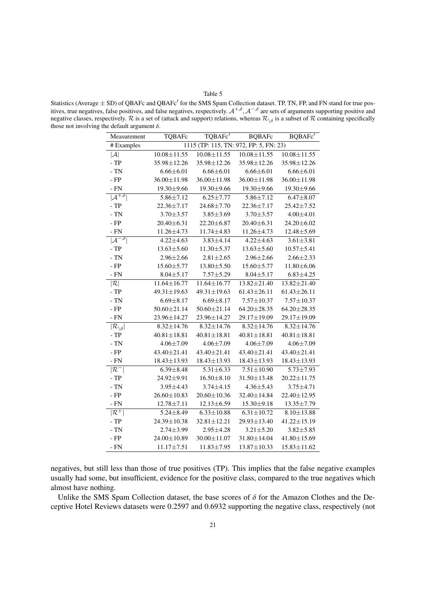<span id="page-20-0"></span>Statistics (Average  $\pm$  SD) of QBAFc and QBAFc' for the SMS Spam Collection dataset. TP, TN, FP, and FN stand for true positives, true negatives, false positives, and false negatives, respectively.  $A^{+, \delta}$ ,  $A^{-, \delta}$  are sets of arguments supporting positive and<br>negative classes, respectively R is a set of (attack and support) relations, whe negative classes, respectively. R is a set of (attack and support) relations, whereas  $\mathcal{R}_{\setminus \delta}$  is a subset of R containing specifically those not involving the default argument  $\delta$ those not involving the default argument  $\delta$ .

| Measurement                        | TQBAFc            | TQBAFc'                                | <b>BQBAFc</b>     | BQBAFc'           |
|------------------------------------|-------------------|----------------------------------------|-------------------|-------------------|
| # Examples                         |                   | 1115 (TP: 115, TN: 972, FP: 5, FN: 23) |                   |                   |
| $ \mathcal{A} $                    | $10.08 \pm 11.55$ | $10.08 \pm 11.55$                      | $10.08 \pm 11.55$ | $10.08 \pm 11.55$ |
| $-TP$                              | 35.98±12.26       | 35.98±12.26                            | 35.98±12.26       | 35.98±12.26       |
| $\mbox{-}\mathrm{TN}$              | $6.66 \pm 6.01$   | $6.66 \pm 6.01$                        | $6.66 \pm 6.01$   | $6.66 \pm 6.01$   |
| $-$ FP                             | 36.00±11.98       | 36.00±11.98                            | 36.00±11.98       | 36.00±11.98       |
| $\mbox{-}\mathrm{FN}$              | 19.30±9.66        | 19.30±9.66                             | 19.30±9.66        | $19.30 \pm 9.66$  |
| $ \mathcal{A}^{+,\delta} $         | $5.86 \pm 7.12$   | $6.25 \pm 7.77$                        | $5.86 \pm 7.12$   | $6.47 + 8.07$     |
| $-TP$                              | 22.36±7.17        | 24.68±7.70                             | 22.36±7.17        | 25.42±7.52        |
| $-TN$                              | $3.70 \pm 3.57$   | $3.85 \pm 3.69$                        | $3.70 \pm 3.57$   | $4.00 \pm 4.01$   |
| - ${\rm FP}$                       | 20.40±6.31        | $22.20 \pm 6.87$                       | $20.40 \pm 6.31$  | 24.20±6.02        |
| $-FN$                              | 11.26±4.73        | 11.74±4.83                             | $11.26 \pm 4.73$  | 12.48±5.69        |
| $ \mathcal{A}^{-,\delta} $         | $4.22 \pm 4.63$   | $3.83 \pm 4.14$                        | $4.22 \pm 4.63$   | $3.61 \pm 3.81$   |
| $-TP$                              | $13.63 \pm 5.60$  | 11.30±5.37                             | $13.63 \pm 5.60$  | $10.57 \pm 5.41$  |
| $\mbox{-}\mathrm{TN}$              | $2.96 \pm 2.66$   | $2.81 \pm 2.65$                        | $2.96 \pm 2.66$   | $2.66 \pm 2.33$   |
| $-$ FP                             | 15.60±5.77        | 13.80±5.50                             | 15.60±5.77        | 11.80±6.06        |
| $\mbox{-}\mathrm{FN}$              | $8.04 \pm 5.17$   | $7.57 + 5.29$                          | $8.04 \pm 5.17$   | $6.83 \pm 4.25$   |
| $ \mathcal{R} $                    | $11.64 \pm 16.77$ | $11.64 \pm 16.77$                      | $13.82 \pm 21.40$ | 13.82±21.40       |
| $-TP$                              | 49.31±19.63       | 49.31±19.63                            | $61.43 \pm 26.11$ | $61.43 \pm 26.11$ |
| $\mbox{-}\mathrm{TN}$              | $6.69 \pm 8.17$   | $6.69 \pm 8.17$                        | $7.57 \pm 10.37$  | $7.57 \pm 10.37$  |
| $-FP$                              | 50.60±21.14       | 50.60±21.14                            | 64.20±28.35       | 64.20±28.35       |
| $-FN$                              | 23.96±14.27       | 23.96±14.27                            | 29.17±19.09       | 29.17±19.09       |
| $ \mathcal{R}_{\setminus \delta} $ | $8.32 \pm 14.76$  | $8.32 \pm 14.76$                       | $8.32 \pm 14.76$  | $8.32 \pm 14.76$  |
| $-TP$                              | $40.81 \pm 18.81$ | $40.81 \pm 18.81$                      | $40.81 \pm 18.81$ | $40.81 \pm 18.81$ |
| $\mbox{-}\mathrm{TN}$              | $4.06 \pm 7.09$   | $4.06 \pm 7.09$                        | $4.06 \pm 7.09$   | $4.06 \pm 7.09$   |
| $-FP$                              | 43.40±21.41       | 43.40±21.41                            | 43.40±21.41       | 43.40±21.41       |
| $-FN$                              | $18.43 \pm 13.93$ | $18.43 \pm 13.93$                      | $18.43 \pm 13.93$ | $18.43 \pm 13.93$ |
| $ R^{-} $                          | $6.39 \pm 8.48$   | $5.31 \pm 6.33$                        | $7.51 \pm 10.90$  | $5.73 \pm 7.93$   |
| $-TP$                              | 24.92±9.91        | $16.50 \pm 8.10$                       | 31.50±13.48       | 20.22±11.75       |
| $-TN$                              | $3.95 \pm 4.43$   | $3.74 \pm 4.15$                        | $4.36 \pm 5.43$   | $3.75 \pm 4.71$   |
| - ${\rm FP}$                       | $26.60 \pm 10.83$ | $20.60 \pm 10.36$                      | 32.40±14.84       | 22.40±12.95       |
| $-FN$                              | 12.78±7.11        | $12.13 \pm 6.59$                       | $15.30 \pm 9.18$  | $13.35 \pm 7.79$  |
| $ \mathcal{R}^+ $                  | $5.24 \pm 8.49$   | $6.33 \pm 10.88$                       | $6.31 \pm 10.72$  | $8.10 \pm 13.88$  |
| $-TP$                              | 24.39±10.38       | 32.81±12.21                            | 29.93±13.40       | 41.22±15.19       |
| $-TN$                              | $2.74 \pm 3.99$   | $2.95 \pm 4.28$                        | $3.21 \pm 5.20$   | $3.82 \pm 5.85$   |
| $-FP$                              | 24.00±10.89       | 30.00 ± 11.07                          | 31.80±14.04       | 41.80±15.69       |
| $-FN$                              | $11.17 \pm 7.51$  | $11.83 \pm 7.95$                       | 13.87±10.33       | $15.83 \pm 11.62$ |

negatives, but still less than those of true positives (TP). This implies that the false negative examples usually had some, but insufficient, evidence for the positive class, compared to the true negatives which almost have nothing.

Unlike the SMS Spam Collection dataset, the base scores of  $\delta$  for the Amazon Clothes and the Deceptive Hotel Reviews datasets were 0.2597 and 0.6932 supporting the negative class, respectively (not

21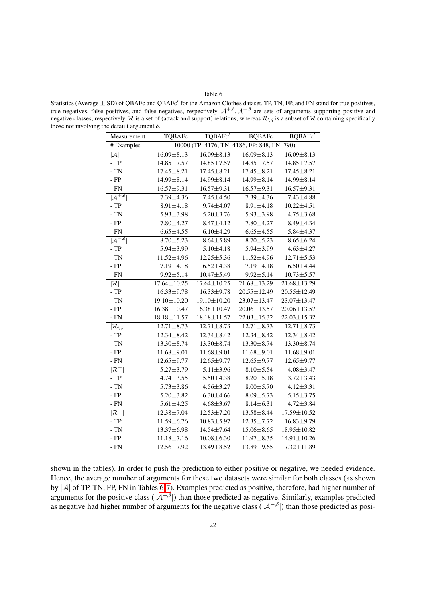<span id="page-21-0"></span>Statistics (Average  $\pm$  SD) of QBAFc and QBAFc' for the Amazon Clothes dataset. TP, TN, FP, and FN stand for true positives, true negatives, false positives, and false negatives, respectively.  $A^{+, \delta}$ ,  $A^{-, \delta}$  are sets of arguments supporting positive and negative classes respectively R is a set of (attack and support) relations, whereas  $R_{\$ negative classes, respectively. R is a set of (attack and support) relations, whereas  $\mathcal{R}_{\setminus \delta}$  is a subset of R containing specifically those not involving the default argument  $\delta$ those not involving the default argument  $\delta$ .

| Measurement                        | TQBAFc            | TQBAFc'           | <b>BQBAFc</b>                                | BQBAFc            |
|------------------------------------|-------------------|-------------------|----------------------------------------------|-------------------|
| # Examples                         |                   |                   | 10000 (TP: 4176, TN: 4186, FP: 848, FN: 790) |                   |
| $ \mathcal{A} $                    | $16.09 \pm 8.13$  | $16.09 \pm 8.13$  | $16.09 \pm 8.13$                             | $16.09 \pm 8.13$  |
| $-TP$                              | 14.85±7.57        | 14.85±7.57        | $14.85 \pm 7.57$                             | 14.85±7.57        |
| $\mbox{-}\mathrm{TN}$              | $17.45 \pm 8.21$  | $17.45 \pm 8.21$  | $17.45 \pm 8.21$                             | $17.45 \pm 8.21$  |
| - ${\rm FP}$                       | 14.99±8.14        | 14.99±8.14        | 14.99±8.14                                   | 14.99±8.14        |
| $\mbox{-}\mathrm{FN}$              | $16.57 \pm 9.31$  | $16.57 \pm 9.31$  | $16.57 \pm 9.31$                             | $16.57 \pm 9.31$  |
| $ \mathcal{A}^{+,\delta} $         | 7.39±4.36         | $7.45 \pm 4.50$   | 7.39±4.36                                    | $7.43 \pm 4.88$   |
| $-TP$                              | $8.91 \pm 4.18$   | $9.74 \pm 4.07$   | $8.91 \pm 4.18$                              | $10.22 \pm 4.51$  |
| $-$ TN                             | $5.93 \pm 3.98$   | $5.20 \pm 3.76$   | $5.93 \pm 3.98$                              | $4.75 \pm 3.68$   |
| - ${\rm FP}$                       | $7.80{\pm}4.27$   | $8.47 \pm 4.12$   | 7.80±4.27                                    | 8.49±4.34         |
| $\mbox{-}\mathrm{FN}$              | $6.65 \pm 4.55$   | $6.10 \pm 4.29$   | $6.65 \pm 4.55$                              | $5.84 \pm 4.37$   |
| $ \mathcal{A}^{-,\delta} $         | $8.70 \pm 5.23$   | $8.64 \pm 5.89$   | $8.70 \pm 5.23$                              | $8.65 \pm 6.24$   |
| $-TP$                              | 5.94±3.99         | $5.10 \pm 4.18$   | 5.94±3.99                                    | $4.63 \pm 4.27$   |
| $-$ TN                             | 11.52±4.96        | $12.25 \pm 5.36$  | 11.52±4.96                                   | $12.71 \pm 5.53$  |
| - ${\rm FP}$                       | $7.19 \pm 4.18$   | $6.52 \pm 4.38$   | $7.19 \pm 4.18$                              | $6.50 \pm 4.44$   |
| $-FN$                              | $9.92 \pm 5.14$   | $10.47 + 5.49$    | $9.92 \pm 5.14$                              | $10.73 \pm 5.57$  |
| $ \mathcal{R} $                    | $17.64 \pm 10.25$ | $17.64 \pm 10.25$ | 21.68±13.29                                  | $21.68 \pm 13.29$ |
| - $TP$                             | 16.33±9.78        | $16.33 \pm 9.78$  | 20.55±12.49                                  | 20.55±12.49       |
| $\mbox{-}\mathrm{TN}$              | $19.10 \pm 10.20$ | $19.10 \pm 10.20$ | 23.07±13.47                                  | $23.07 \pm 13.47$ |
| - ${\rm FP}$                       | $16.38 \pm 10.47$ | $16.38 \pm 10.47$ | 20.06±13.57                                  | $20.06 \pm 13.57$ |
| - ${\rm FN}$                       | $18.18 \pm 11.57$ | $18.18 \pm 11.57$ | $22.03 \pm 15.32$                            | $22.03 \pm 15.32$ |
| $ \mathcal{R}_{\setminus \delta} $ | $12.71 \pm 8.73$  | $12.71 \pm 8.73$  | $12.71 \pm 8.73$                             | $12.71 \pm 8.73$  |
| - $TP$                             | 12.34±8.42        | $12.34 \pm 8.42$  | 12.34±8.42                                   | 12.34±8.42        |
| $\mbox{-}\mathrm{TN}$              | 13.30±8.74        | 13.30±8.74        | 13.30 ± 8.74                                 | 13.30±8.74        |
| - ${\rm FP}$                       | $11.68 \pm 9.01$  | $11.68 \pm 9.01$  | $11.68 \pm 9.01$                             | $11.68 \pm 9.01$  |
| - ${\rm FN}$                       | $12.65 \pm 9.77$  | 12.65±9.77        | 12.65±9.77                                   | $12.65 \pm 9.77$  |
| $ \mathcal{R}^- $                  | $5.27 \pm 3.79$   | $5.11 \pm 3.96$   | $8.10 + 5.54$                                | $4.08 \pm 3.47$   |
| $-TP$                              | $4.74 \pm 3.55$   | $5.50 \pm 4.38$   | $8.20 \pm 5.18$                              | $3.72 \pm 3.43$   |
| $\mbox{-}\mathrm{TN}$              | $5.73 \pm 3.86$   | $4.56 \pm 3.27$   | $8.00 \pm 5.70$                              | $4.12 \pm 3.31$   |
| - ${\rm FP}$                       | $5.20 \pm 3.82$   | $6.30 + 4.66$     | $8.09 \pm 5.73$                              | $5.15 \pm 3.75$   |
| - ${\rm FN}$                       | $5.61 \pm 4.25$   | $4.68 \pm 3.67$   | $8.14 \pm 6.31$                              | $4.72 \pm 3.84$   |
| $ \mathcal{R}^+ $                  | 12.38±7.04        | $12.53 \pm 7.20$  | 13.58±8.44                                   | 17.59±10.52       |
| $-TP$                              | 11.59±6.76        | $10.83 + 5.97$    | $12.35 \pm 7.72$                             | 16.83±9.79        |
| $\mbox{-}\mathrm{TN}$              | 13.37±6.98        | 14.54±7.64        | $15.06 \pm 8.65$                             | $18.95 \pm 10.82$ |
| - ${\rm FP}$                       | $11.18 \pm 7.16$  | $10.08 \pm 6.30$  | $11.97 \pm 8.35$                             | $14.91 \pm 10.26$ |
| $-FN$                              | 12.56±7.92        | 13.49±8.52        | 13.89±9.65                                   | 17.32±11.89       |

shown in the tables). In order to push the prediction to either positive or negative, we needed evidence. Hence, the average number of arguments for these two datasets were similar for both classes (as shown by |A| of TP, TN, FP, FN in Tables [6](#page-21-0)[-7\)](#page-22-0). Examples predicted as positive, therefore, had higher number of arguments for the positive class  $(|A^{+, \delta}|)$  than those predicted as negative. Similarly, examples predicted as negative had higher number of arguments for the negative class ( $|\mathcal{A}^{-,\delta}|$ ) than those predicted as posi-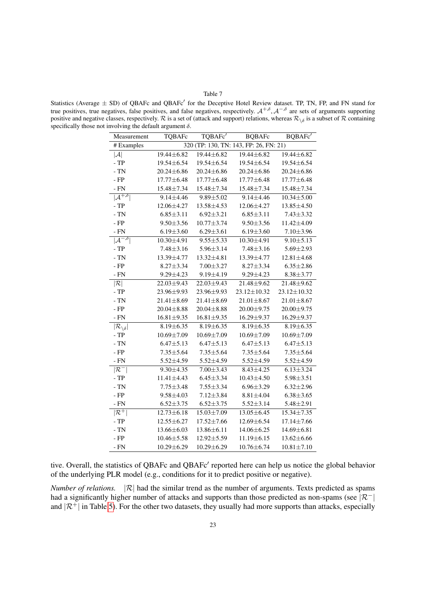<span id="page-22-0"></span>Statistics (Average  $\pm$  SD) of QBAFc and QBAFc' for the Deceptive Hotel Review dataset. TP, TN, FP, and FN stand for true positives, true negatives, false positives, and false negatives, respectively.  $A^{+, \delta}, A^{-, \delta}$  are sets of arguments supporting positive and negative classes respectively R is a set of (attack and support) relations, positive and negative classes, respectively. R is a set of (attack and support) relations, whereas  $\mathcal{R}_{\setminus \delta}$  is a subset of R containing specifically those not involving the default argument  $\delta$ specifically those not involving the default argument  $\delta$ .

| Measurement                           | TQBAFc           | TQBAFc'          | <b>BQBAFc</b>                          | BQBAFc'           |
|---------------------------------------|------------------|------------------|----------------------------------------|-------------------|
| # Examples                            |                  |                  | 320 (TP: 130, TN: 143, FP: 26, FN: 21) |                   |
| $ \mathcal{A} $                       | 19.44±6.82       | 19.44±6.82       | 19.44±6.82                             | 19.44±6.82        |
| $-TP$                                 | 19.54±6.54       | 19.54±6.54       | 19.54±6.54                             | 19.54 ± 6.54      |
| $\mbox{-}\mathrm{TN}$                 | $20.24 \pm 6.86$ | $20.24 \pm 6.86$ | $20.24 \pm 6.86$                       | $20.24 \pm 6.86$  |
| - ${\rm FP}$                          | 17.77±6.48       | $17.77 \pm 6.48$ | $17.77 \pm 6.48$                       | $17.77 \pm 6.48$  |
| $\mbox{-}\mathrm{FN}$                 | 15.48±7.34       | 15.48±7.34       | 15.48±7.34                             | 15.48±7.34        |
| $ \mathcal{A}^{+,\delta} $            | $9.14 \pm 4.46$  | $9.89 \pm 5.02$  | $9.14 \pm 4.46$                        | $10.34 + 5.00$    |
| $-TP$                                 | 12.06±4.27       | 13.58±4.53       | 12.06±4.27                             | 13.85±4.50        |
| $\mbox{-}\mathrm{TN}$                 | $6.85 \pm 3.11$  | $6.92 \pm 3.21$  | $6.85 \pm 3.11$                        | $7.43 \pm 3.32$   |
| - ${\rm FP}$                          | $9.50 \pm 3.56$  | 10.77±3.74       | $9.50 \pm 3.56$                        | 11.42±4.09        |
| $\mbox{-}\mathrm{FN}$                 | $6.19 \pm 3.60$  | $6.29 \pm 3.61$  | $6.19 \pm 3.60$                        | $7.10 \pm 3.96$   |
| $ \overline{\mathcal{A}^{-,\delta}} $ | 10.30±4.91       | $9.55 \pm 5.33$  | 10.30±4.91                             | $9.10 + 5.13$     |
| $-TP$                                 | $7.48 + 3.16$    | $5.96 \pm 3.14$  | $7.48 \pm 3.16$                        | $5.69 \pm 2.93$   |
| $\mbox{-}\mathrm{TN}$                 | 13.39±4.77       | $13.32 \pm 4.81$ | 13.39±4.77                             | $12.81 \pm 4.68$  |
| - ${\rm FP}$                          | $8.27 + 3.34$    | $7.00 \pm 3.27$  | $8.27 \pm 3.34$                        | $6.35 \pm 2.86$   |
| $\mbox{-}\mathrm{FN}$                 | $9.29 \pm 4.23$  | $9.19 \pm 4.19$  | $9.29 \pm 4.23$                        | $8.38 \pm 3.77$   |
| $ \mathcal{R} $                       | $22.03 \pm 9.43$ | $22.03 \pm 9.43$ | 21.48±9.62                             | 21.48±9.62        |
| $-TP$                                 | 23.96±9.93       | 23.96±9.93       | $23.12 \pm 10.32$                      | $23.12 \pm 10.32$ |
| $\mbox{-}\mathrm{TN}$                 | $21.41 \pm 8.69$ | $21.41 \pm 8.69$ | $21.01 \pm 8.67$                       | $21.01 \pm 8.67$  |
| $-$ FP                                | $20.04 \pm 8.88$ | $20.04 \pm 8.88$ | 20.00±9.75                             | 20.00±9.75        |
| $-FN$                                 | $16.81 \pm 9.35$ | $16.81 \pm 9.35$ | 16.29±9.37                             | 16.29±9.37        |
| $ \mathcal{R}_{\backslash \delta} $   | $8.19 \pm 6.35$  | $8.19 \pm 6.35$  | $8.19 \pm 6.35$                        | $8.19 \pm 6.35$   |
| $-TP$                                 | $10.69 \pm 7.09$ | $10.69 \pm 7.09$ | $10.69 \pm 7.09$                       | $10.69 \pm 7.09$  |
| $\mbox{-}\mathrm{TN}$                 | $6.47 \pm 5.13$  | $6.47 \pm 5.13$  | $6.47 \pm 5.13$                        | $6.47 \pm 5.13$   |
| $-$ FP                                | $7.35 \pm 5.64$  | $7.35 \pm 5.64$  | $7.35 \pm 5.64$                        | $7.35 \pm 5.64$   |
| $-FN$                                 | $5.52 \pm 4.59$  | $5.52 \pm 4.59$  | $5.52 \pm 4.59$                        | $5.52 \pm 4.59$   |
| $ R^{-} $                             | $9.30 \pm 4.35$  | $7.00 \pm 3.43$  | $8.43 \pm 4.25$                        | $6.13 \pm 3.24$   |
| $-TP$                                 | $11.41 \pm 4.43$ | $6.45 \pm 3.34$  | $10.43 \pm 4.50$                       | $5.98 \pm 3.51$   |
| $\mbox{-}\mathrm{TN}$                 | $7.75 \pm 3.48$  | $7.55 \pm 3.34$  | $6.96 \pm 3.29$                        | $6.32 \pm 2.96$   |
| $-$ FP                                | $9.58 + 4.03$    | $7.12 \pm 3.84$  | $8.81 \pm 4.04$                        | $6.38 + 3.65$     |
| $-FN$                                 | $6.52 \pm 3.75$  | $6.52 \pm 3.75$  | $5.52 \pm 3.14$                        | $5.48 \pm 2.91$   |
| $ \mathcal{R}^+ $                     | $12.73 \pm 6.18$ | 15.03±7.09       | 13.05 ± 6.45                           | 15.34±7.35        |
| $-TP$                                 | $12.55 \pm 6.27$ | $17.52 \pm 7.66$ | 12.69±6.54                             | $17.14 \pm 7.66$  |
| $\mbox{-}\mathrm{TN}$                 | 13.66±6.03       | 13.86±6.11       | 14.06±6.25                             | 14.69±6.81        |
| $-FP$                                 | $10.46 \pm 5.58$ | 12.92±5.59       | $11.19 \pm 6.15$                       | $13.62 \pm 6.66$  |
| $-FN$                                 | $10.29 \pm 6.29$ | $10.29 \pm 6.29$ | $10.76 \pm 6.74$                       | $10.81 \pm 7.10$  |

tive. Overall, the statistics of QBAFc and QBAFc' reported here can help us notice the global behavior of the underlying PLR model (e.g., conditions for it to predict positive or negative).

*Number of relations.*  $|\mathcal{R}|$  had the similar trend as the number of arguments. Texts predicted as spams had a significantly higher number of attacks and supports than those predicted as non-spams (see  $\mathbb{R}^{-}$ ) and  $|R^+|$  in Table [5\)](#page-20-0). For the other two datasets, they usually had more supports than attacks, especially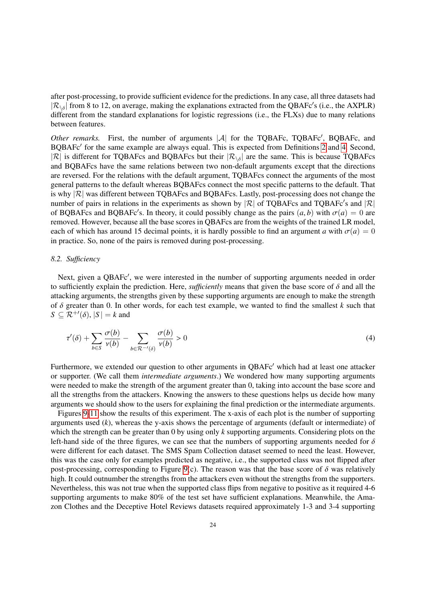after post-processing, to provide sufficient evidence for the predictions. In any case, all three datasets had  $|\mathcal{R}_{\setminus \delta}|$  from 8 to 12, on average, making the explanations extracted from the QBAFc's (i.e., the AXPLR) different from the standard explanations for logistic regressions (i.e., the FLXs) due to many relations between features.

Other remarks. First, the number of arguments  $|\mathcal{A}|$  for the TQBAFc, TQBAFc', BQBAFc, and BQBAFc' for the same example are always equal. This is expected from Definitions [2](#page-8-2) and [4.](#page-13-1) Second, |R| is different for TQBAFcs and BQBAFcs but their  $|R_{\setminus \delta}|$  are the same. This is because TQBAFcs<br>and BOBAFcs base the same relations between two pap default arguments except that the directions and BQBAFcs have the same relations between two non-default arguments except that the directions are reversed. For the relations with the default argument, TQBAFcs connect the arguments of the most general patterns to the default whereas BQBAFcs connect the most specific patterns to the default. That is why  $|\mathcal{R}|$  was different between TQBAFcs and BQBAFcs. Lastly, post-processing does not change the number of pairs in relations in the experiments as shown by  $|\mathcal{R}|$  of TQBAFcs and TQBAFc's and  $|\mathcal{R}|$ of BQBAFcs and BQBAFc's. In theory, it could possibly change as the pairs  $(a, b)$  with  $\sigma(a) = 0$  are<br>removed However, because all the base scores in OBAFcs are from the weights of the trained LR model. removed. However, because all the base scores in QBAFcs are from the weights of the trained LR model, each of which has around 15 decimal points, it is hardly possible to find an argument *a* with  $\sigma(a) = 0$ in practice. So, none of the pairs is removed during post-processing.

# *8.2. Sufficiency*

Next, given a QBAFc', we were interested in the number of supporting arguments needed in order to sufficiently explain the prediction. Here, *sufficiently* means that given the base score of δ and all the attacking arguments, the strengths given by these supporting arguments are enough to make the strength of δ greater than 0. In other words, for each test example, we wanted to find the smallest *<sup>k</sup>* such that  $S \subseteq \mathcal{R}^{+}(\delta), |S| = k$  and

$$
\tau'(\delta) + \sum_{b \in S} \frac{\sigma(b)}{\nu(b)} - \sum_{b \in \mathcal{R}^{-1}(\delta)} \frac{\sigma(b)}{\nu(b)} > 0 \tag{4}
$$

Furthermore, we extended our question to other arguments in OBAFc' which had at least one attacker or supporter. (We call them *intermediate arguments*.) We wondered how many supporting arguments were needed to make the strength of the argument greater than 0, taking into account the base score and all the strengths from the attackers. Knowing the answers to these questions helps us decide how many arguments we should show to the users for explaining the final prediction or the intermediate arguments.

Figures [9-](#page-24-0)[11](#page-26-1) show the results of this experiment. The x-axis of each plot is the number of supporting arguments used (*k*), whereas the y-axis shows the percentage of arguments (default or intermediate) of which the strength can be greater than 0 by using only *k* supporting arguments. Considering plots on the left-hand side of the three figures, we can see that the numbers of supporting arguments needed for  $\delta$ were different for each dataset. The SMS Spam Collection dataset seemed to need the least. However, this was the case only for examples predicted as negative, i.e., the supported class was not flipped after post-processing, corresponding to Figure [9\(](#page-24-0)c). The reason was that the base score of  $\delta$  was relatively high. It could outnumber the strengths from the attackers even without the strengths from the supporters. Nevertheless, this was not true when the supported class flips from negative to positive as it required 4-6 supporting arguments to make 80% of the test set have sufficient explanations. Meanwhile, the Amazon Clothes and the Deceptive Hotel Reviews datasets required approximately 1-3 and 3-4 supporting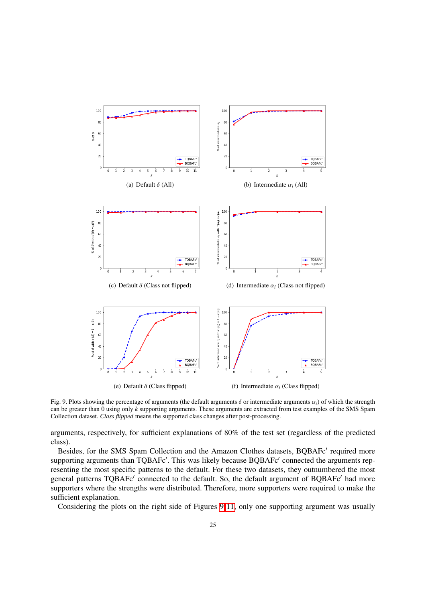

<span id="page-24-0"></span>Fig. 9. Plots showing the percentage of arguments (the default arguments  $\delta$  or intermediate arguments  $\alpha_i$ ) of which the strength can be greater than 0 using only *k* supporting arguments. These arguments are extracted from test examples of the SMS Spam Collection dataset. *Class flipped* means the supported class changes after post-processing.

arguments, respectively, for sufficient explanations of 80% of the test set (regardless of the predicted class).

Besides, for the SMS Spam Collection and the Amazon Clothes datasets, BQBAFc' required more supporting arguments than TQBAFc'. This was likely because BQBAFc' connected the arguments representing the most specific patterns to the default. For these two datasets, they outnumbered the most general patterns TQBAFc' connected to the default. So, the default argument of BQBAFc' had more supporters where the strengths were distributed. Therefore, more supporters were required to make the sufficient explanation.

Considering the plots on the right side of Figures [9](#page-24-0)[-11,](#page-26-1) only one supporting argument was usually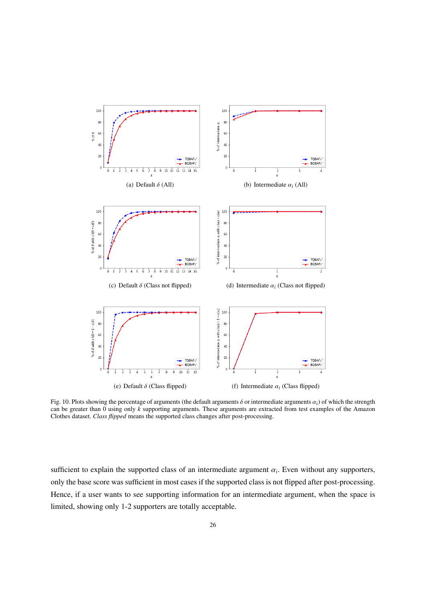

Fig. 10. Plots showing the percentage of arguments (the default arguments  $\delta$  or intermediate arguments  $\alpha_i$ ) of which the strength can be greater than 0 using only *k* supporting arguments. These arguments are extracted from test examples of the Amazon Clothes dataset. *Class flipped* means the supported class changes after post-processing.

sufficient to explain the supported class of an intermediate argument  $\alpha_i$ . Even without any supporters, only the base score was sufficient in most cases if the supported class is not flipped after post-processing. Hence, if a user wants to see supporting information for an intermediate argument, when the space is limited, showing only 1-2 supporters are totally acceptable.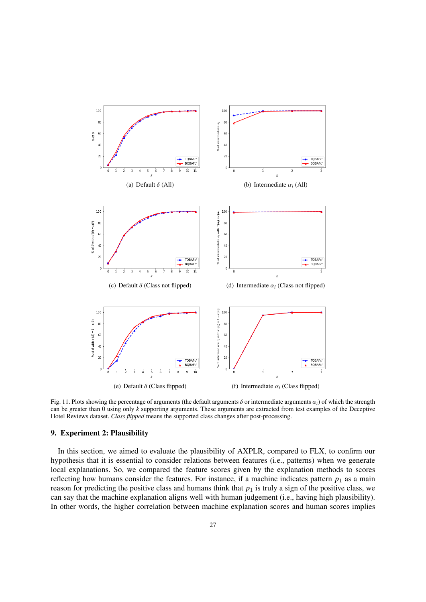

<span id="page-26-1"></span>Fig. 11. Plots showing the percentage of arguments (the default arguments  $\delta$  or intermediate arguments  $\alpha_i$ ) of which the strength can be greater than 0 using only *k* supporting arguments. These arguments are extracted from test examples of the Deceptive Hotel Reviews dataset. *Class flipped* means the supported class changes after post-processing.

### <span id="page-26-0"></span>9. Experiment 2: Plausibility

In this section, we aimed to evaluate the plausibility of AXPLR, compared to FLX, to confirm our hypothesis that it is essential to consider relations between features (i.e., patterns) when we generate local explanations. So, we compared the feature scores given by the explanation methods to scores reflecting how humans consider the features. For instance, if a machine indicates pattern  $p_1$  as a main reason for predicting the positive class and humans think that  $p_1$  is truly a sign of the positive class, we can say that the machine explanation aligns well with human judgement (i.e., having high plausibility). In other words, the higher correlation between machine explanation scores and human scores implies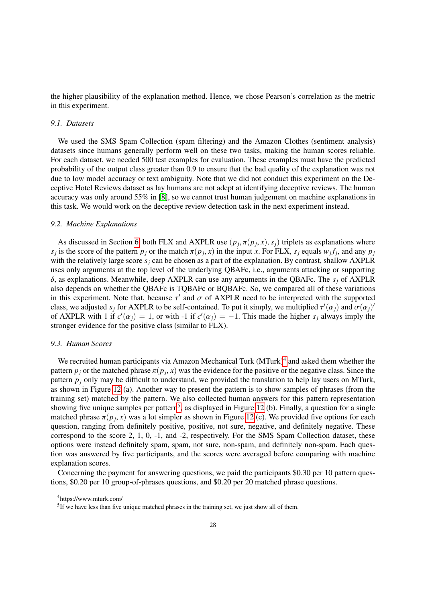the higher plausibility of the explanation method. Hence, we chose Pearson's correlation as the metric in this experiment.

# *9.1. Datasets*

We used the SMS Spam Collection (spam filtering) and the Amazon Clothes (sentiment analysis) datasets since humans generally perform well on these two tasks, making the human scores reliable. For each dataset, we needed 500 test examples for evaluation. These examples must have the predicted probability of the output class greater than 0.9 to ensure that the bad quality of the explanation was not due to low model accuracy or text ambiguity. Note that we did not conduct this experiment on the Deceptive Hotel Reviews dataset as lay humans are not adept at identifying deceptive reviews. The human accuracy was only around 55% in [\[8\]](#page-52-4), so we cannot trust human judgement on machine explanations in this task. We would work on the deceptive review detection task in the next experiment instead.

# *9.2. Machine Explanations*

As discussed in Section [6,](#page-16-0) both FLX and AXPLR use  $(p_j, \pi(p_j, x), s_j)$  triplets as explanations where<br>is the score of the pattern *n*, or the match  $\pi(p, x)$  in the input *x*. For FLX, s, equals w, f, and any *n*. *s*<sub>*j*</sub> is the score of the pattern  $p_j$  or the match  $\pi(p_j, x)$  in the input *x*. For FLX,  $s_j$  equals  $w_j f_j$ , and any  $p_j$  with the relatively large score *s*, can be chosen as a part of the explanation. By contrast, sh with the relatively large score *s<sup>j</sup>* can be chosen as a part of the explanation. By contrast, shallow AXPLR uses only arguments at the top level of the underlying QBAFc, i.e., arguments attacking or supporting <sup>δ</sup>, as explanations. Meanwhile, deep AXPLR can use any arguments in the QBAFc. The *<sup>s</sup><sup>j</sup>* of AXPLR also depends on whether the QBAFc is TQBAFc or BQBAFc. So, we compared all of these variations in this experiment. Note that, because  $\tau'$  and  $\sigma$  of AXPLR need to be interpreted with the supported class we adjusted s, for AXPLR to be self-contained. To put it simply we multiplied  $\tau'(\alpha)$  and  $\sigma(\alpha)$ class, we adjusted *s<sub>j</sub>* for AXPLR to be self-contained. To put it simply, we multiplied  $\tau'(\alpha_j)$  and  $\sigma(\alpha_j)'$ <br>of AXPLR with 1 if  $c'(\alpha_j) = 1$  or with 1 if  $c'(\alpha_j) = -1$  This made the higher stralways imply the of AXPLR with 1 if  $c'(\alpha_j) = 1$ , or with -1 if  $c'(\alpha_j) = -1$ . This made the higher  $s_j$  always imply the stronger evidence for the positive class (similar to FLX) stronger evidence for the positive class (similar to FLX).

# *9.3. Human Scores*

We recruited human participants via Amazon Mechanical Turk  $(MTurk)^4$  $(MTurk)^4$  and asked them whether the pattern  $p_j$  or the matched phrase  $\pi(p_j, x)$  was the evidence for the positive or the negative class. Since the negative class on MTurk pattern  $p_j$  only may be difficult to understand, we provided the translation to help lay users on MTurk, as shown in Figure [12](#page-28-0) (a). Another way to present the pattern is to show samples of phrases (from the training set) matched by the pattern. We also collected human answers for this pattern representation showing five unique samples per pattern<sup>[5](#page-27-1)</sup>, as displayed in Figure [12](#page-28-0) (b). Finally, a question for a single matched phrase  $\pi(p_j, x)$  was a lot simpler as shown in Figure [12](#page-28-0) (c). We provided five options for each measure provided five options for each measure provided five provided five provided when the measure provided when th question, ranging from definitely positive, positive, not sure, negative, and definitely negative. These correspond to the score 2, 1, 0, -1, and -2, respectively. For the SMS Spam Collection dataset, these options were instead definitely spam, spam, not sure, non-spam, and definitely non-spam. Each question was answered by five participants, and the scores were averaged before comparing with machine explanation scores.

Concerning the payment for answering questions, we paid the participants \$0.30 per 10 pattern questions, \$0.20 per 10 group-of-phrases questions, and \$0.20 per 20 matched phrase questions.

<span id="page-27-0"></span><sup>4</sup> https://www.mturk.com/

<span id="page-27-1"></span> $<sup>5</sup>$ If we have less than five unique matched phrases in the training set, we just show all of them.</sup>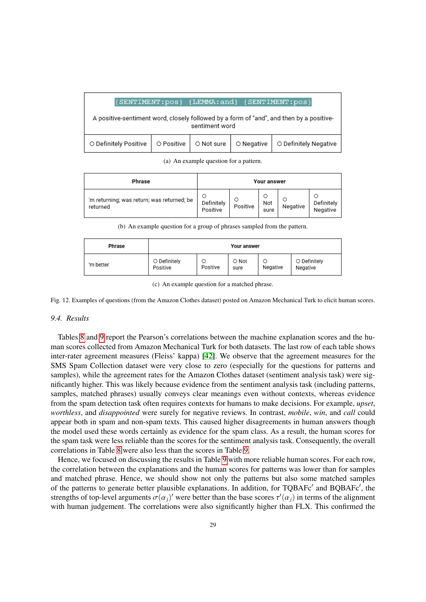| {SENTIMENT:pos} {LEMMA:and} {SENTIMENT:pos}                                                               |            |            |            |                       |  |
|-----------------------------------------------------------------------------------------------------------|------------|------------|------------|-----------------------|--|
| A positive-sentiment word, closely followed by a form of "and", and then by a positive-<br>sentiment word |            |            |            |                       |  |
| O Definitely Positive                                                                                     | O Positive | O Not sure | O Negative | O Definitely Negative |  |

(a) An example question for a pattern.

| Phrase                                     | <b>Your answer</b> |          |      |          |            |
|--------------------------------------------|--------------------|----------|------|----------|------------|
| 'm returning; was return; was returned; be | Definitely         | Ο        | Not  | Negative | Definitely |
| returned                                   | Positive           | Positive | sure |          | Negative   |

(b) An example question for a group of phrases sampled from the pattern.

| Phrase    | <b>Your answer</b>       |          |               |          |                          |
|-----------|--------------------------|----------|---------------|----------|--------------------------|
| 'm better | O Definitely<br>Positive | Positive | O Not<br>sure | Negative | O Definitely<br>Negative |

(c) An example question for a matched phrase.

<span id="page-28-0"></span>Fig. 12. Examples of questions (from the Amazon Clothes dataset) posted on Amazon Mechanical Turk to elicit human scores.

# *9.4. Results*

Tables [8](#page-29-1) and [9](#page-29-2) report the Pearson's correlations between the machine explanation scores and the human scores collected from Amazon Mechanical Turk for both datasets. The last row of each table shows inter-rater agreement measures (Fleiss' kappa) [\[42\]](#page-53-13). We observe that the agreement measures for the SMS Spam Collection dataset were very close to zero (especially for the questions for patterns and samples), while the agreement rates for the Amazon Clothes dataset (sentiment analysis task) were significantly higher. This was likely because evidence from the sentiment analysis task (including patterns, samples, matched phrases) usually conveys clear meanings even without contexts, whereas evidence from the spam detection task often requires contexts for humans to make decisions. For example, *upset*, *worthless*, and *disappointed* were surely for negative reviews. In contrast, *mobile*, *win*, and *call* could appear both in spam and non-spam texts. This caused higher disagreements in human answers though the model used these words certainly as evidence for the spam class. As a result, the human scores for the spam task were less reliable than the scores for the sentiment analysis task. Consequently, the overall correlations in Table [8](#page-29-1) were also less than the scores in Table [9.](#page-29-2)

Hence, we focused on discussing the results in Table [9](#page-29-2) with more reliable human scores. For each row, the correlation between the explanations and the human scores for patterns was lower than for samples and matched phrase. Hence, we should show not only the patterns but also some matched samples of the patterns to generate better plausible explanations. In addition, for TQBAFc' and BQBAFc', the strengths of top-level arguments  $\sigma(\alpha_j)'$  were better than the base scores  $\tau'(\alpha_j)$  in terms of the alignment<br>with human judgement. The correlations were also significantly higher than FLX. This confirmed the with human judgement. The correlations were also significantly higher than FLX. This confirmed the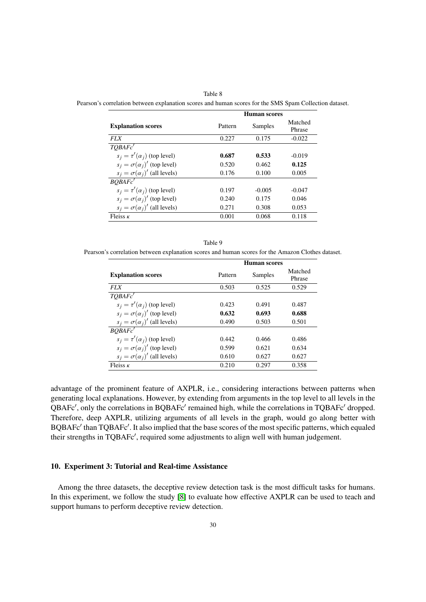<span id="page-29-1"></span>Pearson's correlation between explanation scores and human scores for the SMS Spam Collection dataset.

|                                        |         | <b>Human</b> scores |                   |
|----------------------------------------|---------|---------------------|-------------------|
| <b>Explanation scores</b>              | Pattern | Samples             | Matched<br>Phrase |
| <b>FLX</b>                             | 0.227   | 0.175               | $-0.022$          |
| TOBAF <sub>c</sub> '                   |         |                     |                   |
| $s_i = \tau'(\alpha_i)$ (top level)    | 0.687   | 0.533               | $-0.019$          |
| $s_i = \sigma(\alpha_i)'$ (top level)  | 0.520   | 0.462               | 0.125             |
| $s_i = \sigma(\alpha_i)'$ (all levels) | 0.176   | 0.100               | 0.005             |
| <b>BOBAFc'</b>                         |         |                     |                   |
| $s_i = \tau'(\alpha_i)$ (top level)    | 0.197   | $-0.005$            | $-0.047$          |
| $s_i = \sigma(\alpha_i)'$ (top level)  | 0.240   | 0.175               | 0.046             |
| $s_i = \sigma(\alpha_i)'$ (all levels) | 0.271   | 0.308               | 0.053             |
| Fleiss $\kappa$                        | 0.001   | 0.068               | 0.118             |
|                                        |         |                     |                   |

<span id="page-29-2"></span>Table 9 Pearson's correlation between explanation scores and human scores for the Amazon Clothes dataset.

|                                        | <b>Human</b> scores |         |                   |  |
|----------------------------------------|---------------------|---------|-------------------|--|
| <b>Explanation scores</b>              | Pattern             | Samples | Matched<br>Phrase |  |
| <i>FLX</i>                             | 0.503               | 0.525   | 0.529             |  |
| TOBAF <sub>c</sub> '                   |                     |         |                   |  |
| $s_i = \tau'(\alpha_i)$ (top level)    | 0.423               | 0.491   | 0.487             |  |
| $s_i = \sigma(\alpha_i)'$ (top level)  | 0.632               | 0.693   | 0.688             |  |
| $s_i = \sigma(\alpha_i)'$ (all levels) | 0.490               | 0.503   | 0.501             |  |
| BOBAFc'                                |                     |         |                   |  |
| $s_i = \tau'(\alpha_i)$ (top level)    | 0.442               | 0.466   | 0.486             |  |
| $s_i = \sigma(\alpha_i)'$ (top level)  | 0.599               | 0.621   | 0.634             |  |
| $s_i = \sigma(\alpha_i)'$ (all levels) | 0.610               | 0.627   | 0.627             |  |
| Fleiss $\kappa$                        | 0.210               | 0.297   | 0.358             |  |
|                                        |                     |         |                   |  |

advantage of the prominent feature of AXPLR, i.e., considering interactions between patterns when generating local explanations. However, by extending from arguments in the top level to all levels in the QBAFc', only the correlations in BQBAFc' remained high, while the correlations in TQBAFc' dropped. Therefore, deep AXPLR, utilizing arguments of all levels in the graph, would go along better with BQBAFc' than TQBAFc'. It also implied that the base scores of the most specific patterns, which equaled their strengths in TQBAFc', required some adjustments to align well with human judgement.

# <span id="page-29-0"></span>10. Experiment 3: Tutorial and Real-time Assistance

Among the three datasets, the deceptive review detection task is the most difficult tasks for humans. In this experiment, we follow the study [\[8\]](#page-52-4) to evaluate how effective AXPLR can be used to teach and support humans to perform deceptive review detection.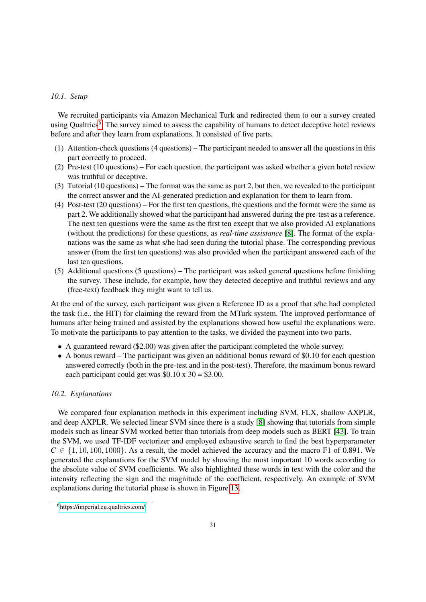# *10.1. Setup*

We recruited participants via Amazon Mechanical Turk and redirected them to our a survey created using Qualtrics<sup>[6](#page-30-0)</sup>. The survey aimed to assess the capability of humans to detect deceptive hotel reviews before and after they learn from explanations. It consisted of five parts.

- (1) Attention-check questions (4 questions) The participant needed to answer all the questions in this part correctly to proceed.
- (2) Pre-test (10 questions) For each question, the participant was asked whether a given hotel review was truthful or deceptive.
- (3) Tutorial (10 questions) The format was the same as part 2, but then, we revealed to the participant the correct answer and the AI-generated prediction and explanation for them to learn from.
- (4) Post-test (20 questions) For the first ten questions, the questions and the format were the same as part 2. We additionally showed what the participant had answered during the pre-test as a reference. The next ten questions were the same as the first ten except that we also provided AI explanations (without the predictions) for these questions, as *real-time assistance* [\[8\]](#page-52-4). The format of the explanations was the same as what s/he had seen during the tutorial phase. The corresponding previous answer (from the first ten questions) was also provided when the participant answered each of the last ten questions.
- (5) Additional questions (5 questions) The participant was asked general questions before finishing the survey. These include, for example, how they detected deceptive and truthful reviews and any (free-text) feedback they might want to tell us.

At the end of the survey, each participant was given a Reference ID as a proof that s/he had completed the task (i.e., the HIT) for claiming the reward from the MTurk system. The improved performance of humans after being trained and assisted by the explanations showed how useful the explanations were. To motivate the participants to pay attention to the tasks, we divided the payment into two parts.

- A guaranteed reward (\$2.00) was given after the participant completed the whole survey.
- A bonus reward The participant was given an additional bonus reward of \$0.10 for each question answered correctly (both in the pre-test and in the post-test). Therefore, the maximum bonus reward each participant could get was  $$0.10 \times 30 = $3.00$ .

# *10.2. Explanations*

We compared four explanation methods in this experiment including SVM, FLX, shallow AXPLR, and deep AXPLR. We selected linear SVM since there is a study [\[8\]](#page-52-4) showing that tutorials from simple models such as linear SVM worked better than tutorials from deep models such as BERT [\[43\]](#page-53-14). To train the SVM, we used TF-IDF vectorizer and employed exhaustive search to find the best hyperparameter  $C \in \{1, 10, 100, 1000\}$ . As a result, the model achieved the accuracy and the macro F1 of 0.891. We generated the explanations for the SVM model by showing the most important 10 words according to the absolute value of SVM coefficients. We also highlighted these words in text with the color and the intensity reflecting the sign and the magnitude of the coefficient, respectively. An example of SVM explanations during the tutorial phase is shown in Figure [13.](#page-31-0)

<span id="page-30-0"></span><sup>6</sup> <https://imperial.eu.qualtrics.com/>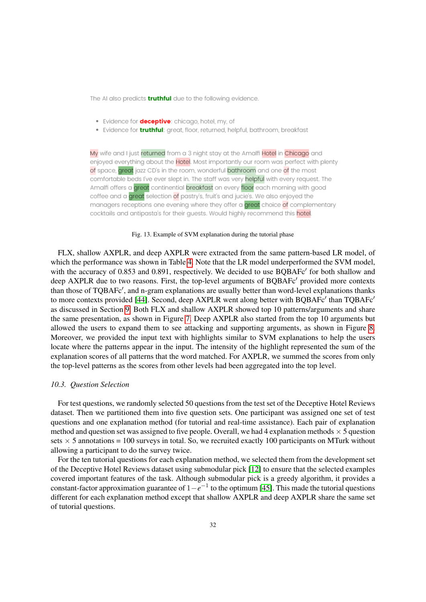The AI also predicts truthful due to the following evidence.

- · Evidence for **deceptive**: chicago, hotel, my, of
- . Evidence for *truthful:* great, floor, returned, helpful, bathroom, breakfast

My wife and I just returned from a 3 night stay at the Amalfi Hotel in Chicago and enjoyed everything about the Hotel. Most importantly our room was perfect with plenty of space, great jazz CD's in the room, wonderful bathroom and one of the most comfortable beds I've ever slept in. The staff was very helpful with every request. The Amalfi offers a great continential breakfast on every floor each morning with good coffee and a great selection of pastry's, fruit's and jucie's. We also enjoyed the managers receptions one evening where they offer a great choice of complementary cocktails and antipasta's for their guests. Would highly recommend this hotel

### <span id="page-31-0"></span>Fig. 13. Example of SVM explanation during the tutorial phase

FLX, shallow AXPLR, and deep AXPLR were extracted from the same pattern-based LR model, of which the performance was shown in Table [4.](#page-19-1) Note that the LR model underperformed the SVM model, with the accuracy of 0.853 and 0.891, respectively. We decided to use BQBAFc' for both shallow and deep AXPLR due to two reasons. First, the top-level arguments of BQBAFc' provided more contexts than those of TQBAFc', and n-gram explanations are usually better than word-level explanations thanks to more contexts provided [\[44\]](#page-53-15). Second, deep AXPLR went along better with BQBAFc' than TQBAFc' as discussed in Section [9.](#page-26-0) Both FLX and shallow AXPLR showed top 10 patterns/arguments and share the same presentation, as shown in Figure [7.](#page-17-1) Deep AXPLR also started from the top 10 arguments but allowed the users to expand them to see attacking and supporting arguments, as shown in Figure [8.](#page-18-0) Moreover, we provided the input text with highlights similar to SVM explanations to help the users locate where the patterns appear in the input. The intensity of the highlight represented the sum of the explanation scores of all patterns that the word matched. For AXPLR, we summed the scores from only the top-level patterns as the scores from other levels had been aggregated into the top level.

### *10.3. Question Selection*

For test questions, we randomly selected 50 questions from the test set of the Deceptive Hotel Reviews dataset. Then we partitioned them into five question sets. One participant was assigned one set of test questions and one explanation method (for tutorial and real-time assistance). Each pair of explanation method and question set was assigned to five people. Overall, we had 4 explanation methods  $\times$  5 question sets  $\times$  5 annotations = 100 surveys in total. So, we recruited exactly 100 participants on MTurk without allowing a participant to do the survey twice.

For the ten tutorial questions for each explanation method, we selected them from the development set of the Deceptive Hotel Reviews dataset using submodular pick [\[12\]](#page-52-8) to ensure that the selected examples covered important features of the task. Although submodular pick is a greedy algorithm, it provides a constant-factor approximation guarantee of 1−*e* −1 to the optimum [\[45\]](#page-53-16). This made the tutorial questions different for each explanation method except that shallow AXPLR and deep AXPLR share the same set of tutorial questions.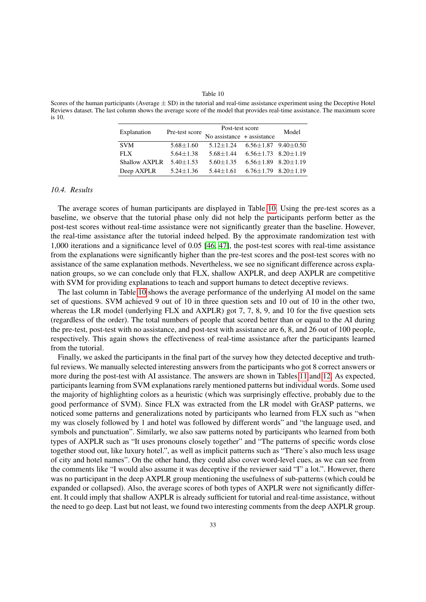<span id="page-32-0"></span>Scores of the human participants (Average  $\pm$  SD) in the tutorial and real-time assistance experiment using the Deceptive Hotel Reviews dataset. The last column shows the average score of the model that provides real-time assistance. The maximum score is 10.

| Explanation   | Pre-test score  | Post-test score              | Model                       |  |
|---------------|-----------------|------------------------------|-----------------------------|--|
|               |                 | No assistance $+$ assistance |                             |  |
| <b>SVM</b>    | $5.68 + 1.60$   | $5.12 + 1.24$                | $6.56 + 1.87$ 9.40 + 0.50   |  |
| FLX.          | $5.64 + 1.38$   | $5.68 + 1.44$                | $6.56 + 1.73$ $8.20 + 1.19$ |  |
| Shallow AXPLR | $5.40 \pm 1.53$ | $5.60 + 1.35$                | $6.56 + 1.89$ $8.20 + 1.19$ |  |
| Deep AXPLR    | $5.24 + 1.36$   | $5.44 + 1.61$                | $6.76 + 1.79$ $8.20 + 1.19$ |  |

### *10.4. Results*

The average scores of human participants are displayed in Table [10.](#page-32-0) Using the pre-test scores as a baseline, we observe that the tutorial phase only did not help the participants perform better as the post-test scores without real-time assistance were not significantly greater than the baseline. However, the real-time assistance after the tutorial indeed helped. By the approximate randomization test with 1,000 iterations and a significance level of 0.05 [\[46,](#page-53-17) [47\]](#page-53-18), the post-test scores with real-time assistance from the explanations were significantly higher than the pre-test scores and the post-test scores with no assistance of the same explanation methods. Nevertheless, we see no significant difference across explanation groups, so we can conclude only that FLX, shallow AXPLR, and deep AXPLR are competitive with SVM for providing explanations to teach and support humans to detect deceptive reviews.

The last column in Table [10](#page-32-0) shows the average performance of the underlying AI model on the same set of questions. SVM achieved 9 out of 10 in three question sets and 10 out of 10 in the other two, whereas the LR model (underlying FLX and AXPLR) got 7, 7, 8, 9, and 10 for the five question sets (regardless of the order). The total numbers of people that scored better than or equal to the AI during the pre-test, post-test with no assistance, and post-test with assistance are 6, 8, and 26 out of 100 people, respectively. This again shows the effectiveness of real-time assistance after the participants learned from the tutorial.

Finally, we asked the participants in the final part of the survey how they detected deceptive and truthful reviews. We manually selected interesting answers from the participants who got 8 correct answers or more during the post-test with AI assistance. The answers are shown in Tables [11](#page-33-0) and [12.](#page-34-1) As expected, participants learning from SVM explanations rarely mentioned patterns but individual words. Some used the majority of highlighting colors as a heuristic (which was surprisingly effective, probably due to the good performance of SVM). Since FLX was extracted from the LR model with GrASP patterns, we noticed some patterns and generalizations noted by participants who learned from FLX such as "when my was closely followed by 1 and hotel was followed by different words" and "the language used, and symbols and punctuation". Similarly, we also saw patterns noted by participants who learned from both types of AXPLR such as "It uses pronouns closely together" and "The patterns of specific words close together stood out, like luxury hotel.", as well as implicit patterns such as "There's also much less usage of city and hotel names". On the other hand, they could also cover word-level cues, as we can see from the comments like "I would also assume it was deceptive if the reviewer said "I" a lot.". However, there was no participant in the deep AXPLR group mentioning the usefulness of sub-patterns (which could be expanded or collapsed). Also, the average scores of both types of AXPLR were not significantly different. It could imply that shallow AXPLR is already sufficient for tutorial and real-time assistance, without the need to go deep. Last but not least, we found two interesting comments from the deep AXPLR group.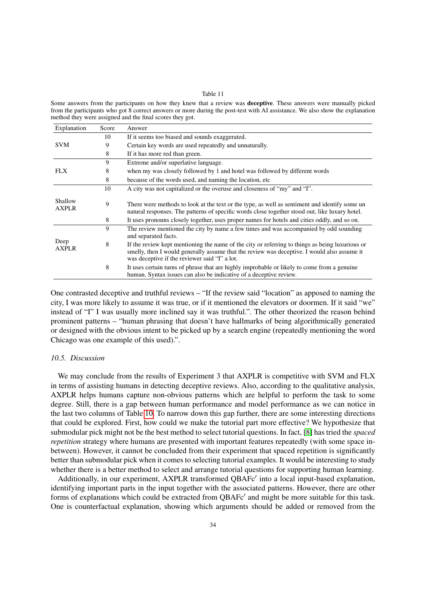<span id="page-33-0"></span>Some answers from the participants on how they knew that a review was deceptive. These answers were manually picked from the participants who got 8 correct answers or more during the post-test with AI assistance. We also show the explanation method they were assigned and the final scores they got.

| Explanation             | Score | Answer                                                                                                                                                                                                                                          |
|-------------------------|-------|-------------------------------------------------------------------------------------------------------------------------------------------------------------------------------------------------------------------------------------------------|
|                         | 10    | If it seems too biased and sounds exaggerated.                                                                                                                                                                                                  |
| <b>SVM</b>              | 9     | Certain key words are used repeatedly and unnaturally.                                                                                                                                                                                          |
|                         | 8     | If it has more red than green.                                                                                                                                                                                                                  |
|                         | 9     | Extreme and/or superlative language.                                                                                                                                                                                                            |
| <b>FLX</b>              | 8     | when my was closely followed by 1 and hotel was followed by different words                                                                                                                                                                     |
|                         | 8     | because of the words used, and naming the location, etc.                                                                                                                                                                                        |
|                         | 10    | A city was not capitalized or the overuse and closeness of "my" and "I".                                                                                                                                                                        |
| Shallow<br><b>AXPLR</b> | 9     | There were methods to look at the text or the type, as well as sentiment and identify some un<br>natural responses. The patterns of specific words close together stood out, like luxury hotel.                                                 |
|                         | 8     | It uses pronouns closely together, uses proper names for hotels and cities oddly, and so on.                                                                                                                                                    |
|                         | 9     | The review mentioned the city by name a few times and was accompanied by odd sounding<br>and separated facts.                                                                                                                                   |
| Deep<br><b>AXPLR</b>    | 8     | If the review kept mentioning the name of the city or referring to things as being luxurious or<br>smelly, then I would generally assume that the review was deceptive. I would also assume it<br>was deceptive if the reviewer said "I" a lot. |
|                         | 8     | It uses certain turns of phrase that are highly improbable or likely to come from a genuine<br>human. Syntax issues can also be indicative of a deceptive review.                                                                               |

One contrasted deceptive and truthful reviews – "If the review said "location" as apposed to naming the city, I was more likely to assume it was true, or if it mentioned the elevators or doormen. If it said "we" instead of "I" I was usually more inclined say it was truthful.". The other theorized the reason behind prominent patterns – "human phrasing that doesn't have hallmarks of being algorithmically generated or designed with the obvious intent to be picked up by a search engine (repeatedly mentioning the word Chicago was one example of this used).".

# *10.5. Discussion*

We may conclude from the results of Experiment 3 that AXPLR is competitive with SVM and FLX in terms of assisting humans in detecting deceptive reviews. Also, according to the qualitative analysis, AXPLR helps humans capture non-obvious patterns which are helpful to perform the task to some degree. Still, there is a gap between human performance and model performance as we can notice in the last two columns of Table [10.](#page-32-0) To narrow down this gap further, there are some interesting directions that could be explored. First, how could we make the tutorial part more effective? We hypothesize that submodular pick might not be the best method to select tutorial questions. In fact, [\[8\]](#page-52-4) has tried the *spaced repetition* strategy where humans are presented with important features repeatedly (with some space inbetween). However, it cannot be concluded from their experiment that spaced repetition is significantly better than submodular pick when it comes to selecting tutorial examples. It would be interesting to study whether there is a better method to select and arrange tutorial questions for supporting human learning.

Additionally, in our experiment, AXPLR transformed QBAFc' into a local input-based explanation, identifying important parts in the input together with the associated patterns. However, there are other forms of explanations which could be extracted from QBAFc' and might be more suitable for this task. One is counterfactual explanation, showing which arguments should be added or removed from the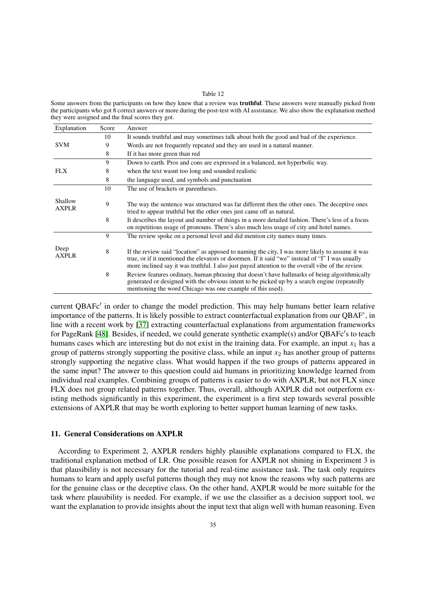<span id="page-34-1"></span>Some answers from the participants on how they knew that a review was **truthful**. These answers were manually picked from the participants who got 8 correct answers or more during the post-test with AI assistance. We also show the explanation method they were assigned and the final scores they got.

| Explanation             | Score | Answer                                                                                                                                                                                                                                                                                                  |
|-------------------------|-------|---------------------------------------------------------------------------------------------------------------------------------------------------------------------------------------------------------------------------------------------------------------------------------------------------------|
|                         | 10    | It sounds truthful and may sometimes talk about both the good and bad of the experience.                                                                                                                                                                                                                |
| <b>SVM</b>              | 9     | Words are not frequently repeated and they are used in a natural manner.                                                                                                                                                                                                                                |
|                         | 8     | If it has more green than red                                                                                                                                                                                                                                                                           |
|                         | 9     | Down to earth. Pros and cons are expressed in a balanced, not hyperbolic way.                                                                                                                                                                                                                           |
| FLX.                    | 8     | when the text wasnt too long and sounded realistic                                                                                                                                                                                                                                                      |
|                         | 8     | the language used, and symbols and punctuation                                                                                                                                                                                                                                                          |
|                         | 10    | The use of brackets or parentheses.                                                                                                                                                                                                                                                                     |
| Shallow<br><b>AXPLR</b> | 9     | The way the sentence was structured was far different then the other ones. The deceptive ones<br>tried to appear truthful but the other ones just came off as natural.                                                                                                                                  |
|                         | 8     | It describes the layout and number of things in a more detailed fashion. There's less of a focus<br>on repetitious usage of pronouns. There's also much less usage of city and hotel names.                                                                                                             |
|                         | 9     | The review spoke on a personal level and did mention city names many times.                                                                                                                                                                                                                             |
| Deep<br><b>AXPLR</b>    | 8     | If the review said "location" as apposed to naming the city, I was more likely to assume it was<br>true, or if it mentioned the elevators or doormen. If it said "we" instead of "I" I was usually<br>more inclined say it was truthful. I also just payed attention to the overall vibe of the review. |
|                         | 8     | Review features ordinary, human phrasing that doesn't have hallmarks of being algorithmically<br>generated or designed with the obvious intent to be picked up by a search engine (repeatedly<br>mentioning the word Chicago was one example of this used).                                             |

current QBAFc' in order to change the model prediction. This may help humans better learn relative importance of the patterns. It is likely possible to extract counterfactual explanation from our QBAF', in line with a recent work by [\[37\]](#page-53-8) extracting counterfactual explanations from argumentation frameworks for PageRank [\[48\]](#page-53-19). Besides, if needed, we could generate synthetic example(s) and/or QBAFc's to teach humans cases which are interesting but do not exist in the training data. For example, an input  $x_1$  has a group of patterns strongly supporting the positive class, while an input  $x_2$  has another group of patterns strongly supporting the negative class. What would happen if the two groups of patterns appeared in the same input? The answer to this question could aid humans in prioritizing knowledge learned from individual real examples. Combining groups of patterns is easier to do with AXPLR, but not FLX since FLX does not group related patterns together. Thus, overall, although AXPLR did not outperform existing methods significantly in this experiment, the experiment is a first step towards several possible extensions of AXPLR that may be worth exploring to better support human learning of new tasks.

# <span id="page-34-0"></span>11. General Considerations on AXPLR

According to Experiment 2, AXPLR renders highly plausible explanations compared to FLX, the traditional explanation method of LR. One possible reason for AXPLR not shining in Experiment 3 is that plausibility is not necessary for the tutorial and real-time assistance task. The task only requires humans to learn and apply useful patterns though they may not know the reasons why such patterns are for the genuine class or the deceptive class. On the other hand, AXPLR would be more suitable for the task where plausibility is needed. For example, if we use the classifier as a decision support tool, we want the explanation to provide insights about the input text that align well with human reasoning. Even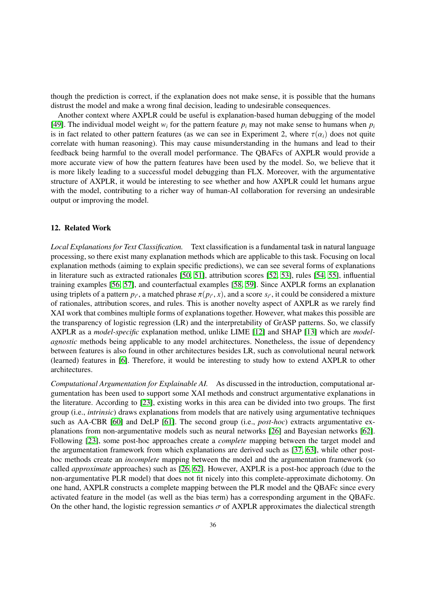though the prediction is correct, if the explanation does not make sense, it is possible that the humans distrust the model and make a wrong final decision, leading to undesirable consequences.

Another context where AXPLR could be useful is explanation-based human debugging of the model [\[49\]](#page-53-20). The individual model weight  $w_i$  for the pattern feature  $p_i$  may not make sense to humans when  $p_i$ is in fact related to other pattern features (as we can see in Experiment 2, where  $\tau(\alpha_i)$ ) does not quite correlate with human reasoning). This may cause misunderstanding in the humans and lead to their feedback being harmful to the overall model performance. The QBAFcs of AXPLR would provide a more accurate view of how the pattern features have been used by the model. So, we believe that it is more likely leading to a successful model debugging than FLX. Moreover, with the argumentative structure of AXPLR, it would be interesting to see whether and how AXPLR could let humans argue with the model, contributing to a richer way of human-AI collaboration for reversing an undesirable output or improving the model.

# <span id="page-35-0"></span>12. Related Work

*Local Explanations for Text Classification.* Text classification is a fundamental task in natural language processing, so there exist many explanation methods which are applicable to this task. Focusing on local explanation methods (aiming to explain specific predictions), we can see several forms of explanations in literature such as extracted rationales [\[50,](#page-53-21) [51\]](#page-53-22), attribution scores [\[52,](#page-53-23) [53\]](#page-54-0), rules [\[54,](#page-54-1) [55\]](#page-54-2), influential training examples [\[56,](#page-54-3) [57\]](#page-54-4), and counterfactual examples [\[58,](#page-54-5) [59\]](#page-54-6). Since AXPLR forms an explanation using triplets of a pattern  $p_i$ , a matched phrase  $\pi(p_i, x)$ , and a score  $s_i$ , it could be considered a mixture<br>of rationales, attribution scores, and rules. This is another novelty aspect of AXPI R as we rarely find of rationales, attribution scores, and rules. This is another novelty aspect of AXPLR as we rarely find XAI work that combines multiple forms of explanations together. However, what makes this possible are the transparency of logistic regression (LR) and the interpretability of GrASP patterns. So, we classify AXPLR as a *model-specific* explanation method, unlike LIME [\[12\]](#page-52-8) and SHAP [\[13\]](#page-52-9) which are *modelagnostic* methods being applicable to any model architectures. Nonetheless, the issue of dependency between features is also found in other architectures besides LR, such as convolutional neural network (learned) features in [\[6\]](#page-52-2). Therefore, it would be interesting to study how to extend AXPLR to other architectures.

*Computational Argumentation for Explainable AI.* As discussed in the introduction, computational argumentation has been used to support some XAI methods and construct argumentative explanations in the literature. According to [\[23\]](#page-52-18), existing works in this area can be divided into two groups. The first group (i.e., *intrinsic*) draws explanations from models that are natively using argumentative techniques such as AA-CBR [\[60\]](#page-54-7) and DeLP [\[61\]](#page-54-8). The second group (i.e., *post-hoc*) extracts argumentative explanations from non-argumentative models such as neural networks [\[26\]](#page-52-21) and Bayesian networks [\[62\]](#page-54-9). Following [\[23\]](#page-52-18), some post-hoc approaches create a *complete* mapping between the target model and the argumentation framework from which explanations are derived such as [\[37,](#page-53-8) [63\]](#page-54-10), while other posthoc methods create an *incomplete* mapping between the model and the argumentation framework (so called *approximate* approaches) such as [\[26,](#page-52-21) [62\]](#page-54-9). However, AXPLR is a post-hoc approach (due to the non-argumentative PLR model) that does not fit nicely into this complete-approximate dichotomy. On one hand, AXPLR constructs a complete mapping between the PLR model and the QBAFc since every activated feature in the model (as well as the bias term) has a corresponding argument in the QBAFc. On the other hand, the logistic regression semantics  $\sigma$  of AXPLR approximates the dialectical strength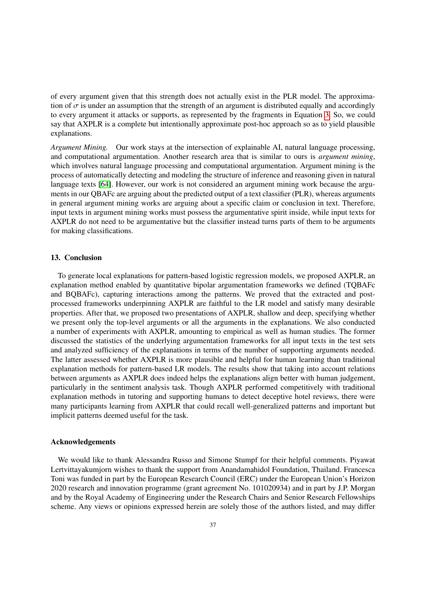of every argument given that this strength does not actually exist in the PLR model. The approximation of  $\sigma$  is under an assumption that the strength of an argument is distributed equally and accordingly to every argument it attacks or supports, as represented by the fragments in Equation [3.](#page-11-2) So, we could say that AXPLR is a complete but intentionally approximate post-hoc approach so as to yield plausible explanations.

*Argument Mining.* Our work stays at the intersection of explainable AI, natural language processing, and computational argumentation. Another research area that is similar to ours is *argument mining*, which involves natural language processing and computational argumentation. Argument mining is the process of automatically detecting and modeling the structure of inference and reasoning given in natural language texts [\[64\]](#page-54-11). However, our work is not considered an argument mining work because the arguments in our QBAFc are arguing about the predicted output of a text classifier (PLR), whereas arguments in general argument mining works are arguing about a specific claim or conclusion in text. Therefore, input texts in argument mining works must possess the argumentative spirit inside, while input texts for AXPLR do not need to be argumentative but the classifier instead turns parts of them to be arguments for making classifications.

# <span id="page-36-0"></span>13. Conclusion

To generate local explanations for pattern-based logistic regression models, we proposed AXPLR, an explanation method enabled by quantitative bipolar argumentation frameworks we defined (TQBAFc and BQBAFc), capturing interactions among the patterns. We proved that the extracted and postprocessed frameworks underpinning AXPLR are faithful to the LR model and satisfy many desirable properties. After that, we proposed two presentations of AXPLR, shallow and deep, specifying whether we present only the top-level arguments or all the arguments in the explanations. We also conducted a number of experiments with AXPLR, amounting to empirical as well as human studies. The former discussed the statistics of the underlying argumentation frameworks for all input texts in the test sets and analyzed sufficiency of the explanations in terms of the number of supporting arguments needed. The latter assessed whether AXPLR is more plausible and helpful for human learning than traditional explanation methods for pattern-based LR models. The results show that taking into account relations between arguments as AXPLR does indeed helps the explanations align better with human judgement, particularly in the sentiment analysis task. Though AXPLR performed competitively with traditional explanation methods in tutoring and supporting humans to detect deceptive hotel reviews, there were many participants learning from AXPLR that could recall well-generalized patterns and important but implicit patterns deemed useful for the task.

# Acknowledgements

We would like to thank Alessandra Russo and Simone Stumpf for their helpful comments. Piyawat Lertvittayakumjorn wishes to thank the support from Anandamahidol Foundation, Thailand. Francesca Toni was funded in part by the European Research Council (ERC) under the European Union's Horizon 2020 research and innovation programme (grant agreement No. 101020934) and in part by J.P. Morgan and by the Royal Academy of Engineering under the Research Chairs and Senior Research Fellowships scheme. Any views or opinions expressed herein are solely those of the authors listed, and may differ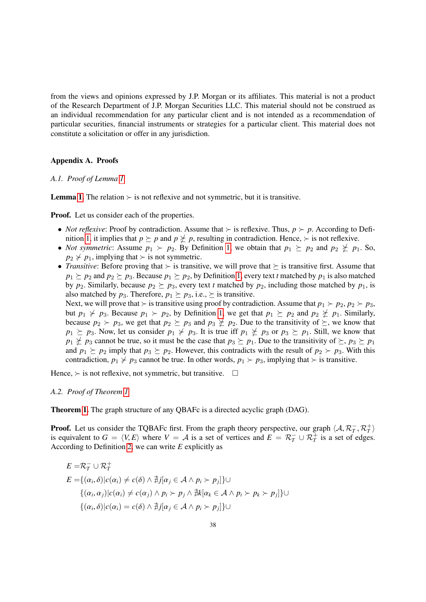from the views and opinions expressed by J.P. Morgan or its affiliates. This material is not a product of the Research Department of J.P. Morgan Securities LLC. This material should not be construed as an individual recommendation for any particular client and is not intended as a recommendation of particular securities, financial instruments or strategies for a particular client. This material does not constitute a solicitation or offer in any jurisdiction.

# Appendix A. Proofs

# <span id="page-37-0"></span>*A.1. Proof of Lemma [1](#page-8-3)*

**Lemma [1.](#page-8-3)** The relation  $\succ$  is not reflexive and not symmetric, but it is transitive.

Proof. Let us consider each of the properties.

- *Not reflexive:* Proof by contradiction. Assume that  $\succ$  is reflexive. Thus,  $p \succ p$ . According to Defi-nition [1,](#page-8-4) it implies that  $p \succeq p$  and  $p \not\leq p$ , resulting in contradiction. Hence,  $\succ$  is not reflexive.
- *Not symmetric*: Assume  $p_1 \succ p_2$ . By Definition [1,](#page-8-4) we obtain that  $p_1 \succ p_2$  and  $p_2 \not\perp p_1$ . So,  $p_2 \nless p_1$ , implying that  $\succ$  is not symmetric.
- *Transitive*: Before proving that  $\succ$  is transitive, we will prove that  $\succeq$  is transitive first. Assume that  $p_1 \succeq p_2$  and  $p_2 \succeq p_3$ . Because  $p_1 \succeq p_2$ , by Definition [1,](#page-8-4) every text *t* matched by  $p_1$  is also matched by  $p_2$ . Similarly, because  $p_2 \succeq p_3$ , every text *t* matched by  $p_2$ , including those matched by  $p_1$ , is also matched by  $p_3$ . Therefore,  $p_1 \succeq p_3$ , i.e.,  $\succeq$  is transitive.

Next, we will prove that  $\succ$  is transitive using proof by contradiction. Assume that  $p_1 \succ p_2, p_2 \succ p_3$ , but  $p_1 \nsucc p_3$ . Because  $p_1 \succ p_2$ , by Definition [1,](#page-8-4) we get that  $p_1 \succeq p_2$  and  $p_2 \nsucceq p_1$ . Similarly, because  $p_2 \succ p_3$ , we get that  $p_2 \succeq p_3$  and  $p_3 \not\succeq p_2$ . Due to the transitivity of  $\succeq$ , we know that  $p_1 \succeq p_3$ . Now, let us consider  $p_1 \nsucceq p_3$ . It is true iff  $p_1 \nsucceq p_3$  or  $p_3 \succeq p_1$ . Still, we know that  $p_1 \not\geq p_3$  cannot be true, so it must be the case that  $p_3 \succeq p_1$ . Due to the transitivity of  $\succeq, p_3 \succeq p_1$ and  $p_1 \succeq p_2$  imply that  $p_3 \succeq p_2$ . However, this contradicts with the result of  $p_2 \succ p_3$ . With this contradiction,  $p_1 \nless p_3$  cannot be true. In other words,  $p_1 \nless p_3$ , implying that  $\succ$  is transitive.

Hence,  $\succ$  is not reflexive, not symmetric, but transitive.  $\square$ 

# <span id="page-37-1"></span>*A.2. Proof of Theorem [1](#page-11-4)*

Theorem [1.](#page-11-4) The graph structure of any QBAFc is a directed acyclic graph (DAG).

**Proof.** Let us consider the TQBAFc first. From the graph theory perspective, our graph  $\langle A, \mathcal{R}_T^-$ ,  $\mathcal{R}_T^+$  is a set of  $G - \langle V_F \rangle$  where  $V = A$  is a set of vertices and  $F = \mathcal{R}^- + \mathcal{R}^+$  is a set of edges is equivalent to  $G = \langle V, E \rangle$  where  $V = A$  is a set of vertices and  $E = \mathcal{R}_T^- \cup \mathcal{R}_T^+$  is a set of edges.<br>According to Definition 2, we can write *F* explicitly as According to Definition [2,](#page-8-2) we can write *E* explicitly as

$$
E = \mathcal{R}_T^- \cup \mathcal{R}_T^+
$$
  
\n
$$
E = \{ (\alpha_i, \delta) | c(\alpha_i) \neq c(\delta) \land \nexists j [\alpha_j \in \mathcal{A} \land p_i \succ p_j] \} \cup
$$
  
\n
$$
\{ (\alpha_i, \alpha_j) | c(\alpha_i) \neq c(\alpha_j) \land p_i \succ p_j \land \nexists k [\alpha_k \in \mathcal{A} \land p_i \succ p_k \succ p_j] \} \cup
$$
  
\n
$$
\{ (\alpha_i, \delta) | c(\alpha_i) = c(\delta) \land \nexists j [\alpha_j \in \mathcal{A} \land p_i \succ p_j] \} \cup
$$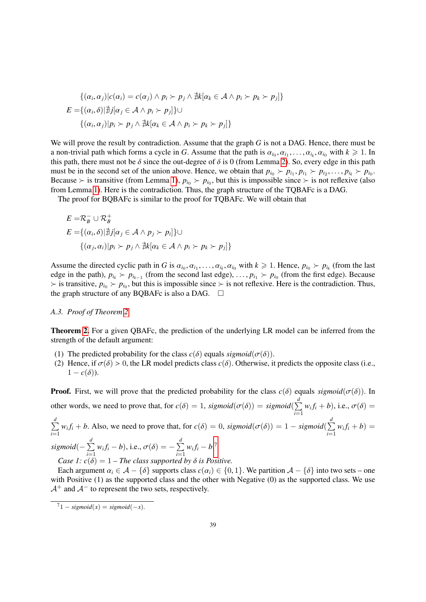$$
\{( \alpha_i, \alpha_j) | c(\alpha_i) = c(\alpha_j) \land p_i \succ p_j \land \nexists k [\alpha_k \in A \land p_i \succ p_k \succ p_j] \}
$$
  

$$
E = \{ (\alpha_i, \delta) | \nexists j [\alpha_j \in A \land p_i \succ p_j] \} \cup
$$
  

$$
\{ (\alpha_i, \alpha_j) | p_i \succ p_j \land \nexists k [\alpha_k \in A \land p_i \succ p_k \succ p_j] \}
$$

We will prove the result by contradiction. Assume that the graph *G* is not a DAG. Hence, there must be a non-trivial path which forms a cycle in *G*. Assume that the path is  $\alpha_{i_0}, \alpha_{i_1}, \dots, \alpha_{i_k}, \alpha_{i_0}$  with  $k \ge 1$ . In this path there must not be  $\delta$  since the out-degree of  $\delta$  is 0 (from Lemma 2). So, every edge in  $, \alpha_{i_1}, \ldots, \alpha_{i_k}$ <br>(3.2) So eve this path, there must not be  $\delta$  since the out-degree of  $\delta$  is 0 (from Lemma [2\)](#page-11-1). So, every edge in this path<br>must be in the second set of the union above. Hence, we obtain that  $p_{i_0} \succ p_{i_1}, p_{i_1} \succ p_{i_2}, \dots, p_{i_k} \succ p_{$ Because  $\succ$  is transitive (from Lemma [1\)](#page-8-3),  $p_{i_0} \succ p_{i_0}$ , but this is impossible since  $\succ$  is not reflexive (also from Lemma [1\)](#page-8-3). Here is the contradiction. Thus, the graph structure of the TQBAFc is a DAG.

The proof for BQBAFc is similar to the proof for TQBAFc. We will obtain that

$$
E = \mathcal{R}_B^- \cup \mathcal{R}_B^+
$$
  
\n
$$
E = \{ (\alpha_i, \delta) | \nexists j [\alpha_j \in \mathcal{A} \land p_j \succ p_i] \} \cup \{ (\alpha_j, \alpha_i) | p_i \succ p_j \land \nexists k [\alpha_k \in \mathcal{A} \land p_i \succ p_k \succ p_j] \}
$$

Assume the directed cyclic path in *G* is  $\alpha_{i_0}, \alpha_{i_1}, \ldots, \alpha_{i_k}, \alpha_{i_0}$  with  $k \ge 1$ . Hence,  $p_{i_0} \succ p_{i_k}$  (from the last edge)  $p_{i_0} \succ p_{i_k}$  (from the nath)  $p_i \succ p_i$  (from the second last edge)  $p_i \succ p_i$  (from the edge in the path),  $p_{i_k} \succ p_{i_{k-1}}$  (from the second last edge), ...,  $p_{i_1} \succ p_{i_0}$  (from the first edge). Because  $\searrow$  is transitive  $p_i \succ p_i$  but this is impossible since  $\searrow$  is not reflexive. Here is the contradi  $\succ$  is transitive,  $p_{i_0} \succ p_{i_0}$ , but this is impossible since  $\succ$  is not reflexive. Here is the contradiction. Thus, the graph structure of any BQBAFc is also a DAG.  $\Box$ 

# <span id="page-38-0"></span>*A.3. Proof of Theorem [2](#page-12-0)*

Theorem [2.](#page-12-0) For a given QBAFc, the prediction of the underlying LR model can be inferred from the strength of the default argument:

- (1) The predicted probability for the class  $c(\delta)$  equals *sigmoid*( $\sigma(\delta)$ ).
- (2) Hence, if  $\sigma(\delta) > 0$ , the LR model predicts class  $c(\delta)$ . Otherwise, it predicts the opposite class (i.e.,  $1 - c(\delta)$ ).

**Proof.** First, we will prove that the predicted probability for the class  $c(\delta)$  equals *sigmoid*( $\sigma(\delta)$ ). In other words, we need to prove that, for  $c(\delta) = 1$ ,  $sigmoid(\sigma(\delta)) = sigmoid(\sum_{i=1}^{d}$ *i*=1  $w_i f_i + b$ ), i.e.,  $\sigma(\delta) =$  $\sum_{i=1}^{d}$ *i*=1  $w_i f_i + b$ . Also, we need to prove that, for  $c(\delta) = 0$ ,  $sigmoid(\sigma(\delta)) = 1 - sigmoid(\sum_{i=1}^d \delta_i)$ *i*=1  $w_i f_i + b) =$ *sigmoid*(− P *d i*=1  $w_i f_i - b$ ), i.e.,  $\sigma(\delta) = -\sum_{i=1}^d$ *i*=1  $w_i f_i - b$ <sup>[7](#page-38-1)</sup>

*Case 1:*  $c(\delta) = 1$  – *The class supported by*  $\delta$  *is Positive.* 

Each argument  $\alpha_i \in \mathcal{A} - \{\delta\}$  supports class  $c(\alpha_i) \in \{0, 1\}$ . We partition  $\mathcal{A} - \{\delta\}$  into two sets – one with Positive (1) as the supported class and the other with Negative (0) as the supported class. We use  $A^+$  and  $A^-$  to represent the two sets, respectively.

<span id="page-38-1"></span> ${}^{7}1 - sigmoid(x) = sigmoid(-x).$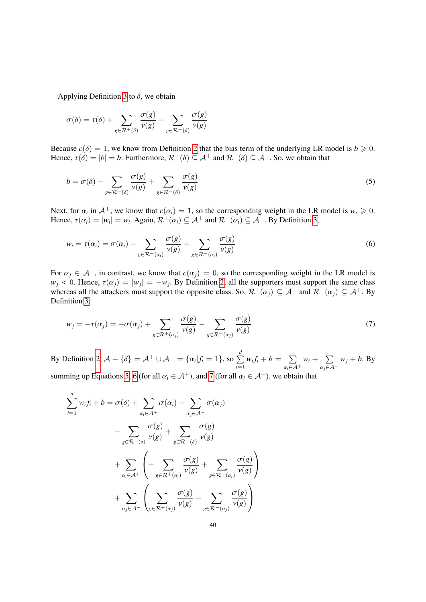Applying Definition [3](#page-11-3) to  $\delta$ , we obtain

$$
\sigma(\delta) = \tau(\delta) + \sum_{g \in \mathcal{R}^+(\delta)} \frac{\sigma(g)}{\nu(g)} - \sum_{g \in \mathcal{R}^-(\delta)} \frac{\sigma(g)}{\nu(g)}
$$

Because  $c(\delta) = 1$ , we know from Definition [2](#page-8-2) that the bias term of the underlying LR model is  $b \ge 0$ . Hence,  $\tau(\delta) = |b| = b$ . Furthermore,  $\mathcal{R}^+(\delta) \subseteq \mathcal{A}^+$  and  $\mathcal{R}^-(\delta) \subseteq \mathcal{A}^-$ . So, we obtain that

<span id="page-39-0"></span>
$$
b = \sigma(\delta) - \sum_{g \in \mathcal{R}^+(\delta)} \frac{\sigma(g)}{\nu(g)} + \sum_{g \in \mathcal{R}^-(\delta)} \frac{\sigma(g)}{\nu(g)}
$$
(5)

Next, for  $\alpha_i$  in  $A^+$ , we know that  $c(\alpha_i) = 1$ , so the corresponding weight in the LR model is  $w_i \ge 0$ .<br>Hence  $\tau(\alpha_i) = |w_i| = w_i$ . Again  $\mathcal{R}^+ (\alpha_i) \subset A^+$  and  $\mathcal{R}^- (\alpha_i) \subset A^-$  By Definition 3. Hence,  $\tau(\alpha_i) = |w_i| = w_i$ . Again,  $\mathcal{R}^+(\alpha_i) \subseteq \mathcal{A}^+$  and  $\mathcal{R}^-(\alpha_i) \subseteq \mathcal{A}^-$ . By Definition [3,](#page-11-3)

<span id="page-39-1"></span>
$$
w_i = \tau(\alpha_i) = \sigma(\alpha_i) - \sum_{g \in \mathcal{R}^+(\alpha_i)} \frac{\sigma(g)}{\nu(g)} + \sum_{g \in \mathcal{R}^-(\alpha_i)} \frac{\sigma(g)}{\nu(g)}
$$
(6)

For  $\alpha_j \in A^-$ , in contrast, we know that  $c(\alpha_j) = 0$ , so the corresponding weight in the LR model is *w<sub>j</sub>* < 0. Hence,  $\tau(\alpha_j) = |w_j| = -w_j$ . By Definition [2,](#page-8-2) all the supporters must support the same class whereas all the attackers must support the opposite class. So  $\mathcal{R}^+(\alpha) \subset A^-$  and  $\mathcal{R}^-(\alpha) \subset A^+$  By whereas all the attackers must support the opposite class. So,  $\mathcal{R}^+(\alpha_i) \subseteq \mathcal{A}^-$  and  $\mathcal{R}^-(\alpha_i) \subseteq \mathcal{A}^+$ . By Definition [3,](#page-11-3)

<span id="page-39-2"></span>
$$
w_j = -\tau(\alpha_j) = -\sigma(\alpha_j) + \sum_{g \in \mathcal{R}^+(\alpha_j)} \frac{\sigma(g)}{\nu(g)} - \sum_{g \in \mathcal{R}^-(\alpha_j)} \frac{\sigma(g)}{\nu(g)}
$$
(7)

By Definition [2,](#page-8-2)  $A - \{\delta\} = A^+ \cup A^- = \{\alpha_i | f_i = 1\}$ , so  $\sum_{i=1}^d$ *i*=1  $w_i f_i + b = \sum$  $\alpha_i \in \mathcal{A}^+$  $w_i + \sum$ α*j*∈A<sup>−</sup>  $w_j + b$ . By summing up Equations [5,](#page-39-0) [6](#page-39-1) (for all  $\alpha_i \in A^+$ ), and [7](#page-39-2) (for all  $\alpha_i \in A^-$ ), we obtain that

$$
\sum_{i=1}^{d} w_{i} f_{i} + b = \sigma(\delta) + \sum_{\alpha_{i} \in \mathcal{A}^{+}} \sigma(\alpha_{i}) - \sum_{\alpha_{j} \in \mathcal{A}^{-}} \sigma(\alpha_{j})
$$

$$
- \sum_{g \in \mathcal{R}^{+}(\delta)} \frac{\sigma(g)}{\nu(g)} + \sum_{g \in \mathcal{R}^{-}(\delta)} \frac{\sigma(g)}{\nu(g)}
$$

$$
+ \sum_{\alpha_{i} \in \mathcal{A}^{+}} \left( - \sum_{g \in \mathcal{R}^{+}(\alpha_{i})} \frac{\sigma(g)}{\nu(g)} + \sum_{g \in \mathcal{R}^{-}(\alpha_{i})} \frac{\sigma(g)}{\nu(g)} \right)
$$

$$
+ \sum_{\alpha_{j} \in \mathcal{A}^{-}} \left( \sum_{g \in \mathcal{R}^{+}(\alpha_{j})} \frac{\sigma(g)}{\nu(g)} - \sum_{g \in \mathcal{R}^{-}(\alpha_{j})} \frac{\sigma(g)}{\nu(g)} \right)
$$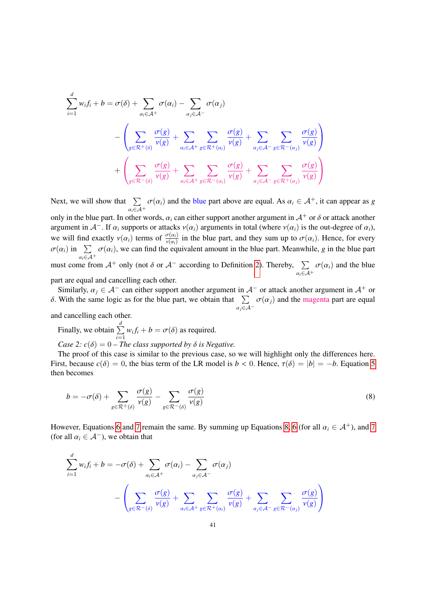$$
\sum_{i=1}^{d} w_i f_i + b = \sigma(\delta) + \sum_{\alpha_i \in \mathcal{A}^+} \sigma(\alpha_i) - \sum_{\alpha_j \in \mathcal{A}^-} \sigma(\alpha_j)
$$

$$
- \left( \sum_{g \in \mathcal{R}^+(\delta)} \frac{\sigma(g)}{\nu(g)} + \sum_{\alpha_i \in \mathcal{A}^+} \sum_{g \in \mathcal{R}^+(\alpha_i)} \frac{\sigma(g)}{\nu(g)} + \sum_{\alpha_j \in \mathcal{A}^-} \sum_{g \in \mathcal{R}^-(\alpha_j)} \frac{\sigma(g)}{\nu(g)} \right)
$$

$$
+ \left( \sum_{g \in \mathcal{R}^-(\delta)} \frac{\sigma(g)}{\nu(g)} + \sum_{\alpha_i \in \mathcal{A}^+} \sum_{g \in \mathcal{R}^-(\alpha_i)} \frac{\sigma(g)}{\nu(g)} + \sum_{\alpha_j \in \mathcal{A}^-} \sum_{g \in \mathcal{R}^+(\alpha_j)} \frac{\sigma(g)}{\nu(g)} \right)
$$

Next, we will show that  $\sum$  $\sum_{\alpha_i \in \mathcal{A}^+} \sigma(\alpha_i)$  and the blue part above are equal. As  $\alpha_i \in \mathcal{A}^+$ , it can appear as *g*<br>then weaks a second began a site assument another accumulation  $A^+$  as S another another only in the blue part. In other words,  $\alpha_i$  can either support another argument in  $A^+$  or  $\delta$  or attack another argument in  $A^-$ . If  $\alpha_i$  supports or attacks  $\nu(\alpha_i)$  arguments in total (where  $\nu(\alpha_i)$  is the out-deg argument in  $\mathcal{A}^-$ . If  $\alpha_i$  supports or attacks  $v(\alpha_i)$  arguments in total (where  $v(\alpha_i)$  is the out-degree of  $\alpha_i$ ), we will find exactly  $v(\alpha_i)$  terms of  $\frac{\sigma(\alpha_i)}{v(\alpha_i)}$  in the blue part, and they sum up to  $\sigma(\alpha_i)$ . Hence, for every  $\sigma(\alpha_i)$  in  $\sum_{\alpha_i \in \mathcal{A}^+} \sigma(\alpha_i)$ , we can find the equivalent amount in the blue part. Meanwhile, *g* in the blue part must come from  $A^+$  only (not  $\delta$  or  $A^-$  according to Definition [2\)](#page-8-2). Thereby,  $\sum_{\alpha_i \in A^+} \sigma(\alpha_i)$  and the blue

part are equal and cancelling each other.

Similarly,  $\alpha_j \in A^-$  can either support another argument in  $A^-$  or attack another argument in  $A^+$  or With the same logic as for the blue part, we obtain that  $\sum_{i} \sigma(\alpha_i)$  and the magneta part are equal δ. With the same logic as for the blue part, we obtain that  $\sum_{\alpha_j \in \mathcal{A}^-} \sigma(\alpha_j)$  and the magenta part are equal and conselling each other

and cancelling each other.

Finally, we obtain  $\sum_{n=1}^{d}$ *i*=1  $w_i f_i + b = \sigma(\delta)$  as required. *Case 2:*  $c(\delta) = 0$  – The class supported by  $\delta$  *is Negative.* 

The proof of this case is similar to the previous case, so we will highlight only the differences here. First, because  $c(\delta) = 0$ , the bias term of the LR model is  $b < 0$ . Hence,  $\tau(\delta) = |b| = -b$ . Equation [5](#page-39-0) then becomes

<span id="page-40-0"></span>
$$
b = -\sigma(\delta) + \sum_{g \in \mathcal{R}^+(\delta)} \frac{\sigma(g)}{\nu(g)} - \sum_{g \in \mathcal{R}^-(\delta)} \frac{\sigma(g)}{\nu(g)}
$$
(8)

However, Equations [6](#page-39-1) and [7](#page-39-2) remain the same. By summing up Equations [8,](#page-40-0) 6 (for all  $\alpha_i \in A^+$ ), and 7 (for all  $\alpha_i \in \mathcal{A}^-$ ), we obtain that

$$
\sum_{i=1}^{d} w_i f_i + b = -\sigma(\delta) + \sum_{\alpha_i \in \mathcal{A}^+} \sigma(\alpha_i) - \sum_{\alpha_j \in \mathcal{A}^-} \sigma(\alpha_j)
$$

$$
- \left( \sum_{g \in \mathcal{R}^-(\delta)} \frac{\sigma(g)}{\nu(g)} + \sum_{\alpha_i \in \mathcal{A}^+} \sum_{g \in \mathcal{R}^+(\alpha_i)} \frac{\sigma(g)}{\nu(g)} + \sum_{\alpha_j \in \mathcal{A}^-} \sum_{g \in \mathcal{R}^-(\alpha_j)} \frac{\sigma(g)}{\nu(g)} \right)
$$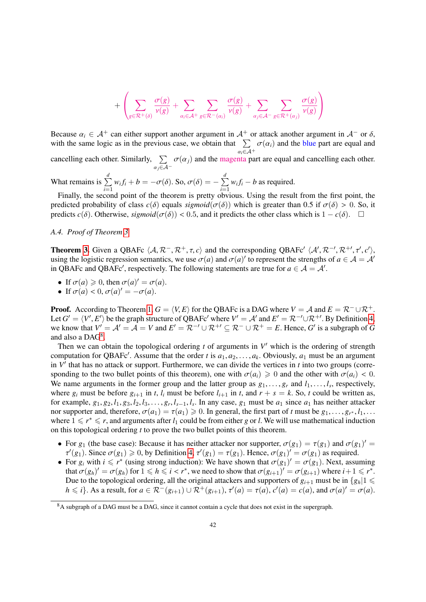$$
+\left(\sum_{g\in\mathcal{R}^+(\delta)}\frac{\sigma(g)}{\nu(g)}+\sum_{\alpha_i\in\mathcal{A}^+}\sum_{g\in\mathcal{R}^-(\alpha_i)}\frac{\sigma(g)}{\nu(g)}+\sum_{\alpha_j\in\mathcal{A}^-}\sum_{g\in\mathcal{R}^+(\alpha_j)}\frac{\sigma(g)}{\nu(g)}\right)
$$

Because  $\alpha_i \in A^+$  can either support another argument in  $A^+$  or attack another argument in  $A^-$  or  $\delta$ , with the same logic as in the previous case, we obtain that  $\sum_{\alpha_i \in A^+} \sigma(\alpha_i)$  and the blue part are equal and

cancelling each other. Similarly,  $\sum \sigma(\alpha_i)$  and the magenta pa  $\sum_{\alpha_j \in A^-} \sigma(\alpha_j)$  and the magenta part are equal and cancelling each other.

What remains is  $\sum_{i=1}^{d}$ *i*=1  $w_i f_i + b = -\sigma(\delta)$ . So,  $\sigma(\delta) = -\sum_{i=1}^d$ *i*=1  $w_i f_i - b$  as required.

Finally, the second point of the theorem is pretty obvious. Using the result from the first point, the predicted probability of class  $c(\delta)$  equals *sigmoid*( $\sigma(\delta)$ ) which is greater than 0.5 if  $\sigma(\delta) > 0$ . So, it predicts  $c(\delta)$ . Otherwise,  $sigmoid(\sigma(\delta)) < 0.5$ , and it predicts the other class which is  $1 - c(\delta)$ .  $\Box$ 

# <span id="page-41-0"></span>*A.4. Proof of Theorem [3](#page-13-4)*

**Theorem [3.](#page-13-4)** Given a QBAFc  $\langle A, \mathcal{R}^-, \mathcal{R}^+, \tau, c \rangle$  and the corresponding QBAFc'  $\langle A', \mathcal{R}^-, \mathcal{R}^+, \tau', c' \rangle$ , using the logistic regression semantics, we use  $\sigma(a)$  and  $\sigma(a)'$  to represent the strengths of  $a \in A - A'$ using the logistic regression semantics, we use  $\sigma(a)$  and  $\sigma(a)'$  to represent the strengths of  $a \in A = A'$ <br>in OBAEc and OBAEc' respectively. The following statements are true for  $a \in A = A'$ in QBAFc and QBAFc', respectively. The following statements are true for  $a \in A = A'$ .

- If  $\sigma(a) \ge 0$ , then  $\sigma(a)' = \sigma(a)$ .<br>• If  $\sigma(a) < 0$ ,  $\sigma(a)' = -\sigma(a)$ .
- If  $\sigma(a) < 0$ ,  $\sigma(a)' = -\sigma(a)$ .

**Proof.** According to Theorem [1,](#page-11-4)  $G = \langle V, E \rangle$  for the OBAFc is a DAG where  $V = A$  and  $E = \mathcal{R}^- \cup \mathcal{R}^+$ . Let  $G' = \langle V', E' \rangle$  be the graph structure of QBAFc' where  $V' = A'$  and  $E' = \mathcal{R}^{-1} \cup \mathcal{R}^{+1}$ . By Definition [4,](#page-13-1) we know that  $V' = A' = A - V$  and  $F' = \mathcal{R}^{-1} \cup \mathcal{R}^{+1} \subset \mathcal{R}^{-1} \cup \mathcal{R}^{+} = F$ . Hence  $G'$  is a subgraph o we know that  $V' = A' = A = V$  and  $E' = \mathcal{R}^{-1} \cup \mathcal{R}^{+1} \subseteq \mathcal{R}^{-} \cup \mathcal{R}^{+} = E$ . Hence, G' is a subgraph of G and also a DAG<sup>[8](#page-41-1)</sup>.

Then we can obtain the topological ordering  $t$  of arguments in  $V'$  which is the ordering of strength computation for QBAFc'. Assume that the order *t* is  $a_1, a_2, \ldots, a_k$ . Obviously,  $a_1$  must be an argument<br>in  $V'$  that has no attack or support. Furthermore, we can divide the vertices in *t* into two groups (correin  $V'$  that has no attack or support. Furthermore, we can divide the vertices in  $t$  into two groups (corresponding to the two bullet points of this theorem), one with  $\sigma(a_i) \geq 0$  and the other with  $\sigma(a_i) < 0$ . We name arguments in the former group and the latter group as  $g_1, \ldots, g_r$  and  $l_1, \ldots, l_s$ , respectively, where  $g_i$  must be before  $g_{i+1}$  in  $t$ , lemust be before  $l_{i+1}$  in  $t$ , and  $r + s = k$ . So, t could be written a where  $g_i$  must be before  $g_{i+1}$  in *t*,  $l_i$  must be before  $l_{i+1}$  in *t*, and  $r + s = k$ . So, *t* could be written as, for example,  $g_1, g_2, l_1, g_3, l_2, l_3, \ldots, g_r, l_{s-1}, l_s$ . In any case,  $g_1$  must be  $a_1$  since  $a_1$  has neither attacker<br>nor supporter and therefore  $\sigma(a_1) - \tau(a_1) > 0$ . In general the first part of t must be  $g_1, g_2, l_1$ nor supporter and, therefore,  $\sigma(a_1) = \tau(a_1) \ge 0$ . In general, the first part of *t* must be  $g_1, \ldots, g_{r^*}, l_1, \ldots$ <br>where  $1 \le r^* \le r$  and arguments after *l*<sub>1</sub> could be from either *g* or *l*. We will use mathematical i where  $1 \le r^* \le r$ , and arguments after  $l_1$  could be from either *g* or *l*. We will use mathematical induction on this topological ordering *t* to prove the two bullet points of this theorem.

- For  $g_1$  (the base case): Because it has neither attacker nor supporter,  $\sigma(g_1) = \tau(g_1)$  and  $\sigma(g_1)' = \tau'(g_1)$ . Since  $\sigma(g_1) > 0$  by Definition  $4 \tau'(g_1) = \tau(g_1)$ . Hence  $\sigma(g_1)' = \sigma(g_1)$  as required  $\tau'(g_1)$ . Since  $\sigma(g_1) \ge 0$ , by Definition [4,](#page-13-1)  $\tau'(g_1) = \tau(g_1)$ . Hence,  $\sigma(g_1)' = \sigma(g_1)$  as required.<br>For g, with  $i \le r^*$  (using strong induction); We have shown that  $\sigma(g_1)' = \sigma(g_1)$ . Next, assumed.
- For  $g_i$  with  $i \le r^*$  (using strong induction): We have shown that  $\sigma(g_1)' = \sigma(g_1)$ . Next, assuming that  $\sigma(g_1)' = \sigma(g_1)$  for  $1 \le h \le i \le r^*$  we need to show that  $\sigma(g_{i+1})' = \sigma(g_{i+1})$  where  $i+1 \le r^*$ that  $\sigma(g_h)' = \sigma(g_h)$  for  $1 \leq h \leq i < r^*$ , we need to show that  $\sigma(g_{i+1})' = \sigma(g_{i+1})$  where  $i+1 \leq r^*$ . Due to the topological ordering, all the original attackers and supporters of  $g_{i+1}$  must be in  $\{g_h|1 \leq h \leq h \}$  $h \le i$ . As a result, for  $a \in \mathcal{R}^-(g_{i+1}) \cup \mathcal{R}^+(g_{i+1}), \tau'(a) = \tau(a)$ ,  $c'(a) = c(a)$ , and  $\sigma(a)' = \sigma(a)$ .

<span id="page-41-1"></span><sup>8</sup>A subgraph of a DAG must be a DAG, since it cannot contain a cycle that does not exist in the supergraph.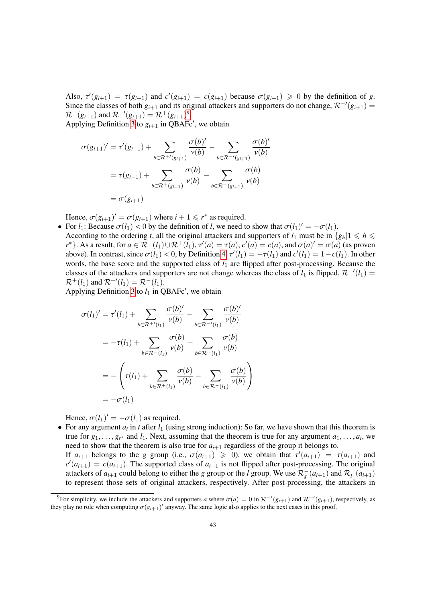Also,  $\tau'(g_{i+1}) = \tau(g_{i+1})$  and  $c'(g_{i+1}) = c(g_{i+1})$  because  $\sigma(g_{i+1}) \ge 0$  by the definition of *g*.<br>Since the classes of both  $g_{i+1}$  and its original attackers and supporters do not change  $\mathcal{R}^{-1}(g_{i+1})$ Since the classes of both  $g_{i+1}$  and its original attackers and supporters do not change,  $\mathcal{R}^{-1}(g_{i+1}) =$  $\mathcal{R}^-(g_{i+1})$  and  $\mathcal{R}^+(g_{i+1}) = \mathcal{R}^+(g_{i+1})^9$  $\mathcal{R}^+(g_{i+1}) = \mathcal{R}^+(g_{i+1})^9$ .

Applying Definition [3](#page-11-3) to  $g_{i+1}$  in QBAFc', we obtain

$$
\sigma(g_{i+1})' = \tau'(g_{i+1}) + \sum_{b \in \mathcal{R}^{+'}(g_{i+1})} \frac{\sigma(b)'}{\nu(b)} - \sum_{b \in \mathcal{R}^{-'}(g_{i+1})} \frac{\sigma(b)'}{\nu(b)}
$$

$$
= \tau(g_{i+1}) + \sum_{b \in \mathcal{R}^{+}(g_{i+1})} \frac{\sigma(b)}{\nu(b)} - \sum_{b \in \mathcal{R}^{-}(g_{i+1})} \frac{\sigma(b)}{\nu(b)}
$$

$$
= \sigma(g_{i+1})
$$

Hence,  $\sigma(g_{i+1})' = \sigma(g_{i+1})$  where  $i + 1 \leq r^*$  as required.<br>For  $l_1$ : Because  $\sigma(l_1) < 0$  by the definition of *l* we need to

- For  $l_1$ : Because  $\sigma(l_1) < 0$  by the definition of *l*, we need to show that  $\sigma(l_1)' = -\sigma(l_1)$ .<br>According to the ordering *t* all the original attackers and supporters of *l*, must be in *l*
- According to the ordering *t*, all the original attackers and supporters of  $l_1$  must be in  $\{g_h|1 \leq h \leq h\}$ *r*<sup>\*</sup>}. As a result, for  $a \in \mathbb{R}^{-}(l_1) \cup \mathbb{R}^{+}(l_1)$ ,  $\tau'(a) = \tau(a)$ ,  $c'(a) = c(a)$ , and  $\sigma(a)' = \sigma(a)$  (as proven above) In contrast, since  $\sigma(l_1) < 0$  by Definition  $4\tau'(l_1) = -\tau(l_1)$  and  $c'(l_1) = 1 - c(l_1)$ . In other above). In contrast, since  $\sigma(l_1) < 0$ , by Definition [4,](#page-13-1)  $\tau'(l_1) = -\tau(l_1)$  and  $c'(l_1) = 1 - c(l_1)$ . In other words the base score and the supported class of *l*<sub>1</sub> are flipped after post-processing. Because the words, the base score and the supported class of  $l_1$  are flipped after post-processing. Because the classes of the attackers and supporters are not change whereas the class of  $l_1$  is flipped,  $\mathcal{R}^{-1}(l_1)$  =  $\mathcal{R}^+(l_1)$  and  $\mathcal{R}^{+'}(l_1) = \mathcal{R}^-(l_1)$ .

Applying Definition [3](#page-11-3) to  $l_1$  in QBAFc', we obtain

$$
\sigma(l_1)' = \tau'(l_1) + \sum_{b \in \mathcal{R}^{+l}(l_1)} \frac{\sigma(b)'}{\nu(b)} - \sum_{b \in \mathcal{R}^{-l}(l_1)} \frac{\sigma(b)'}{\nu(b)}
$$

$$
= -\tau(l_1) + \sum_{b \in \mathcal{R}^{-}(l_1)} \frac{\sigma(b)}{\nu(b)} - \sum_{b \in \mathcal{R}^{+}(l_1)} \frac{\sigma(b)}{\nu(b)}
$$

$$
= -\left(\tau(l_1) + \sum_{b \in \mathcal{R}^{+}(l_1)} \frac{\sigma(b)}{\nu(b)} - \sum_{b \in \mathcal{R}^{-}(l_1)} \frac{\sigma(b)}{\nu(b)}\right)
$$

$$
= -\sigma(l_1)
$$

Hence,  $\sigma(l_1)' = -\sigma(l_1)$  as required.<br>For any aroument *a* in *t* after *l*, (usin

- For any argument  $a_i$  in *t* after  $l_1$  (using strong induction): So far, we have shown that this theorem is true for  $g_1, \ldots, g_r$ <sup>\*</sup> and  $l_1$ . Next, assuming that the theorem is true for any argument  $a_1, \ldots, a_i$ , we need to show that the theorem is also true for  $a_{i+1}$  regardless of the group it belongs to need to show that the theorem is also true for  $a_{i+1}$  regardless of the group it belongs to.
- If  $a_{i+1}$  belongs to the *g* group (i.e.,  $\sigma(a_{i+1}) \ge 0$ ), we obtain that  $\tau'(a_{i+1}) = \tau(a_{i+1})$  and  $\sigma'(a_{i+1}) = c(a_{i+1})$ . The supported class of  $a_{i+1}$  is not flipped after post-processing. The original  $c'(a_{i+1}) = c(a_{i+1})$ . The supported class of  $a_{i+1}$  is not flipped after post-processing. The original attackers of  $a_{i+1}$  could belong to either the *g* group or the *l* group. We use  $\mathcal{R}_g^-(a_{i+1})$  and  $\mathcal{R}_l^-(a_{i+1})$ to represent those sets of original attackers, respectively. After post-processing, the attackers in

<span id="page-42-0"></span><sup>&</sup>lt;sup>9</sup>For simplicity, we include the attackers and supporters *a* where  $\sigma(a) = 0$  in  $\mathcal{R}^{-1}(g_{i+1})$  and  $\mathcal{R}^{+1}(g_{i+1})$ , respectively, as they play no role when computing  $\sigma(g_{i+1})'$  anyway. The same logic also applies to the next cases in this proof.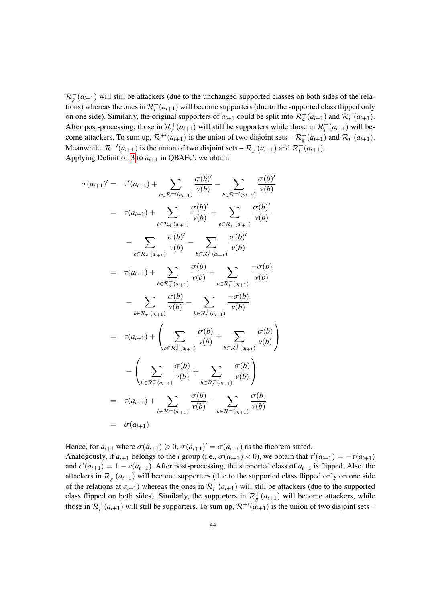$\mathcal{R}^-_g(a_{i+1})$  will still be attackers (due to the unchanged supported classes on both sides of the relations) whereas the ones in  $\mathcal{R}_l^-(a_{i+1})$  will become supporters (due to the supported class flipped only on one side). Similarly, the original supporters of  $a_{i+1}$  could be split into  $\mathcal{R}_g^+(a_{i+1})$  and  $\mathcal{R}_l^+(a_{i+1})$ . After post-processing, those in  $\mathcal{R}_g^+(a_{i+1})$  will still be supporters while those in  $\mathcal{R}_l^+(a_{i+1})$  will become attackers. To sum up,  $\mathcal{R}^{+}(\alpha_{i+1})$  is the union of two disjoint sets  $-\mathcal{R}_g^+(a_{i+1})$  and  $\mathcal{R}_l^-(a_{i+1})$ . Meanwhile,  $\mathcal{R}^{-1}(a_{i+1})$  is the union of two disjoint sets  $-\mathcal{R}_g^{-}(a_{i+1})$  and  $\mathcal{R}_l^{+}(a_{i+1})$ . Applying Definition [3](#page-11-3) to  $a_{i+1}$  in QBAFc', we obtain

$$
\sigma(a_{i+1})' = \tau'(a_{i+1}) + \sum_{b \in \mathcal{R}^{+}(a_{i+1})} \frac{\sigma(b)'}{\nu(b)} - \sum_{b \in \mathcal{R}^{-}(a_{i+1})} \frac{\sigma(b)'}{\nu(b)}
$$
  
\n
$$
= \tau(a_{i+1}) + \sum_{b \in \mathcal{R}^{+}_s(a_{i+1})} \frac{\sigma(b)'}{\nu(b)} + \sum_{b \in \mathcal{R}^{-}_t(a_{i+1})} \frac{\sigma(b)'}{\nu(b)}
$$
  
\n
$$
- \sum_{b \in \mathcal{R}^{-}_s(a_{i+1})} \frac{\sigma(b)'}{\nu(b)} - \sum_{b \in \mathcal{R}^{+}_t(a_{i+1})} \frac{\sigma(b)'}{\nu(b)}
$$
  
\n
$$
= \tau(a_{i+1}) + \sum_{b \in \mathcal{R}^{+}_s(a_{i+1})} \frac{\sigma(b)}{\nu(b)} + \sum_{b \in \mathcal{R}^{-}_t(a_{i+1})} \frac{-\sigma(b)}{\nu(b)}
$$
  
\n
$$
- \sum_{b \in \mathcal{R}^{-}_s(a_{i+1})} \frac{\sigma(b)}{\nu(b)} - \sum_{b \in \mathcal{R}^{+}_t(a_{i+1})} \frac{-\sigma(b)}{\nu(b)}
$$
  
\n
$$
= \tau(a_{i+1}) + \left(\sum_{b \in \mathcal{R}^{+}_s(a_{i+1})} \frac{\sigma(b)}{\nu(b)} + \sum_{b \in \mathcal{R}^{+}_t(a_{i+1})} \frac{\sigma(b)}{\nu(b)}\right)
$$
  
\n
$$
= \tau(a_{i+1}) + \sum_{b \in \mathcal{R}^{+}(a_{i+1})} \frac{\sigma(b)}{\nu(b)} - \sum_{b \in \mathcal{R}^{-}_t(a_{i+1})} \frac{\sigma(b)}{\nu(b)}
$$
  
\n
$$
= \sigma(a_{i+1})
$$

Hence, for  $a_{i+1}$  where  $\sigma(a_{i+1}) \geq 0$ ,  $\sigma(a_{i+1})' = \sigma(a_{i+1})$  as the theorem stated.<br>Analogously if  $a_{i+1}$  belongs to the *l* group (i.e.,  $\sigma(a_{i+1}) < 0$ ), we obtain that a Analogously, if  $a_{i+1}$  belongs to the *l* group (i.e.,  $\sigma(a_{i+1}) < 0$ ), we obtain that  $\tau'(a_{i+1}) = -\tau(a_{i+1})$ <br>and  $c'(a_{i+1}) = 1 - c(a_{i+1})$ . After post processing, the supported class of  $a_{i+1}$  is flipped. Also, the and  $c'(a_{i+1}) = 1 - c(a_{i+1})$ . After post-processing, the supported class of  $a_{i+1}$  is flipped. Also, the attackers in  $\mathcal{R}_g^-(a_{i+1})$  will become supporters (due to the supported class flipped only on one side of the relations at  $a_{i+1}$ ) whereas the ones in  $\mathcal{R}_l^-(a_{i+1})$  will still be attackers (due to the supported class flipped on both sides). Similarly, the supporters in  $\mathcal{R}_g^+(a_{i+1})$  will become attackers, while those in  $\mathcal{R}_l^+(a_{i+1})$  will still be supporters. To sum up,  $\mathcal{R}^{+}(a_{i+1})$  is the union of two disjoint sets –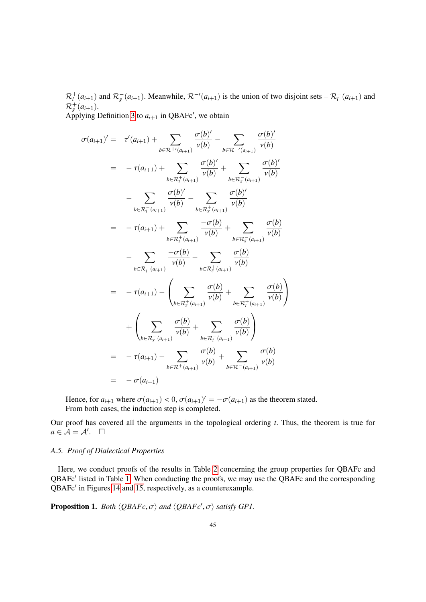$\mathcal{R}_l^+(a_{i+1})$  and  $\mathcal{R}_g^-(a_{i+1})$ . Meanwhile,  $\mathcal{R}^{-l}(a_{i+1})$  is the union of two disjoint sets –  $\mathcal{R}_l^-(a_{i+1})$  and  $\mathcal{R}_g^+(a_{i+1}).$ 

Applying Definition [3](#page-11-3) to  $a_{i+1}$  in QBAFc', we obtain

$$
\sigma(a_{i+1})' = \tau'(a_{i+1}) + \sum_{b \in \mathcal{R}^{+} / (a_{i+1})} \frac{\sigma(b)'}{\nu(b)} - \sum_{b \in \mathcal{R}^{-} / (a_{i+1})} \frac{\sigma(b)'}{\nu(b)}
$$
  
\n
$$
= -\tau(a_{i+1}) + \sum_{b \in \mathcal{R}^{+}_{i} / (a_{i+1})} \frac{\sigma(b)'}{\nu(b)} + \sum_{b \in \mathcal{R}^{-}_{s} (a_{i+1})} \frac{\sigma(b)'}{\nu(b)}
$$
  
\n
$$
- \sum_{b \in \mathcal{R}^{-}_{i} / (a_{i+1})} \frac{\sigma(b)'}{\nu(b)} - \sum_{b \in \mathcal{R}^{+}_{s} / (a_{i+1})} \frac{\sigma(b)'}{\nu(b)}
$$
  
\n
$$
= -\tau(a_{i+1}) + \sum_{b \in \mathcal{R}^{+}_{i} / (a_{i+1})} \frac{-\sigma(b)}{\nu(b)} + \sum_{b \in \mathcal{R}^{-}_{s} (a_{i+1})} \frac{\sigma(b)}{\nu(b)}
$$
  
\n
$$
- \sum_{b \in \mathcal{R}^{-}_{i} / (a_{i+1})} \frac{-\sigma(b)}{\nu(b)} - \sum_{b \in \mathcal{R}^{+}_{s} / (a_{i+1})} \frac{\sigma(b)}{\nu(b)}
$$
  
\n
$$
= -\tau(a_{i+1}) - \left(\sum_{b \in \mathcal{R}^{+}_{s} / (a_{i+1})} \frac{\sigma(b)}{\nu(b)} + \sum_{b \in \mathcal{R}^{+}_{i} / (a_{i+1})} \frac{\sigma(b)}{\nu(b)}\right)
$$
  
\n
$$
= -\tau(a_{i+1}) - \sum_{b \in \mathcal{R}^{+}_{i} / (a_{i+1})} \frac{\sigma(b)}{\nu(b)} + \sum_{b \in \mathcal{R}^{-}_{i} / (a_{i+1})} \frac{\sigma(b)}{\nu(b)}
$$
  
\n
$$
= -\sigma(a_{i+1})
$$

Hence, for  $a_{i+1}$  where  $\sigma(a_{i+1}) < 0$ ,  $\sigma(a_{i+1})' = -\sigma(a_{i+1})$  as the theorem stated.<br>From both cases, the induction step is completed From both cases, the induction step is completed.

Our proof has covered all the arguments in the topological ordering *t*. Thus, the theorem is true for  $a \in \mathcal{A} = \mathcal{A}'$ .  $\Box$ 

# <span id="page-44-0"></span>*A.5. Proof of Dialectical Properties*

Here, we conduct proofs of the results in Table [2](#page-15-2) concerning the group properties for QBAFc and QBAFc' listed in Table [1.](#page-15-1) When conducting the proofs, we may use the QBAFc and the corresponding QBAFc' in Figures [14](#page-45-0) and [15,](#page-49-0) respectively, as a counterexample.

**Proposition 1.** *Both*  $\langle QBAFc, \sigma \rangle$  *and*  $\langle QBAFc', \sigma \rangle$  *satisfy GP1.*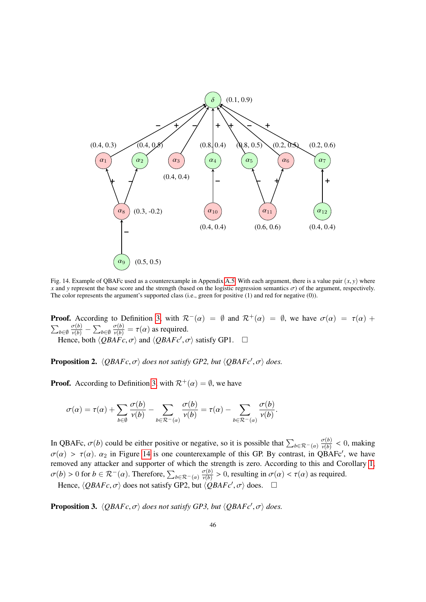

<span id="page-45-0"></span>Fig. 14. Example of QBAFc used as a counterexample in Appendix [A.5.](#page-44-0) With each argument, there is a value pair  $(x, y)$  where *x* and *y* represent the base score and the strength (based on the logistic regression semantics  $\sigma$ ) of the argument, respectively. The color represents the argument's supported class (i.e., green for positive (1) and red for negative (0)).

**Proof.** According to Definition [3,](#page-11-3) with  $\mathcal{R}^-(\alpha) = \emptyset$  and  $\mathcal{R}^+(\alpha) = \emptyset$ , we have  $\sigma(\alpha) = \tau(\alpha) +$  $\sum_{b \in \emptyset} \frac{\sigma(b)}{\nu(b)} - \sum_{b \in \emptyset} \frac{\sigma(b)}{\nu(b)} = \tau(\alpha)$  as required.

Hence, both  $\langle QBAFc, \sigma \rangle$  and  $\langle QBAFc', \sigma \rangle$  satisfy GP1.  $\Box$ 

**Proposition 2.**  $\langle QBAFc, \sigma \rangle$  *does not satisfy GP2, but*  $\langle QBAFc', \sigma \rangle$  *does.* 

**Proof.** According to Definition [3,](#page-11-3) with  $\mathcal{R}^+(\alpha) = \emptyset$ , we have

$$
\sigma(\alpha) = \tau(\alpha) + \sum_{b \in \emptyset} \frac{\sigma(b)}{\nu(b)} - \sum_{b \in \mathcal{R}^-(\alpha)} \frac{\sigma(b)}{\nu(b)} = \tau(\alpha) - \sum_{b \in \mathcal{R}^-(\alpha)} \frac{\sigma(b)}{\nu(b)}.
$$

In QBAFc,  $\sigma(b)$  could be either positive or negative, so it is possible that  $\sum_{b \in \mathcal{R}^-(a)} \frac{\sigma(b)}{\nu(b)} < 0$ , making *b*∈*R*−(*a*)  $\overline{v(b)}$  < 0, making  $\sigma(a) > \tau(a)$ .  $\alpha_2$  in Figure [14](#page-45-0) is one counterexample of this GP. By contrast, in QBAFc', we have removed any attacker and supporter of which the strength is zero. According to this a removed any attacker and supporter of which the strength is zero. According to this and Corollary [1,](#page-13-2)  $\sigma(b) > 0$  for  $b \in \mathcal{R}^-(\alpha)$ . Therefore,  $\sum_{b \in \mathcal{R}^-(\alpha)} \frac{\sigma(b)}{v(b)}$  $\frac{\sigma(b)}{\sigma(b)} > 0$ , resulting in  $\sigma(\alpha) < \tau(\alpha)$  as required.

Hence,  $\langle QBAFc, \sigma \rangle$  does not satisfy GP2, but  $\langle QBAFc', \sigma \rangle$  does.  $\Box$ 

**Proposition 3.**  $\langle QBAFc, \sigma \rangle$  *does not satisfy GP3, but*  $\langle QBAFc', \sigma \rangle$  *does.*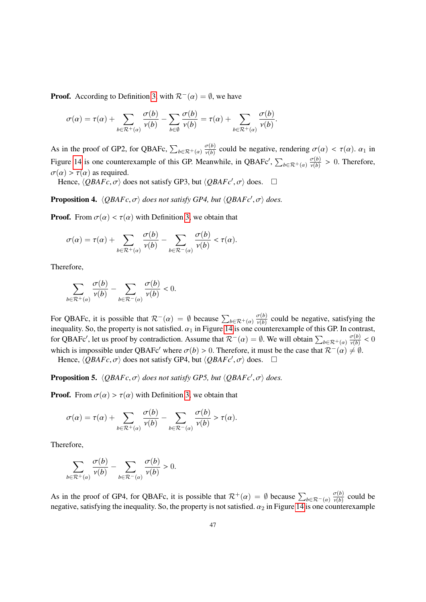**Proof.** According to Definition [3,](#page-11-3) with  $\mathcal{R}^-(\alpha) = \emptyset$ , we have

$$
\sigma(\alpha) = \tau(\alpha) + \sum_{b \in \mathcal{R}^+(\alpha)} \frac{\sigma(b)}{\nu(b)} - \sum_{b \in \emptyset} \frac{\sigma(b)}{\nu(b)} = \tau(\alpha) + \sum_{b \in \mathcal{R}^+(\alpha)} \frac{\sigma(b)}{\nu(b)}.
$$

As in the proof of GP2, for QBAFc,  $\sum_{b \in \mathcal{R}^+(a)} \frac{\sigma(b)}{\nu(b)}$  $\frac{\sigma(b)}{\nu(b)}$  could be negative, rendering  $\sigma(\alpha) < \tau(\alpha)$ .  $\alpha_1$  in Figure [14](#page-45-0) is one counterexample of this GP. Meanwhile, in QBAFc',  $\sum_{b \in \mathcal{R}^+(\alpha)} \frac{\sigma(b)}{\nu(b)}$  $\frac{\partial \sigma(b)}{\partial \nu(b)}} > 0$ . Therefore,  $\sigma(\alpha) > \tau(\alpha)$  as required.

Hence,  $\langle \hat{Q} B A F c, \sigma \rangle$  does not satisfy GP3, but  $\langle \hat{Q} B A F c', \sigma \rangle$  does.  $\Box$ 

**Proposition 4.**  $\langle QBAFc, \sigma \rangle$  does not satisfy GP4, but  $\langle QBAFc', \sigma \rangle$  does.

**Proof.** From  $\sigma(\alpha) < \tau(\alpha)$  with Definition [3,](#page-11-3) we obtain that

$$
\sigma(\alpha) = \tau(\alpha) + \sum_{b \in \mathcal{R}^+(\alpha)} \frac{\sigma(b)}{\nu(b)} - \sum_{b \in \mathcal{R}^-(\alpha)} \frac{\sigma(b)}{\nu(b)} < \tau(\alpha).
$$

Therefore,

$$
\sum_{b \in \mathcal{R}^+(a)} \frac{\sigma(b)}{\nu(b)} - \sum_{b \in \mathcal{R}^-(a)} \frac{\sigma(b)}{\nu(b)} < 0.
$$

For QBAFc, it is possible that  $\mathcal{R}^-(\alpha) = \emptyset$  because  $\sum_{b \in \mathcal{R}^+(\alpha)} \frac{\sigma(b)}{\nu(b)}$  could be negative, satisfying the inequality. So the property is not satisfyed  $\alpha$ , in Figure 14 is one countery small of this GB In c ν(*b*) inequality. So, the property is not satisfied.  $\alpha_1$  in Figure [14](#page-45-0) is one counterexample of this GP. In contrast,<br>for OBAEs', lat us great by contradiction. Assume that  $T^{-1}(\alpha) = \alpha_1 W_0$  will obtain  $\sum_{\sigma(b)} \sigma_{\sigma(b)}$ for QBAFc', let us proof by contradiction. Assume that  $\mathcal{R}^{-}(\alpha) = \emptyset$ . We will obtain  $\sum_{b \in \mathcal{R}^{+}(\alpha)} \frac{\sigma(b)}{\nu(b)}$  $\frac{\sigma(b)}{\nu(b)} < 0$ which is impossible under QBAFc' where  $\sigma(b) > 0$ . Therefore, it must be the case that  $\mathcal{R}^-(\alpha) \neq \emptyset$ .

Hence,  $\langle \hat{Q} B A F c, \sigma \rangle$  does not satisfy GP4, but  $\langle Q B A F c', \sigma \rangle$  does.  $\Box$ 

**Proposition 5.**  $\langle QBAFc, \sigma \rangle$  *does not satisfy GP5, but*  $\langle QBAFc', \sigma \rangle$  *does.* 

**Proof.** From  $\sigma(\alpha) > \tau(\alpha)$  with Definition [3,](#page-11-3) we obtain that

$$
\sigma(\alpha) = \tau(\alpha) + \sum_{b \in \mathcal{R}^+(\alpha)} \frac{\sigma(b)}{\nu(b)} - \sum_{b \in \mathcal{R}^-(\alpha)} \frac{\sigma(b)}{\nu(b)} > \tau(\alpha).
$$

Therefore,

$$
\sum_{b \in \mathcal{R}^+(a)} \frac{\sigma(b)}{\nu(b)} - \sum_{b \in \mathcal{R}^-(a)} \frac{\sigma(b)}{\nu(b)} > 0.
$$

As in the proof of GP4, for QBAFc, it is possible that  $\mathcal{R}^+(\alpha) = \emptyset$  because  $\sum_{b \in \mathcal{R}^-(\alpha)} \frac{\sigma(b)}{\nu(b)}$  $\frac{\partial^{\sigma}(b)}{\partial(b)}$  could be negative, satisfying the inequality. So, the property is not satisfied.  $\alpha_2$  in Figure [14](#page-45-0) is one counterexample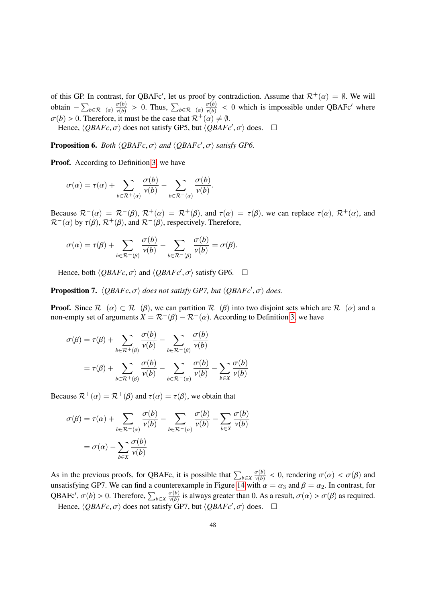of this GP. In contrast, for QBAFc', let us proof by contradiction. Assume that  $\mathcal{R}^+(\alpha) = \emptyset$ . We will obtain  $-\sum_{b\in\mathcal{R}^{-}(\alpha)}\frac{\sigma(b)}{\nu(b)} > 0$ . Thus,  $\sum_{b\in\mathcal{R}^{-}(\alpha)}\frac{\sigma(b)}{\nu(b)} < 0$  which is impossible under QBAFc<sup>*'*</sup> where  $\sigma(b) > 0$ . Therefore, it must be the case that  $\mathcal{R}^+(a) \neq \emptyset$ .<br>
Hence *(OBAFc, π*) does not satisfy GP5, but *(OBAFc*)

Hence,  $\langle QBAFc, \sigma \rangle$  does not satisfy GP5, but  $\langle QBAFc', \sigma \rangle$  does.  $\Box$ 

**Proposition 6.** *Both*  $\langle QBAFc, \sigma \rangle$  *and*  $\langle QBAFc', \sigma \rangle$  *satisfy GP6.* 

Proof. According to Definition [3,](#page-11-3) we have

$$
\sigma(\alpha) = \tau(\alpha) + \sum_{b \in \mathcal{R}^+(\alpha)} \frac{\sigma(b)}{\nu(b)} - \sum_{b \in \mathcal{R}^-(\alpha)} \frac{\sigma(b)}{\nu(b)}
$$

Because  $\mathcal{R}^-(\alpha) = \mathcal{R}^-(\beta)$ ,  $\mathcal{R}^+(\alpha) = \mathcal{R}^+(\beta)$ , and  $\tau(\alpha) = \tau(\beta)$ , we can replace  $\tau(\alpha)$ ,  $\mathcal{R}^+(\alpha)$ , and  $\mathcal{R}^{-}(\alpha)$  by  $\tau(\beta)$ ,  $\mathcal{R}^{+}(\beta)$ , and  $\mathcal{R}^{-}(\beta)$ , respectively. Therefore,

$$
\sigma(\alpha) = \tau(\beta) + \sum_{b \in \mathcal{R}^+(\beta)} \frac{\sigma(b)}{\nu(b)} - \sum_{b \in \mathcal{R}^-(\beta)} \frac{\sigma(b)}{\nu(b)} = \sigma(\beta).
$$

Hence, both  $\langle QBAFc, \sigma \rangle$  and  $\langle QBAFc', \sigma \rangle$  satisfy GP6.  $\Box$ 

**Proposition 7.**  $\langle QBAFc, \sigma \rangle$  *does not satisfy GP7, but*  $\langle QBAFc', \sigma \rangle$  *does.* 

**Proof.** Since  $\mathcal{R}^-(\alpha) \subset \mathcal{R}^-(\beta)$ , we can partition  $\mathcal{R}^-(\beta)$  into two disjoint sets which are  $\mathcal{R}^-(\alpha)$  and a non-empty set of arguments  $X = \mathcal{R}^-(\beta) - \mathcal{R}^-(\alpha)$ . According to Definition [3,](#page-11-3) we have

$$
\sigma(\beta) = \tau(\beta) + \sum_{b \in \mathcal{R}^+(\beta)} \frac{\sigma(b)}{\nu(b)} - \sum_{b \in \mathcal{R}^-(\beta)} \frac{\sigma(b)}{\nu(b)}
$$

$$
= \tau(\beta) + \sum_{b \in \mathcal{R}^+(\beta)} \frac{\sigma(b)}{\nu(b)} - \sum_{b \in \mathcal{R}^-(\alpha)} \frac{\sigma(b)}{\nu(b)} - \sum_{b \in X} \frac{\sigma(b)}{\nu(b)}
$$

Because  $\mathcal{R}^+(\alpha) = \mathcal{R}^+(\beta)$  and  $\tau(\alpha) = \tau(\beta)$ , we obtain that

$$
\sigma(\beta) = \tau(\alpha) + \sum_{b \in \mathcal{R}^+(\alpha)} \frac{\sigma(b)}{\nu(b)} - \sum_{b \in \mathcal{R}^-(\alpha)} \frac{\sigma(b)}{\nu(b)} - \sum_{b \in X} \frac{\sigma(b)}{\nu(b)}
$$

$$
= \sigma(\alpha) - \sum_{b \in X} \frac{\sigma(b)}{\nu(b)}
$$

As in the previous proofs, for QBAFc, it is possible that  $\sum_{b \in X} \frac{\sigma(b)}{\gamma(b)}$  $\frac{\sigma(b)}{v(b)} < 0$ , rendering  $\sigma(\alpha) < \sigma(\beta)$  and<br>th  $\alpha = \alpha_0$  and  $\beta = \alpha_0$ . In contrast, for unsatisfying GP7. We can find a counterexample in Figure [14](#page-45-0) with  $\alpha = \alpha_3$  and  $\beta = \alpha_2$ . In contrast, for QBAFc',  $\sigma(b) > 0$ . Therefore,  $\sum_{b \in X} \frac{\sigma(b)}{\nu(b)}$  is always greater than 0. As a result,  $\sigma(\alpha) > \sigma(\beta)$  as requir  $\frac{\sigma(b)}{\sigma(b)}$  is always greater than 0. As a result,  $\sigma(\alpha) > \sigma(\beta)$  as required. Hence,  $\langle QBAFc, \sigma \rangle$  does not satisfy GP7, but  $\langle QBAFc', \sigma \rangle$  does.  $\square$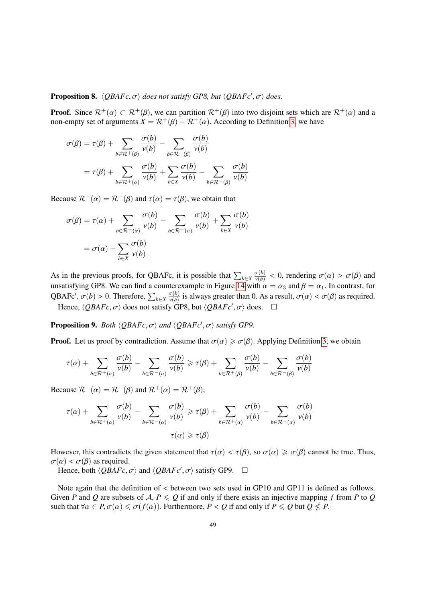# **Proposition 8.**  $\langle QBAFc, \sigma \rangle$  *does not satisfy GP8, but*  $\langle QBAFc', \sigma \rangle$  *does.*

**Proof.** Since  $\mathcal{R}^+(\alpha) \subset \mathcal{R}^+(\beta)$ , we can partition  $\mathcal{R}^+(\beta)$  into two disjoint sets which are  $\mathcal{R}^+(\alpha)$  and a non-empty set of arguments  $X = \mathcal{R}^+(\beta) - \mathcal{R}^+(\alpha)$ . According to Definition [3,](#page-11-3) we have

$$
\sigma(\beta) = \tau(\beta) + \sum_{b \in \mathcal{R}^+(\beta)} \frac{\sigma(b)}{\nu(b)} - \sum_{b \in \mathcal{R}^-(\beta)} \frac{\sigma(b)}{\nu(b)}
$$

$$
= \tau(\beta) + \sum_{b \in \mathcal{R}^+(\alpha)} \frac{\sigma(b)}{\nu(b)} + \sum_{b \in X} \frac{\sigma(b)}{\nu(b)} - \sum_{b \in \mathcal{R}^-(\beta)} \frac{\sigma(b)}{\nu(b)}
$$

Because  $\mathcal{R}^-(\alpha) = \mathcal{R}^-(\beta)$  and  $\tau(\alpha) = \tau(\beta)$ , we obtain that

$$
\sigma(\beta) = \tau(\alpha) + \sum_{b \in \mathcal{R}^+(\alpha)} \frac{\sigma(b)}{\nu(b)} - \sum_{b \in \mathcal{R}^-(\alpha)} \frac{\sigma(b)}{\nu(b)} + \sum_{b \in X} \frac{\sigma(b)}{\nu(b)}
$$

$$
= \sigma(\alpha) + \sum_{b \in X} \frac{\sigma(b)}{\nu(b)}
$$

As in the previous proofs, for QBAFc, it is possible that  $\sum_{b \in X} \frac{\sigma(b)}{\gamma(b)}$  $\frac{\partial^{\sigma}(b)}{\partial(b)} < 0$ , rendering  $\sigma(\alpha) > \sigma(\beta)$  and<br>the  $\alpha = \alpha_0$  and  $\beta = \alpha_1$ . In contrast, for unsatisfying GP8. We can find a counterexample in Figure [14](#page-45-0) with  $\alpha = \alpha_3$  and  $\beta = \alpha_1$ . In contrast, for QBAFc',  $\sigma(b) > 0$ . Therefore,  $\sum_{b \in X} \frac{\sigma(b)}{\nu(b)}$  is always greater than 0. As a result,  $\sigma(\alpha) < \sigma(\beta)$  as requir  $\frac{\sigma(b)}{\sigma(b)}$  is always greater than 0. As a result,  $\sigma(\alpha) < \sigma(\beta)$  as required. Hence,  $\langle QBAFc, \sigma \rangle$  does not satisfy GP8, but  $\langle QBAFc', \sigma \rangle$  does.  $\Box$ 

**Proposition 9.** *Both*  $\langle QBAFc, \sigma \rangle$  *and*  $\langle QBAFc', \sigma \rangle$  *satisfy GP9.* 

**Proof.** Let us proof by contradiction. Assume that  $\sigma(\alpha) \geq \sigma(\beta)$ . Applying Definition [3,](#page-11-3) we obtain

$$
\tau(\alpha) + \sum_{b \in \mathcal{R}^+(\alpha)} \frac{\sigma(b)}{\nu(b)} - \sum_{b \in \mathcal{R}^-(\alpha)} \frac{\sigma(b)}{\nu(b)} \ge \tau(\beta) + \sum_{b \in \mathcal{R}^+(\beta)} \frac{\sigma(b)}{\nu(b)} - \sum_{b \in \mathcal{R}^-(\beta)} \frac{\sigma(b)}{\nu(b)}
$$

Because  $\mathcal{R}^-(\alpha) = \mathcal{R}^-(\beta)$  and  $\mathcal{R}^+(\alpha) = \mathcal{R}^+(\beta)$ ,

$$
\tau(\alpha) + \sum_{b \in \mathcal{R}^+(\alpha)} \frac{\sigma(b)}{\nu(b)} - \sum_{b \in \mathcal{R}^-(\alpha)} \frac{\sigma(b)}{\nu(b)} \ge \tau(\beta) + \sum_{b \in \mathcal{R}^+(\alpha)} \frac{\sigma(b)}{\nu(b)} - \sum_{b \in \mathcal{R}^-(\alpha)} \frac{\sigma(b)}{\nu(b)}
$$

$$
\tau(\alpha) \ge \tau(\beta)
$$

However, this contradicts the given statement that  $\tau(\alpha) < \tau(\beta)$ , so  $\sigma(\alpha) \geq \sigma(\beta)$  cannot be true. Thus,  $\sigma(\alpha) < \sigma(\beta)$  as required.

Hence, both  $\langle QBAFc, \sigma \rangle$  and  $\langle QBAFc', \sigma \rangle$  satisfy GP9.  $\Box$ 

Note again that the definition of  $\lt$  between two sets used in GP10 and GP11 is defined as follows. Given *P* and *Q* are subsets of A,  $P \le Q$  if and only if there exists an injective mapping f from *P* to *Q* such that  $\forall \alpha \in P, \sigma(\alpha) \leq \sigma(f(\alpha))$ . Furthermore,  $P < Q$  if and only if  $P \leq Q$  but  $Q \nleq P$ .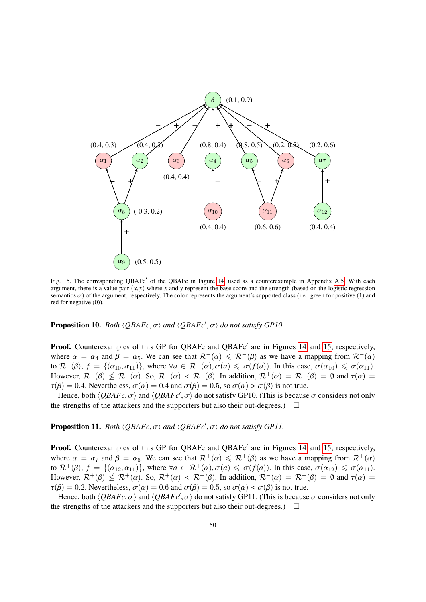

<span id="page-49-0"></span>Fig. 15. The corresponding QBAFc' of the QBAFc in Figure [14,](#page-45-0) used as a counterexample in Appendix [A.5.](#page-44-0) With each argument, there is a value pair  $(x, y)$  where  $x$  and  $y$  represent the base score and the strength (based on the logistic regression semantics  $\sigma$ ) of the argument, respectively. The color represents the argument's supported class (i.e., green for positive (1) and red for negative (0)).

**Proposition 10.** *Both*  $\langle QBAFc, \sigma \rangle$  *and*  $\langle QBAFc', \sigma \rangle$  *do not satisfy GP10.* 

Proof. Counterexamples of this GP for QBAFc and QBAFc' are in Figures [14](#page-45-0) and [15,](#page-49-0) respectively, where  $\alpha = \alpha_4$  and  $\beta = \alpha_5$ . We can see that  $\mathcal{R}^-(\alpha) \leq \mathcal{R}^-(\beta)$  as we have a mapping from  $\mathcal{R}^-(\alpha)$ to  $\mathcal{R}^-(\beta)$ ,  $f = \{(\alpha_{10}, \alpha_{11})\}$ , where  $\forall a \in \mathcal{R}^-(\alpha)$ ,  $\sigma(a) \leq \sigma(f(a))$ . In this case,  $\sigma(\alpha_{10}) \leq \sigma(\alpha_{11})$ . However,  $\mathcal{R}^{-}(\beta) \nleq \mathcal{R}^{-}(\alpha)$ . So,  $\mathcal{R}^{-}(\alpha) < \mathcal{R}^{-}(\beta)$ . In addition,  $\mathcal{R}^{+}(\alpha) = \mathcal{R}^{+}(\beta) = \emptyset$  and  $\tau(\alpha) = \tau(\beta) = 0.4$  Nevertheless  $\sigma(\alpha) = 0.4$  and  $\sigma(\beta) = 0.5$  so  $\sigma(\alpha) > \sigma(\beta)$  is not true.  $\tau(\beta) = 0.4$ . Nevertheless,  $\sigma(\alpha) = 0.4$  and  $\sigma(\beta) = 0.5$ , so  $\sigma(\alpha) > \sigma(\beta)$  is not true.

Hence, both  $\langle QBAFc, \sigma \rangle$  and  $\langle QBAFc', \sigma \rangle$  do not satisfy GP10. (This is because  $\sigma$  considers not only the strengths of the attackers and the supporters but also their out-degrees.)  $\Box$ 

**Proposition 11.** *Both*  $\langle QBAFc, \sigma \rangle$  *and*  $\langle QBAFc', \sigma \rangle$  *do not satisfy GP11.* 

Proof. Counterexamples of this GP for QBAFc and QBAFc' are in Figures [14](#page-45-0) and [15,](#page-49-0) respectively, where  $\alpha = \alpha_7$  and  $\beta = \alpha_6$ . We can see that  $\mathcal{R}^+(\alpha) \leq \mathcal{R}^+(\beta)$  as we have a mapping from  $\mathcal{R}^+(\alpha)$ to  $\mathcal{R}^+(\beta)$ ,  $f = \{(\alpha_{12}, \alpha_{11})\}$ , where  $\forall a \in \mathcal{R}^+(\alpha)$ ,  $\sigma(a) \leq \sigma(f(a))$ . In this case,  $\sigma(\alpha_{12}) \leq \sigma(\alpha_{11})$ . However,  $\mathcal{R}^+(\beta) \nleq \mathcal{R}^+(\alpha)$ . So,  $\mathcal{R}^+(\alpha) < \mathcal{R}^+(\beta)$ . In addition,  $\mathcal{R}^-(\alpha) = \mathcal{R}^-(\beta) = \emptyset$  and  $\tau(\alpha) = \tau(\beta) = 0.2$ . Nevertheless  $\sigma(\alpha) = 0.6$  and  $\sigma(\beta) = 0.5$  so  $\sigma(\alpha) < \sigma(\beta)$  is not true.  $\tau(\beta) = 0.2$ . Nevertheless,  $\sigma(\alpha) = 0.6$  and  $\sigma(\beta) = 0.5$ , so  $\sigma(\alpha) < \sigma(\beta)$  is not true.

Hence, both  $\langle QBAFc, \sigma \rangle$  and  $\langle QBAFc', \sigma \rangle$  do not satisfy GP11. (This is because  $\sigma$  considers not only the strengths of the attackers and the supporters but also their out-degrees.)  $\Box$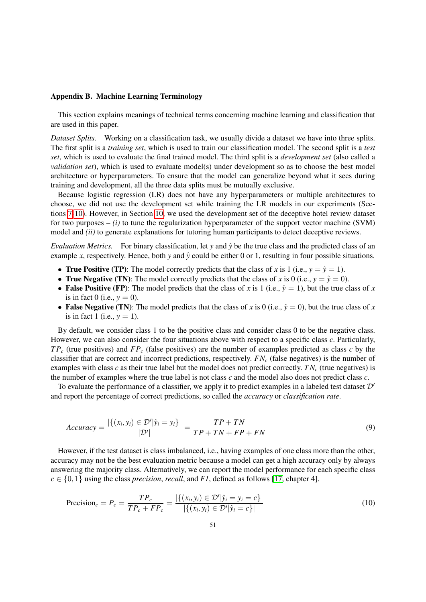### <span id="page-50-0"></span>Appendix B. Machine Learning Terminology

This section explains meanings of technical terms concerning machine learning and classification that are used in this paper.

*Dataset Splits.* Working on a classification task, we usually divide a dataset we have into three splits. The first split is a *training set*, which is used to train our classification model. The second split is a *test set*, which is used to evaluate the final trained model. The third split is a *development set* (also called a *validation set*), which is used to evaluate model(s) under development so as to choose the best model architecture or hyperparameters. To ensure that the model can generalize beyond what it sees during training and development, all the three data splits must be mutually exclusive.

Because logistic regression (LR) does not have any hyperparameters or multiple architectures to choose, we did not use the development set while training the LR models in our experiments (Sections [7](#page-17-0)[-10\)](#page-29-0). However, in Section [10,](#page-29-0) we used the development set of the deceptive hotel review dataset for two purposes  $- (i)$  to tune the regularization hyperparameter of the support vector machine (SVM) model and *(ii)* to generate explanations for tutoring human participants to detect deceptive reviews.

*Evaluation Metrics.* For binary classification, let *y* and  $\hat{y}$  be the true class and the predicted class of an example *x*, respectively. Hence, both *y* and  $\hat{y}$  could be either 0 or 1, resulting in four possible situations.

- **True Positive (TP):** The model correctly predicts that the class of *x* is 1 (i.e.,  $y = \hat{y} = 1$ ).
- True Negative (TN): The model correctly predicts that the class of *x* is 0 (i.e.,  $y = \hat{y} = 0$ ).
- False Positive (FP): The model predicts that the class of *x* is 1 (i.e.,  $\hat{y} = 1$ ), but the true class of *x* is in fact 0 (i.e.,  $y = 0$ ).
- False Negative (TN): The model predicts that the class of *x* is 0 (i.e.,  $\hat{y} = 0$ ), but the true class of *x* is in fact 1 (i.e.,  $y = 1$ ).

By default, we consider class 1 to be the positive class and consider class 0 to be the negative class. However, we can also consider the four situations above with respect to a specific class *c*. Particularly, *T P<sup>c</sup>* (true positives) and *FP<sup>c</sup>* (false positives) are the number of examples predicted as class *c* by the classifier that are correct and incorrect predictions, respectively. *FN<sup>c</sup>* (false negatives) is the number of examples with class  $c$  as their true label but the model does not predict correctly.  $TN_c$  (true negatives) is the number of examples where the true label is not class *c* and the model also does not predict class *c*.

To evaluate the performance of a classifier, we apply it to predict examples in a labeled test dataset  $\mathcal{D}'$ and report the percentage of correct predictions, so called the *accuracy* or *classification rate*.

$$
Accuracy = \frac{|\{(x_i, y_i) \in \mathcal{D}'|\hat{y}_i = y_i\}|}{|\mathcal{D}'|} = \frac{TP + TN}{TP + TN + FP + FN}
$$
\n(9)

However, if the test dataset is class imbalanced, i.e., having examples of one class more than the other, accuracy may not be the best evaluation metric because a model can get a high accuracy only by always answering the majority class. Alternatively, we can report the model performance for each specific class  $c \in \{0, 1\}$  using the class *precision, recall,* and *F1*, defined as follows [\[17,](#page-52-13) chapter 4].

$$
\text{Precision}_c = P_c = \frac{TP_c}{TP_c + FP_c} = \frac{|\{(x_i, y_i) \in \mathcal{D}' | \hat{y}_i = y_i = c\}|}{|\{(x_i, y_i) \in \mathcal{D}' | \hat{y}_i = c\}|}
$$
(10)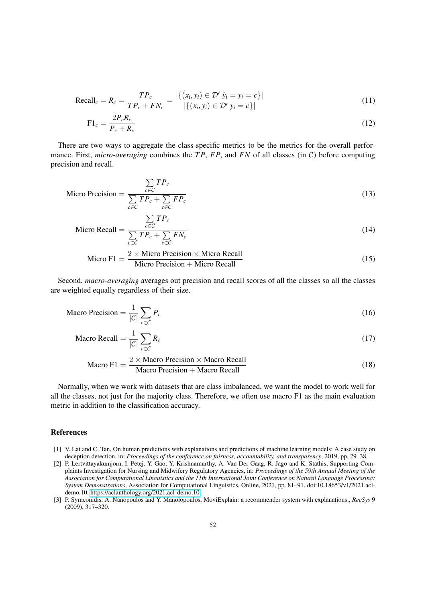Recall<sub>c</sub> = 
$$
R_c = \frac{TP_c}{TP_c + FN_c} = \frac{|\{(x_i, y_i) \in \mathcal{D}' | \hat{y}_i = y_i = c\}|}{|\{(x_i, y_i) \in \mathcal{D}' | y_i = c\}|}
$$
 (11)

$$
F1_c = \frac{2P_cR_c}{P_c + R_c} \tag{12}
$$

There are two ways to aggregate the class-specific metrics to be the metrics for the overall performance. First, *micro-averaging* combines the  $TP$ ,  $FP$ , and  $FN$  of all classes (in  $C$ ) before computing precision and recall.

Micro Precision = 
$$
\frac{\sum_{c \in C} TP_c}{\sum_{c \in C} TP_c + \sum_{c \in C} FP_c}
$$
 (13)

$$
\text{Micro Recall} = \frac{\sum_{c \in \mathcal{C}} TP_c}{\sum_{c \in \mathcal{C}} TP_c + \sum_{c \in \mathcal{C}} FN_c}
$$
\n(14)

$$
Micro F1 = \frac{2 \times Micro Precision \times Micro Recall}{Micro Precision + Micro Recall}
$$
\n(15)

Second, *macro-averaging* averages out precision and recall scores of all the classes so all the classes are weighted equally regardless of their size.

$$
\text{Macro Precision} = \frac{1}{|\mathcal{C}|} \sum_{c \in \mathcal{C}} P_c \tag{16}
$$

$$
\text{Macro Recall} = \frac{1}{|\mathcal{C}|} \sum_{c \in \mathcal{C}} R_c \tag{17}
$$

$$
Macc \text{F1} = \frac{2 \times \text{Macc P} \text{recision} \times \text{Macc P} \text{Recall}}{\text{Macc P} \text{recision} + \text{Macc P} \text{Recall}}
$$
(18)

Normally, when we work with datasets that are class imbalanced, we want the model to work well for all the classes, not just for the majority class. Therefore, we often use macro F1 as the main evaluation metric in addition to the classification accuracy.

# References

- <span id="page-51-0"></span>[1] V. Lai and C. Tan, On human predictions with explanations and predictions of machine learning models: A case study on deception detection, in: *Proceedings of the conference on fairness, accountability, and transparency*, 2019, pp. 29–38.
- <span id="page-51-1"></span>[2] P. Lertvittayakumjorn, I. Petej, Y. Gao, Y. Krishnamurthy, A. Van Der Gaag, R. Jago and K. Stathis, Supporting Complaints Investigation for Nursing and Midwifery Regulatory Agencies, in: *Proceedings of the 59th Annual Meeting of the Association for Computational Linguistics and the 11th International Joint Conference on Natural Language Processing: System Demonstrations*, Association for Computational Linguistics, Online, 2021, pp. 81–91. doi:10.18653/v1/2021.acldemo.10. [https://aclanthology.org/2021.acl-demo.10.](https://aclanthology.org/2021.acl-demo.10)
- <span id="page-51-2"></span>[3] P. Symeonidis, A. Nanopoulos and Y. Manolopoulos, MoviExplain: a recommender system with explanations., *RecSys* 9 (2009), 317–320.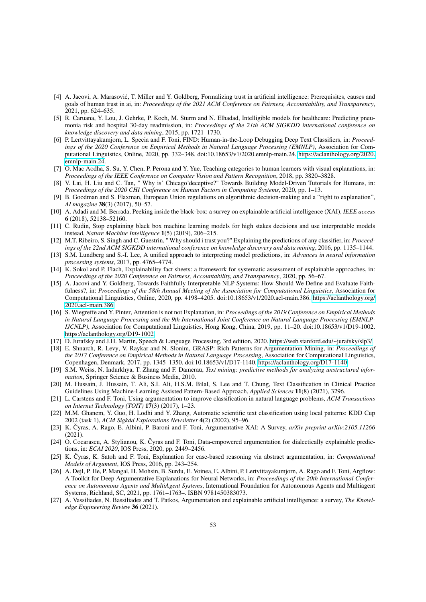- <span id="page-52-0"></span>[4] A. Jacovi, A. Marasović, T. Miller and Y. Goldberg, Formalizing trust in artificial intelligence: Prerequisites, causes and goals of human trust in ai, in: *Proceedings of the 2021 ACM Conference on Fairness, Accountability, and Transparency*, 2021, pp. 624–635.
- <span id="page-52-1"></span>[5] R. Caruana, Y. Lou, J. Gehrke, P. Koch, M. Sturm and N. Elhadad, Intelligible models for healthcare: Predicting pneumonia risk and hospital 30-day readmission, in: *Proceedings of the 21th ACM SIGKDD international conference on knowledge discovery and data mining*, 2015, pp. 1721–1730.
- <span id="page-52-2"></span>[6] P. Lertvittayakumjorn, L. Specia and F. Toni, FIND: Human-in-the-Loop Debugging Deep Text Classifiers, in: *Proceedings of the 2020 Conference on Empirical Methods in Natural Language Processing (EMNLP)*, Association for Computational Linguistics, Online, 2020, pp. 332–348. doi:10.18653/v1/2020.emnlp-main.24. [https://aclanthology.org/2020.](https://aclanthology.org/2020.emnlp-main.24) [emnlp-main.24.](https://aclanthology.org/2020.emnlp-main.24)
- <span id="page-52-3"></span>[7] O. Mac Aodha, S. Su, Y. Chen, P. Perona and Y. Yue, Teaching categories to human learners with visual explanations, in: *Proceedings of the IEEE Conference on Computer Vision and Pattern Recognition*, 2018, pp. 3820–3828.
- <span id="page-52-4"></span>[8] V. Lai, H. Liu and C. Tan, " Why is' Chicago'deceptive?" Towards Building Model-Driven Tutorials for Humans, in: *Proceedings of the 2020 CHI Conference on Human Factors in Computing Systems*, 2020, pp. 1–13.
- <span id="page-52-5"></span>[9] B. Goodman and S. Flaxman, European Union regulations on algorithmic decision-making and a "right to explanation", *AI magazine* 38(3) (2017), 50–57.
- <span id="page-52-6"></span>[10] A. Adadi and M. Berrada, Peeking inside the black-box: a survey on explainable artificial intelligence (XAI), *IEEE access* 6 (2018), 52138–52160.
- <span id="page-52-7"></span>[11] C. Rudin, Stop explaining black box machine learning models for high stakes decisions and use interpretable models instead, *Nature Machine Intelligence* 1(5) (2019), 206–215.
- <span id="page-52-8"></span>[12] M.T. Ribeiro, S. Singh and C. Guestrin, " Why should i trust you?" Explaining the predictions of any classifier, in: *Proceedings of the 22nd ACM SIGKDD international conference on knowledge discovery and data mining*, 2016, pp. 1135–1144.
- <span id="page-52-9"></span>[13] S.M. Lundberg and S.-I. Lee, A unified approach to interpreting model predictions, in: *Advances in neural information processing systems*, 2017, pp. 4765–4774.
- <span id="page-52-10"></span>[14] K. Sokol and P. Flach, Explainability fact sheets: a framework for systematic assessment of explainable approaches, in: *Proceedings of the 2020 Conference on Fairness, Accountability, and Transparency*, 2020, pp. 56–67.
- <span id="page-52-11"></span>[15] A. Jacovi and Y. Goldberg, Towards Faithfully Interpretable NLP Systems: How Should We Define and Evaluate Faithfulness?, in: *Proceedings of the 58th Annual Meeting of the Association for Computational Linguistics*, Association for Computational Linguistics, Online, 2020, pp. 4198–4205. doi:10.18653/v1/2020.acl-main.386. [https://aclanthology.org/](https://aclanthology.org/2020.acl-main.386) [2020.acl-main.386.](https://aclanthology.org/2020.acl-main.386)
- <span id="page-52-12"></span>[16] S. Wiegreffe and Y. Pinter, Attention is not not Explanation, in: *Proceedings of the 2019 Conference on Empirical Methods in Natural Language Processing and the 9th International Joint Conference on Natural Language Processing (EMNLP-IJCNLP)*, Association for Computational Linguistics, Hong Kong, China, 2019, pp. 11–20. doi:10.18653/v1/D19-1002. [https://aclanthology.org/D19-1002.](https://aclanthology.org/D19-1002)
- <span id="page-52-13"></span>[17] D. Jurafsky and J.H. Martin, Speech & Language Processing, 3rd edition, 2020. [https://web.stanford.edu/~jurafsky/slp3/.](https://web.stanford.edu/~jurafsky/slp3/)
- <span id="page-52-14"></span>[18] E. Shnarch, R. Levy, V. Raykar and N. Slonim, GRASP: Rich Patterns for Argumentation Mining, in: *Proceedings of the 2017 Conference on Empirical Methods in Natural Language Processing*, Association for Computational Linguistics, Copenhagen, Denmark, 2017, pp. 1345–1350. doi:10.18653/v1/D17-1140. [https://aclanthology.org/D17-1140.](https://aclanthology.org/D17-1140)
- <span id="page-52-15"></span>[19] S.M. Weiss, N. Indurkhya, T. Zhang and F. Damerau, *Text mining: predictive methods for analyzing unstructured information*, Springer Science & Business Media, 2010.
- <span id="page-52-16"></span>[20] M. Hussain, J. Hussain, T. Ali, S.I. Ali, H.S.M. Bilal, S. Lee and T. Chung, Text Classification in Clinical Practice Guidelines Using Machine-Learning Assisted Pattern-Based Approach, *Applied Sciences* 11(8) (2021), 3296.
- [21] L. Carstens and F. Toni, Using argumentation to improve classification in natural language problems, *ACM Transactions on Internet Technology (TOIT)* 17(3) (2017), 1–23.
- <span id="page-52-17"></span>[22] M.M. Ghanem, Y. Guo, H. Lodhi and Y. Zhang, Automatic scientific text classification using local patterns: KDD Cup 2002 (task 1), *ACM Sigkdd Explorations Newsletter* 4(2) (2002), 95–96.
- <span id="page-52-18"></span>[23] K. Čyras, A. Rago, E. Albini, P. Baroni and F. Toni, Argumentative XAI: A Survey, *arXiv preprint arXiv*:2105.11266 (2021).
- <span id="page-52-19"></span>[24] O. Cocarascu, A. Stylianou, K. Čyras and F. Toni, Data-empowered argumentation for dialectically explainable predictions, in: *ECAI 2020*, IOS Press, 2020, pp. 2449–2456.
- <span id="page-52-20"></span>[25] K. Čyras, K. Satoh and F. Toni, Explanation for case-based reasoning via abstract argumentation, in: *Computational Models of Argument*, IOS Press, 2016, pp. 243–254.
- <span id="page-52-21"></span>[26] A. Dejl, P. He, P. Mangal, H. Mohsin, B. Surdu, E. Voinea, E. Albini, P. Lertvittayakumjorn, A. Rago and F. Toni, Argflow: A Toolkit for Deep Argumentative Explanations for Neural Networks, in: *Proceedings of the 20th International Conference on Autonomous Agents and MultiAgent Systems*, International Foundation for Autonomous Agents and Multiagent Systems, Richland, SC, 2021, pp. 1761–1763–. ISBN 9781450383073.
- <span id="page-52-22"></span>[27] A. Vassiliades, N. Bassiliades and T. Patkos, Argumentation and explainable artificial intelligence: a survey, *The Knowledge Engineering Review* 36 (2021).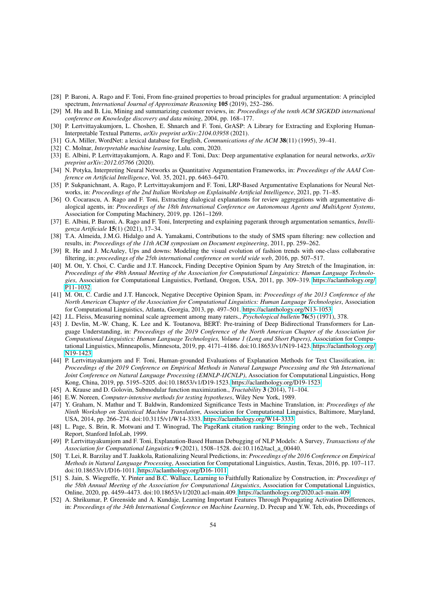- <span id="page-53-0"></span>[28] P. Baroni, A. Rago and F. Toni, From fine-grained properties to broad principles for gradual argumentation: A principled spectrum, *International Journal of Approximate Reasoning* 105 (2019), 252–286.
- <span id="page-53-1"></span>[29] M. Hu and B. Liu, Mining and summarizing customer reviews, in: *Proceedings of the tenth ACM SIGKDD international conference on Knowledge discovery and data mining*, 2004, pp. 168–177.
- <span id="page-53-2"></span>[30] P. Lertvittayakumjorn, L. Choshen, E. Shnarch and F. Toni, GrASP: A Library for Extracting and Exploring Human-Interpretable Textual Patterns, *arXiv preprint arXiv:2104.03958* (2021).
- <span id="page-53-3"></span>[31] G.A. Miller, WordNet: a lexical database for English, *Communications of the ACM* 38(11) (1995), 39–41.
- <span id="page-53-4"></span>[32] C. Molnar, *Interpretable machine learning*, Lulu. com, 2020.
- <span id="page-53-5"></span>[33] E. Albini, P. Lertvittayakumjorn, A. Rago and F. Toni, Dax: Deep argumentative explanation for neural networks, *arXiv preprint arXiv:2012.05766* (2020).
- [34] N. Potyka, Interpreting Neural Networks as Quantitative Argumentation Frameworks, in: *Proceedings of the AAAI Conference on Artificial Intelligence*, Vol. 35, 2021, pp. 6463–6470.
- <span id="page-53-6"></span>[35] P. Sukpanichnant, A. Rago, P. Lertvittayakumjorn and F. Toni, LRP-Based Argumentative Explanations for Neural Networks, in: *Proceedings of the 2nd Italian Workshop on Explainable Artificial Intelligence*, 2021, pp. 71–85.
- <span id="page-53-7"></span>[36] O. Cocarascu, A. Rago and F. Toni, Extracting dialogical explanations for review aggregations with argumentative dialogical agents, in: *Proceedings of the 18th International Conference on Autonomous Agents and MultiAgent Systems*, Association for Computing Machinery, 2019, pp. 1261–1269.
- <span id="page-53-8"></span>[37] E. Albini, P. Baroni, A. Rago and F. Toni, Interpreting and explaining pagerank through argumentation semantics, *Intelligenza Artificiale* 15(1) (2021), 17–34.
- <span id="page-53-9"></span>[38] T.A. Almeida, J.M.G. Hidalgo and A. Yamakami, Contributions to the study of SMS spam filtering: new collection and results, in: *Proceedings of the 11th ACM symposium on Document engineering*, 2011, pp. 259–262.
- <span id="page-53-10"></span>[39] R. He and J. McAuley, Ups and downs: Modeling the visual evolution of fashion trends with one-class collaborative filtering, in: *proceedings of the 25th international conference on world wide web*, 2016, pp. 507–517.
- <span id="page-53-11"></span>[40] M. Ott, Y. Choi, C. Cardie and J.T. Hancock, Finding Deceptive Opinion Spam by Any Stretch of the Imagination, in: *Proceedings of the 49th Annual Meeting of the Association for Computational Linguistics: Human Language Technologies*, Association for Computational Linguistics, Portland, Oregon, USA, 2011, pp. 309–319. [https://aclanthology.org/](https://aclanthology.org/P11-1032) [P11-1032.](https://aclanthology.org/P11-1032)
- <span id="page-53-12"></span>[41] M. Ott, C. Cardie and J.T. Hancock, Negative Deceptive Opinion Spam, in: *Proceedings of the 2013 Conference of the North American Chapter of the Association for Computational Linguistics: Human Language Technologies*, Association for Computational Linguistics, Atlanta, Georgia, 2013, pp. 497–501. [https://aclanthology.org/N13-1053.](https://aclanthology.org/N13-1053)
- <span id="page-53-13"></span>[42] J.L. Fleiss, Measuring nominal scale agreement among many raters., *Psychological bulletin* 76(5) (1971), 378.
- <span id="page-53-14"></span>[43] J. Devlin, M.-W. Chang, K. Lee and K. Toutanova, BERT: Pre-training of Deep Bidirectional Transformers for Language Understanding, in: *Proceedings of the 2019 Conference of the North American Chapter of the Association for Computational Linguistics: Human Language Technologies, Volume 1 (Long and Short Papers)*, Association for Computational Linguistics, Minneapolis, Minnesota, 2019, pp. 4171–4186. doi:10.18653/v1/N19-1423. [https://aclanthology.org/](https://aclanthology.org/N19-1423) [N19-1423.](https://aclanthology.org/N19-1423)
- <span id="page-53-15"></span>[44] P. Lertvittayakumjorn and F. Toni, Human-grounded Evaluations of Explanation Methods for Text Classification, in: *Proceedings of the 2019 Conference on Empirical Methods in Natural Language Processing and the 9th International Joint Conference on Natural Language Processing (EMNLP-IJCNLP)*, Association for Computational Linguistics, Hong Kong, China, 2019, pp. 5195–5205. doi:10.18653/v1/D19-1523. [https://aclanthology.org/D19-1523.](https://aclanthology.org/D19-1523)
- <span id="page-53-16"></span>[45] A. Krause and D. Golovin, Submodular function maximization., *Tractability* 3 (2014), 71–104.
- <span id="page-53-17"></span>[46] E.W. Noreen, *Computer-intensive methods for testing hypotheses*, Wiley New York, 1989.
- <span id="page-53-18"></span>[47] Y. Graham, N. Mathur and T. Baldwin, Randomized Significance Tests in Machine Translation, in: *Proceedings of the Ninth Workshop on Statistical Machine Translation*, Association for Computational Linguistics, Baltimore, Maryland, USA, 2014, pp. 266–274. doi:10.3115/v1/W14-3333. [https://aclanthology.org/W14-3333.](https://aclanthology.org/W14-3333)
- <span id="page-53-19"></span>[48] L. Page, S. Brin, R. Motwani and T. Winograd, The PageRank citation ranking: Bringing order to the web., Technical Report, Stanford InfoLab, 1999.
- <span id="page-53-20"></span>[49] P. Lertvittayakumjorn and F. Toni, Explanation-Based Human Debugging of NLP Models: A Survey, *Transactions of the Association for Computational Linguistics* 9 (2021), 1508–1528. doi:10.1162/tacl\_a\_00440.
- <span id="page-53-21"></span>[50] T. Lei, R. Barzilay and T. Jaakkola, Rationalizing Neural Predictions, in: *Proceedings of the 2016 Conference on Empirical Methods in Natural Language Processing*, Association for Computational Linguistics, Austin, Texas, 2016, pp. 107–117. doi:10.18653/v1/D16-1011. [https://aclanthology.org/D16-1011.](https://aclanthology.org/D16-1011)
- <span id="page-53-22"></span>[51] S. Jain, S. Wiegreffe, Y. Pinter and B.C. Wallace, Learning to Faithfully Rationalize by Construction, in: *Proceedings of the 58th Annual Meeting of the Association for Computational Linguistics*, Association for Computational Linguistics, Online, 2020, pp. 4459–4473. doi:10.18653/v1/2020.acl-main.409. [https://aclanthology.org/2020.acl-main.409.](https://aclanthology.org/2020.acl-main.409)
- <span id="page-53-23"></span>[52] A. Shrikumar, P. Greenside and A. Kundaje, Learning Important Features Through Propagating Activation Differences, in: *Proceedings of the 34th International Conference on Machine Learning*, D. Precup and Y.W. Teh, eds, Proceedings of